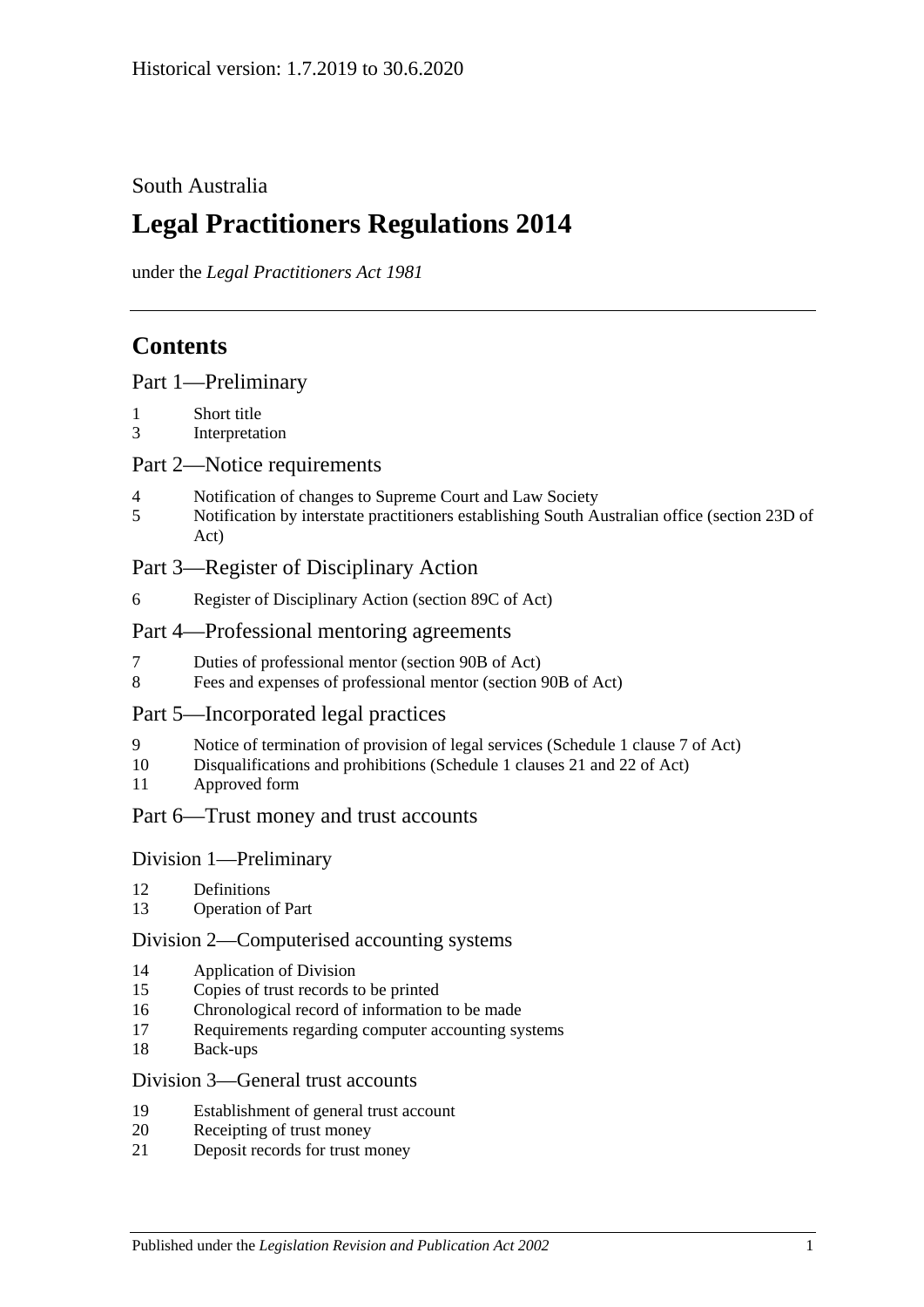## South Australia

# **Legal Practitioners Regulations 2014**

under the *Legal Practitioners Act 1981*

# **Contents**

|  |  | Part 1-Preliminary |
|--|--|--------------------|
|--|--|--------------------|

- 1 [Short title](#page-2-1)
- 3 [Interpretation](#page-2-2)

#### Part [2—Notice requirements](#page-2-3)

- 4 [Notification of changes to Supreme Court and Law Society](#page-2-4)
- 5 [Notification by interstate practitioners establishing South Australian office \(section](#page-3-0) 23D of [Act\)](#page-3-0)

## Part [3—Register of Disciplinary Action](#page-4-0)

6 [Register of Disciplinary Action \(section](#page-4-1) 89C of Act)

#### Part [4—Professional mentoring agreements](#page-5-0)

- 7 [Duties of professional mentor \(section 90B of Act\)](#page-5-1)
- 8 [Fees and expenses of professional mentor \(section](#page-5-2) 90B of Act)

#### Part [5—Incorporated legal practices](#page-5-3)

- 9 [Notice of termination of provision of legal services \(Schedule](#page-5-4) 1 clause 7 of Act)
- 10 [Disqualifications and prohibitions \(Schedule](#page-5-5) 1 clauses 21 and 22 of Act)
- 11 [Approved form](#page-7-0)

#### Part [6—Trust money and trust accounts](#page-7-1)

#### Division [1—Preliminary](#page-7-2)

- 12 [Definitions](#page-7-3)
- 13 [Operation of Part](#page-7-4)

#### Division [2—Computerised accounting systems](#page-7-5)

- 14 [Application of Division](#page-7-6)
- 15 [Copies of trust records to be printed](#page-8-0)
- 16 [Chronological record of information to be made](#page-8-1)
- 17 [Requirements regarding computer accounting systems](#page-8-2)
- 18 [Back-ups](#page-9-0)

#### Division [3—General trust accounts](#page-9-1)

- 19 [Establishment of general trust account](#page-9-2)
- 20 [Receipting of trust money](#page-10-0)
- 21 [Deposit records for trust money](#page-11-0)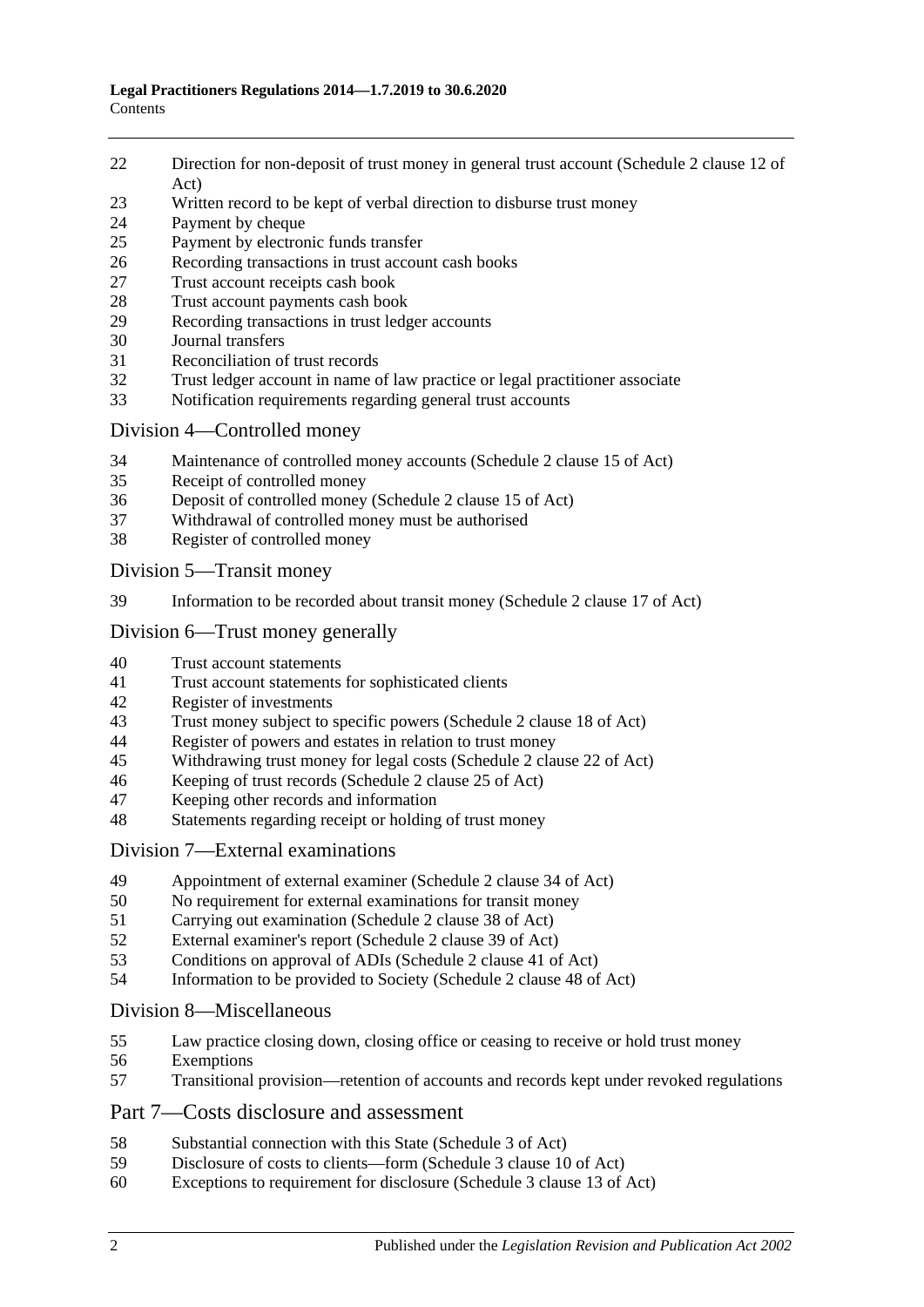- [Direction for non-deposit of trust money in general trust account \(Schedule](#page-11-1) 2 clause 12 of [Act\)](#page-11-1)
- [Written record to be kept of verbal direction to disburse trust money](#page-11-2)
- [Payment by cheque](#page-11-3)
- [Payment by electronic funds transfer](#page-13-0)
- [Recording transactions in trust account cash books](#page-14-0)
- [Trust account receipts cash book](#page-14-1)
- [Trust account payments cash book](#page-15-0)<br>29 Recording transactions in trust leds
- [Recording transactions in trust ledger accounts](#page-16-0)
- [Journal transfers](#page-17-0)
- [Reconciliation of trust records](#page-18-0)
- [Trust ledger account in name of law practice or legal practitioner associate](#page-18-1)
- [Notification requirements regarding general trust accounts](#page-19-0)

#### Division [4—Controlled money](#page-20-0)

- [Maintenance of controlled money accounts \(Schedule](#page-20-1) 2 clause 15 of Act)
- [Receipt of controlled money](#page-20-2)
- [Deposit of controlled money \(Schedule](#page-21-0) 2 clause 15 of Act)
- [Withdrawal of controlled money must be authorised](#page-21-1)
- [Register of controlled money](#page-22-0)

Division [5—Transit money](#page-23-0)

[Information to be recorded about transit money \(Schedule](#page-23-1) 2 clause 17 of Act)

## Division [6—Trust money generally](#page-23-2)

- [Trust account statements](#page-23-3)
- [Trust account statements for sophisticated clients](#page-24-0)
- [Register of investments](#page-24-1)<br>43 Trust money subject to s
- [Trust money subject to specific powers \(Schedule 2 clause 18 of Act\)](#page-25-0)
- [Register of powers and estates in relation to trust money](#page-25-1)
- [Withdrawing trust money for legal costs \(Schedule](#page-26-0) 2 clause 22 of Act)
- [Keeping of trust records \(Schedule](#page-27-0) 2 clause 25 of Act)
- [Keeping other records and information](#page-27-1)
- [Statements regarding receipt or holding of trust money](#page-27-2)

#### Division [7—External examinations](#page-28-0)

- [Appointment of external examiner \(Schedule](#page-28-1) 2 clause 34 of Act)
- [No requirement for external examinations for transit money](#page-28-2)
- [Carrying out examination \(Schedule](#page-29-0) 2 clause 38 of Act)<br>52 External examiner's report (Schedule 2 clause 39 of Act)
- [External examiner's report \(Schedule](#page-29-1) 2 clause 39 of Act)
- [Conditions on approval of ADIs \(Schedule](#page-30-0) 2 clause 41 of Act)
- [Information to be provided to Society \(Schedule](#page-31-0) 2 clause 48 of Act)

#### Division [8—Miscellaneous](#page-31-1)

- [Law practice closing down, closing office or ceasing to receive or hold trust money](#page-31-2)
- [Exemptions](#page-32-0)
- [Transitional provision—retention of accounts and records kept under revoked regulations](#page-32-1)

#### Part [7—Costs disclosure and assessment](#page-32-2)

- [Substantial connection with this State \(Schedule](#page-32-3) 3 of Act)
- [Disclosure of costs to clients—form \(Schedule](#page-33-0) 3 clause 10 of Act)
- [Exceptions to requirement for disclosure \(Schedule](#page-33-1) 3 clause 13 of Act)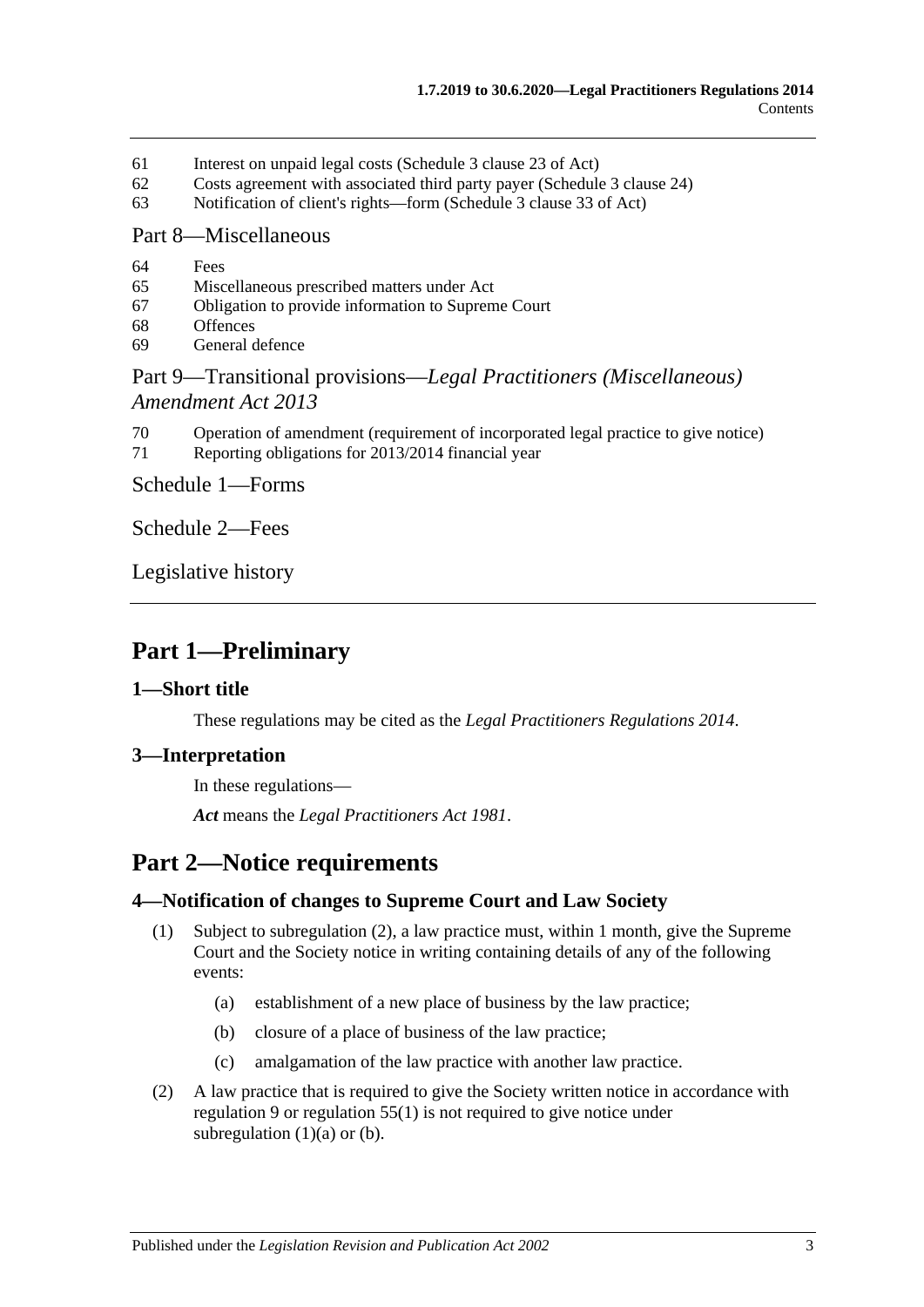- 61 [Interest on unpaid legal costs \(Schedule](#page-33-2) 3 clause 23 of Act)
- 62 [Costs agreement with associated third party payer \(Schedule](#page-33-3) 3 clause 24)
- 63 [Notification of client's rights—form \(Schedule](#page-33-4) 3 clause 33 of Act)

#### Part [8—Miscellaneous](#page-33-5)

- 64 [Fees](#page-33-6)
- 65 [Miscellaneous prescribed matters under Act](#page-34-0)
- 67 [Obligation to provide information to Supreme Court](#page-34-1)
- 68 [Offences](#page-34-2)
- 69 [General defence](#page-35-0)

## Part 9—Transitional provisions—*[Legal Practitioners \(Miscellaneous\)](#page-35-1)  [Amendment Act](#page-35-1) 2013*

- 70 [Operation of amendment \(requirement of incorporated legal](#page-35-2) practice to give notice)
- 71 [Reporting obligations for 2013/2014 financial year](#page-35-3)

Schedule [1—Forms](#page-35-4)

[Schedule](#page-36-0) 2—Fees

[Legislative history](#page-37-0)

## <span id="page-2-0"></span>**Part 1—Preliminary**

#### <span id="page-2-1"></span>**1—Short title**

These regulations may be cited as the *Legal Practitioners Regulations 2014*.

#### <span id="page-2-2"></span>**3—Interpretation**

In these regulations—

*Act* means the *[Legal Practitioners Act](http://www.legislation.sa.gov.au/index.aspx?action=legref&type=act&legtitle=Legal%20Practitioners%20Act%201981) 1981*.

# <span id="page-2-3"></span>**Part 2—Notice requirements**

#### <span id="page-2-8"></span><span id="page-2-4"></span>**4—Notification of changes to Supreme Court and Law Society**

- <span id="page-2-6"></span>(1) Subject to [subregulation](#page-2-5) (2), a law practice must, within 1 month, give the Supreme Court and the Society notice in writing containing details of any of the following events:
	- (a) establishment of a new place of business by the law practice;
	- (b) closure of a place of business of the law practice;
	- (c) amalgamation of the law practice with another law practice.
- <span id="page-2-7"></span><span id="page-2-5"></span>(2) A law practice that is required to give the Society written notice in accordance with [regulation](#page-5-4) 9 or [regulation](#page-31-3) 55(1) is not required to give notice under [subregulation](#page-2-6)  $(1)(a)$  or  $(b)$ .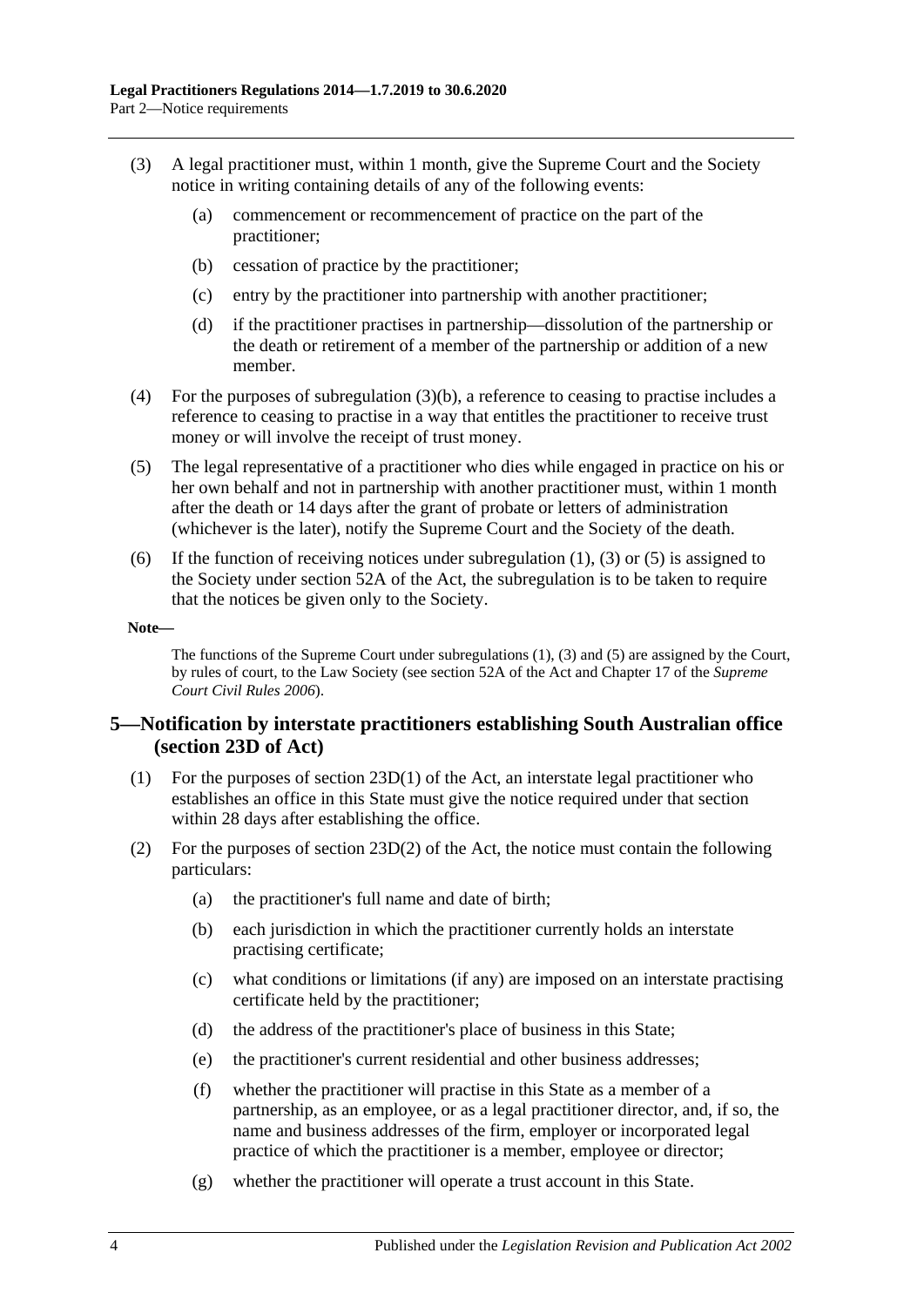- <span id="page-3-2"></span><span id="page-3-1"></span>(3) A legal practitioner must, within 1 month, give the Supreme Court and the Society notice in writing containing details of any of the following events:
	- (a) commencement or recommencement of practice on the part of the practitioner;
	- (b) cessation of practice by the practitioner;
	- (c) entry by the practitioner into partnership with another practitioner;
	- (d) if the practitioner practises in partnership—dissolution of the partnership or the death or retirement of a member of the partnership or addition of a new member.
- (4) For the purposes of [subregulation](#page-3-1) (3)(b), a reference to ceasing to practise includes a reference to ceasing to practise in a way that entitles the practitioner to receive trust money or will involve the receipt of trust money.
- <span id="page-3-3"></span>(5) The legal representative of a practitioner who dies while engaged in practice on his or her own behalf and not in partnership with another practitioner must, within 1 month after the death or 14 days after the grant of probate or letters of administration (whichever is the later), notify the Supreme Court and the Society of the death.
- (6) If the function of receiving notices under [subregulation](#page-2-8) (1), [\(3\)](#page-3-2) or [\(5\)](#page-3-3) is assigned to the Society under section 52A of the Act, the subregulation is to be taken to require that the notices be given only to the Society.

#### **Note—**

The functions of the Supreme Court unde[r subregulations](#page-2-8) (1), [\(3\)](#page-3-2) and [\(5\)](#page-3-3) are assigned by the Court, by rules of court, to the Law Society (see section 52A of the Act and Chapter 17 of the *Supreme Court Civil Rules 2006*).

#### <span id="page-3-0"></span>**5—Notification by interstate practitioners establishing South Australian office (section 23D of Act)**

- (1) For the purposes of section 23D(1) of the Act, an interstate legal practitioner who establishes an office in this State must give the notice required under that section within 28 days after establishing the office.
- (2) For the purposes of section  $23D(2)$  of the Act, the notice must contain the following particulars:
	- (a) the practitioner's full name and date of birth;
	- (b) each jurisdiction in which the practitioner currently holds an interstate practising certificate;
	- (c) what conditions or limitations (if any) are imposed on an interstate practising certificate held by the practitioner;
	- (d) the address of the practitioner's place of business in this State;
	- (e) the practitioner's current residential and other business addresses;
	- (f) whether the practitioner will practise in this State as a member of a partnership, as an employee, or as a legal practitioner director, and, if so, the name and business addresses of the firm, employer or incorporated legal practice of which the practitioner is a member, employee or director;
	- (g) whether the practitioner will operate a trust account in this State.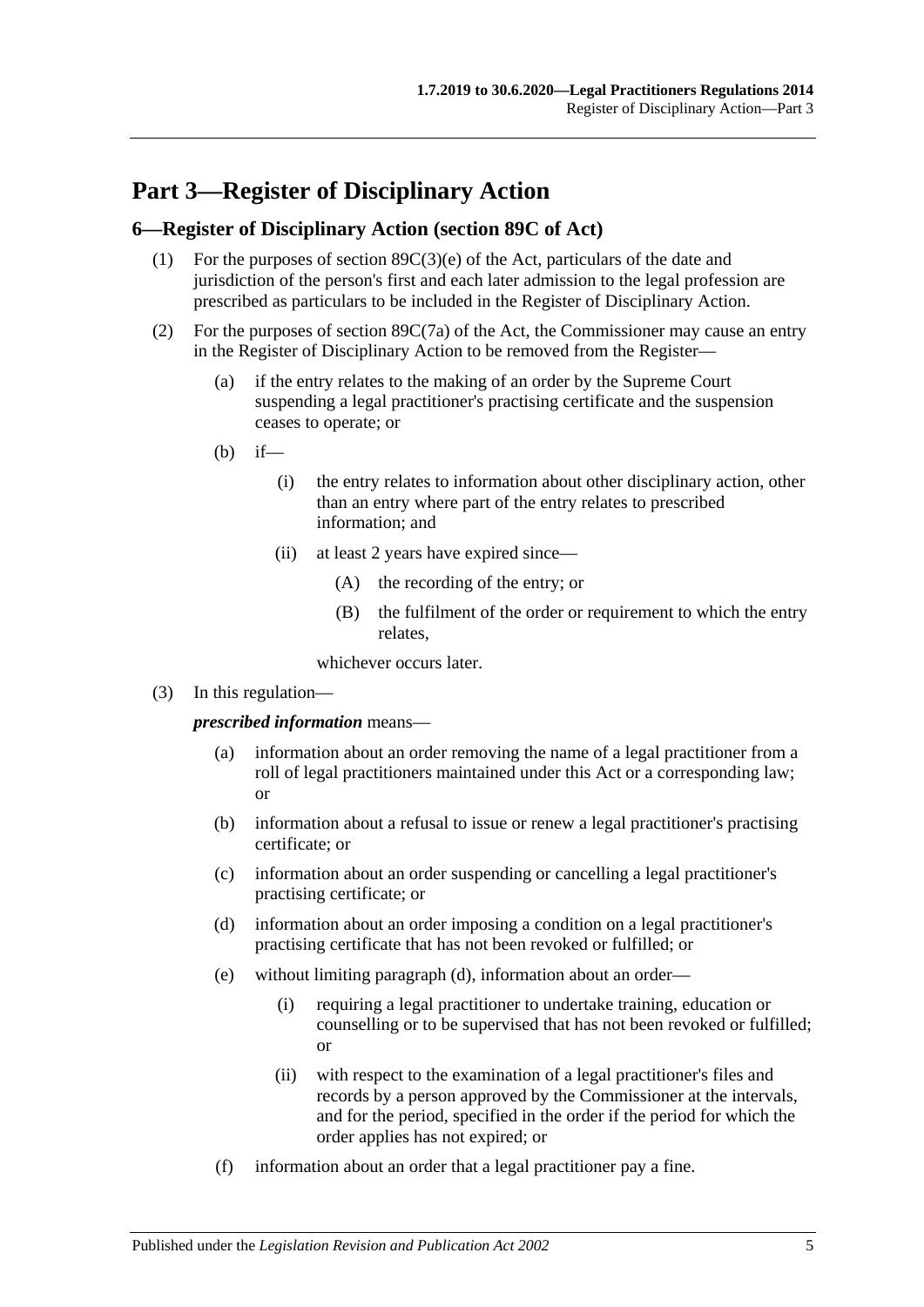# <span id="page-4-0"></span>**Part 3—Register of Disciplinary Action**

#### <span id="page-4-1"></span>**6—Register of Disciplinary Action (section 89C of Act)**

- (1) For the purposes of section 89C(3)(e) of the Act, particulars of the date and jurisdiction of the person's first and each later admission to the legal profession are prescribed as particulars to be included in the Register of Disciplinary Action.
- (2) For the purposes of section 89C(7a) of the Act, the Commissioner may cause an entry in the Register of Disciplinary Action to be removed from the Register—
	- (a) if the entry relates to the making of an order by the Supreme Court suspending a legal practitioner's practising certificate and the suspension ceases to operate; or
	- $(h)$  if—
		- (i) the entry relates to information about other disciplinary action, other than an entry where part of the entry relates to prescribed information; and
		- (ii) at least 2 years have expired since—
			- (A) the recording of the entry; or
			- (B) the fulfilment of the order or requirement to which the entry relates,

whichever occurs later.

(3) In this regulation—

*prescribed information* means—

- (a) information about an order removing the name of a legal practitioner from a roll of legal practitioners maintained under this Act or a corresponding law; or
- (b) information about a refusal to issue or renew a legal practitioner's practising certificate; or
- (c) information about an order suspending or cancelling a legal practitioner's practising certificate; or
- <span id="page-4-2"></span>(d) information about an order imposing a condition on a legal practitioner's practising certificate that has not been revoked or fulfilled; or
- (e) without limiting [paragraph](#page-4-2) (d), information about an order—
	- (i) requiring a legal practitioner to undertake training, education or counselling or to be supervised that has not been revoked or fulfilled; or
	- (ii) with respect to the examination of a legal practitioner's files and records by a person approved by the Commissioner at the intervals, and for the period, specified in the order if the period for which the order applies has not expired; or
- (f) information about an order that a legal practitioner pay a fine.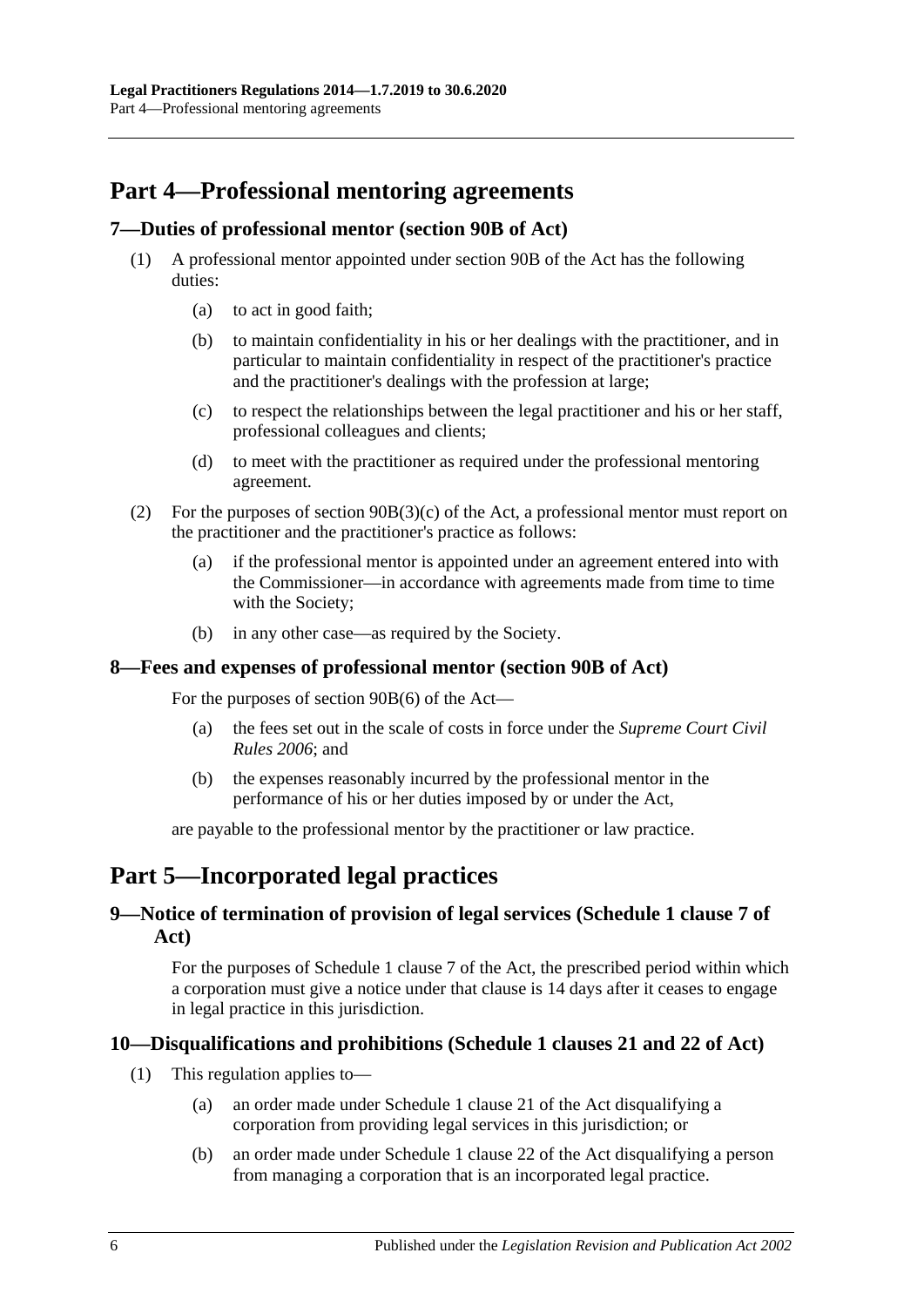# <span id="page-5-0"></span>**Part 4—Professional mentoring agreements**

#### <span id="page-5-1"></span>**7—Duties of professional mentor (section 90B of Act)**

- (1) A professional mentor appointed under section 90B of the Act has the following duties:
	- (a) to act in good faith;
	- (b) to maintain confidentiality in his or her dealings with the practitioner, and in particular to maintain confidentiality in respect of the practitioner's practice and the practitioner's dealings with the profession at large;
	- (c) to respect the relationships between the legal practitioner and his or her staff, professional colleagues and clients;
	- (d) to meet with the practitioner as required under the professional mentoring agreement.
- (2) For the purposes of section 90B(3)(c) of the Act, a professional mentor must report on the practitioner and the practitioner's practice as follows:
	- (a) if the professional mentor is appointed under an agreement entered into with the Commissioner—in accordance with agreements made from time to time with the Society;
	- (b) in any other case—as required by the Society.

#### <span id="page-5-2"></span>**8—Fees and expenses of professional mentor (section 90B of Act)**

For the purposes of section 90B(6) of the Act—

- (a) the fees set out in the scale of costs in force under the *Supreme Court Civil Rules 2006*; and
- (b) the expenses reasonably incurred by the professional mentor in the performance of his or her duties imposed by or under the Act,

are payable to the professional mentor by the practitioner or law practice.

## <span id="page-5-3"></span>**Part 5—Incorporated legal practices**

## <span id="page-5-4"></span>**9—Notice of termination of provision of legal services (Schedule 1 clause 7 of Act)**

For the purposes of Schedule 1 clause 7 of the Act, the prescribed period within which a corporation must give a notice under that clause is 14 days after it ceases to engage in legal practice in this jurisdiction.

#### <span id="page-5-5"></span>**10—Disqualifications and prohibitions (Schedule 1 clauses 21 and 22 of Act)**

- (1) This regulation applies to—
	- (a) an order made under Schedule 1 clause 21 of the Act disqualifying a corporation from providing legal services in this jurisdiction; or
	- (b) an order made under Schedule 1 clause 22 of the Act disqualifying a person from managing a corporation that is an incorporated legal practice.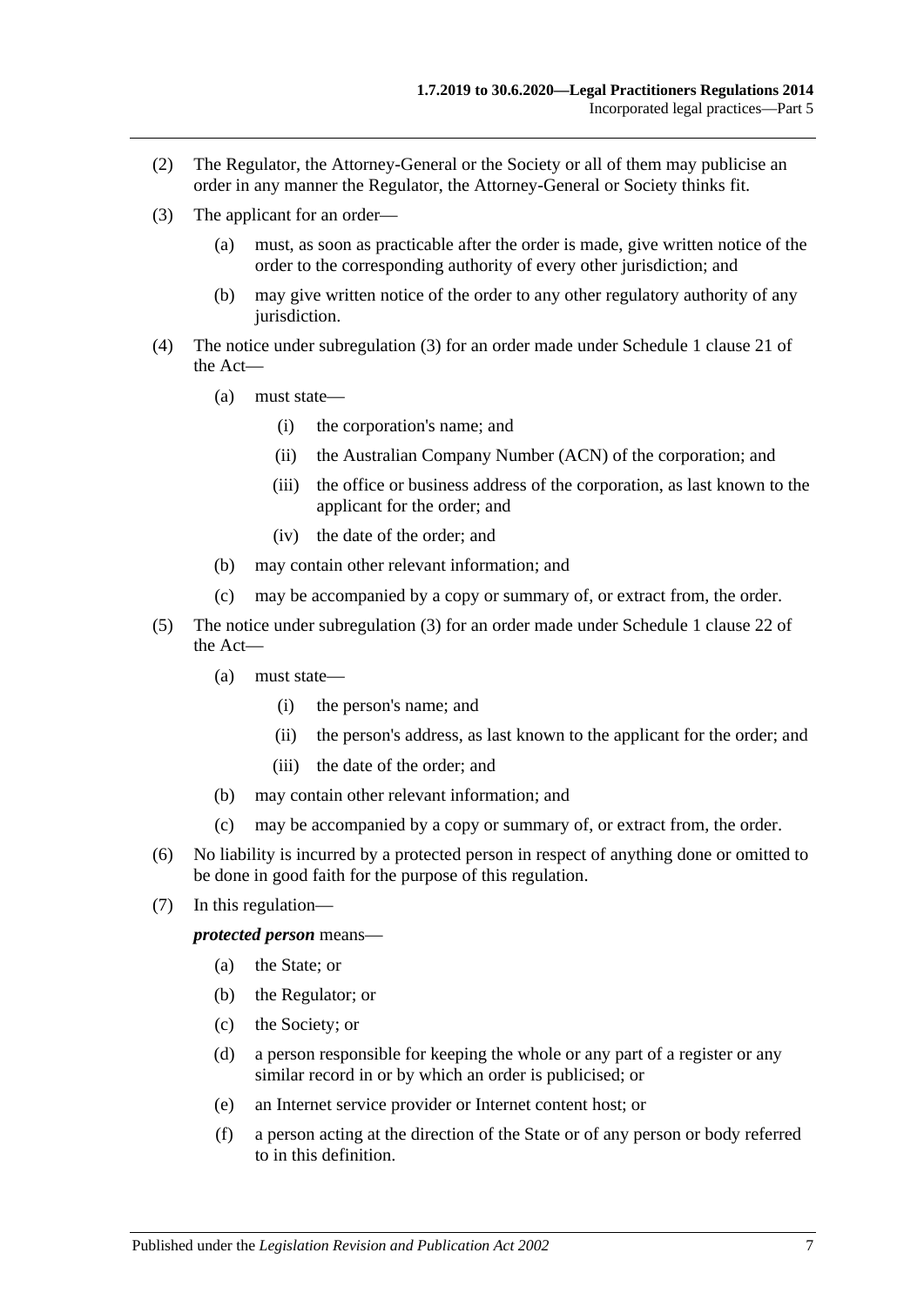- (2) The Regulator, the Attorney-General or the Society or all of them may publicise an order in any manner the Regulator, the Attorney-General or Society thinks fit.
- <span id="page-6-0"></span>(3) The applicant for an order—
	- (a) must, as soon as practicable after the order is made, give written notice of the order to the corresponding authority of every other jurisdiction; and
	- (b) may give written notice of the order to any other regulatory authority of any jurisdiction.
- (4) The notice under [subregulation](#page-6-0) (3) for an order made under Schedule 1 clause 21 of the Act—
	- (a) must state—
		- (i) the corporation's name; and
		- (ii) the Australian Company Number (ACN) of the corporation; and
		- (iii) the office or business address of the corporation, as last known to the applicant for the order; and
		- (iv) the date of the order; and
	- (b) may contain other relevant information; and
	- (c) may be accompanied by a copy or summary of, or extract from, the order.
- (5) The notice under [subregulation](#page-6-0) (3) for an order made under Schedule 1 clause 22 of the Act—
	- (a) must state—
		- (i) the person's name; and
		- (ii) the person's address, as last known to the applicant for the order; and
		- (iii) the date of the order; and
	- (b) may contain other relevant information; and
	- (c) may be accompanied by a copy or summary of, or extract from, the order.
- (6) No liability is incurred by a protected person in respect of anything done or omitted to be done in good faith for the purpose of this regulation.
- (7) In this regulation—

*protected person* means—

- (a) the State; or
- (b) the Regulator; or
- (c) the Society; or
- (d) a person responsible for keeping the whole or any part of a register or any similar record in or by which an order is publicised; or
- (e) an Internet service provider or Internet content host; or
- (f) a person acting at the direction of the State or of any person or body referred to in this definition.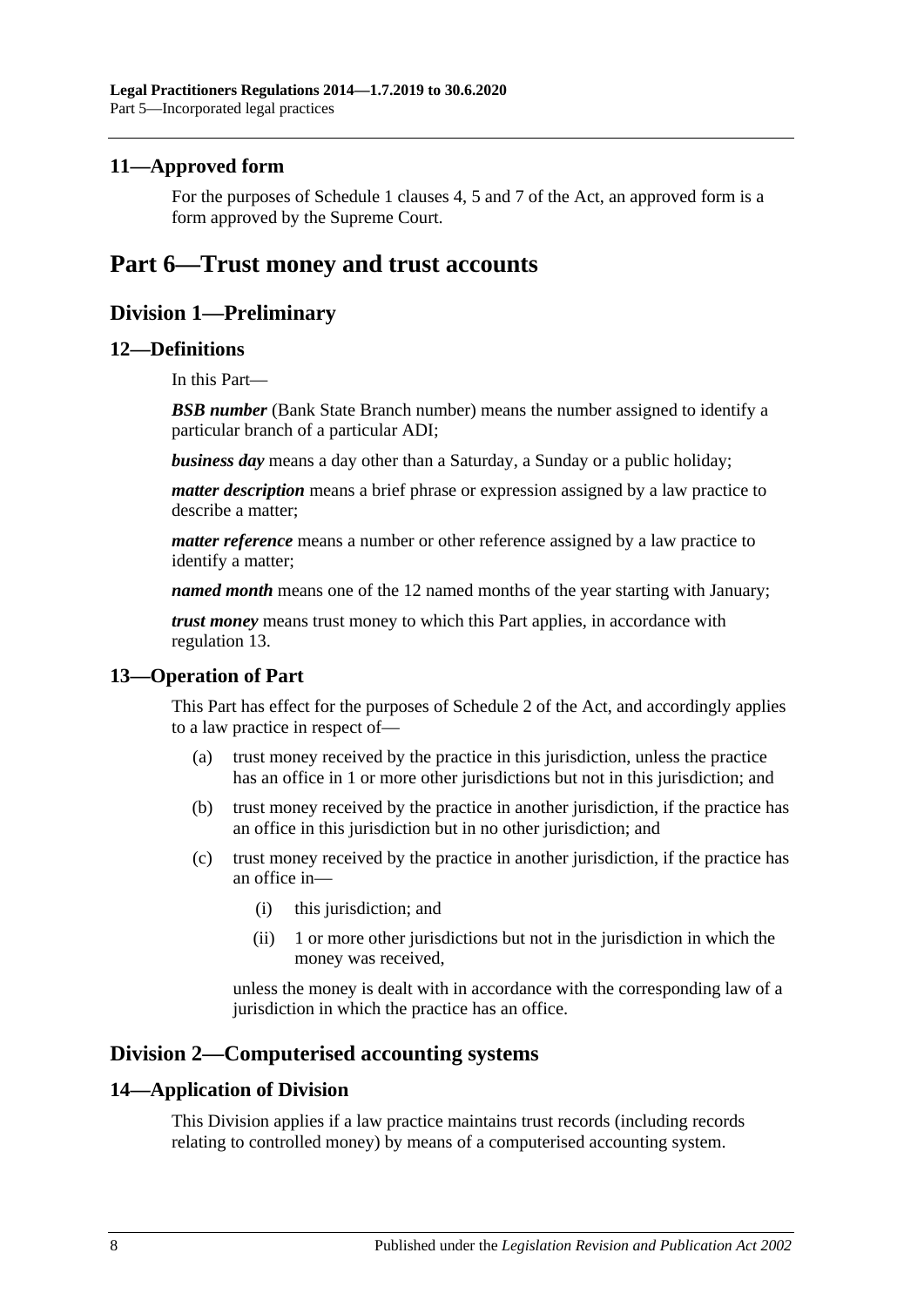#### <span id="page-7-0"></span>**11—Approved form**

For the purposes of Schedule 1 clauses 4, 5 and 7 of the Act, an approved form is a form approved by the Supreme Court.

## <span id="page-7-2"></span><span id="page-7-1"></span>**Part 6—Trust money and trust accounts**

## **Division 1—Preliminary**

#### <span id="page-7-3"></span>**12—Definitions**

In this Part—

**BSB number** (Bank State Branch number) means the number assigned to identify a particular branch of a particular ADI;

*business day* means a day other than a Saturday, a Sunday or a public holiday;

*matter description* means a brief phrase or expression assigned by a law practice to describe a matter;

*matter reference* means a number or other reference assigned by a law practice to identify a matter;

*named month* means one of the 12 named months of the year starting with January;

*trust money* means trust money to which this Part applies, in accordance with [regulation](#page-7-4) 13.

#### <span id="page-7-4"></span>**13—Operation of Part**

This Part has effect for the purposes of Schedule 2 of the Act, and accordingly applies to a law practice in respect of—

- (a) trust money received by the practice in this jurisdiction, unless the practice has an office in 1 or more other jurisdictions but not in this jurisdiction; and
- (b) trust money received by the practice in another jurisdiction, if the practice has an office in this jurisdiction but in no other jurisdiction; and
- (c) trust money received by the practice in another jurisdiction, if the practice has an office in—
	- (i) this jurisdiction; and
	- (ii) 1 or more other jurisdictions but not in the jurisdiction in which the money was received,

unless the money is dealt with in accordance with the corresponding law of a jurisdiction in which the practice has an office.

## <span id="page-7-5"></span>**Division 2—Computerised accounting systems**

#### <span id="page-7-6"></span>**14—Application of Division**

This Division applies if a law practice maintains trust records (including records relating to controlled money) by means of a computerised accounting system.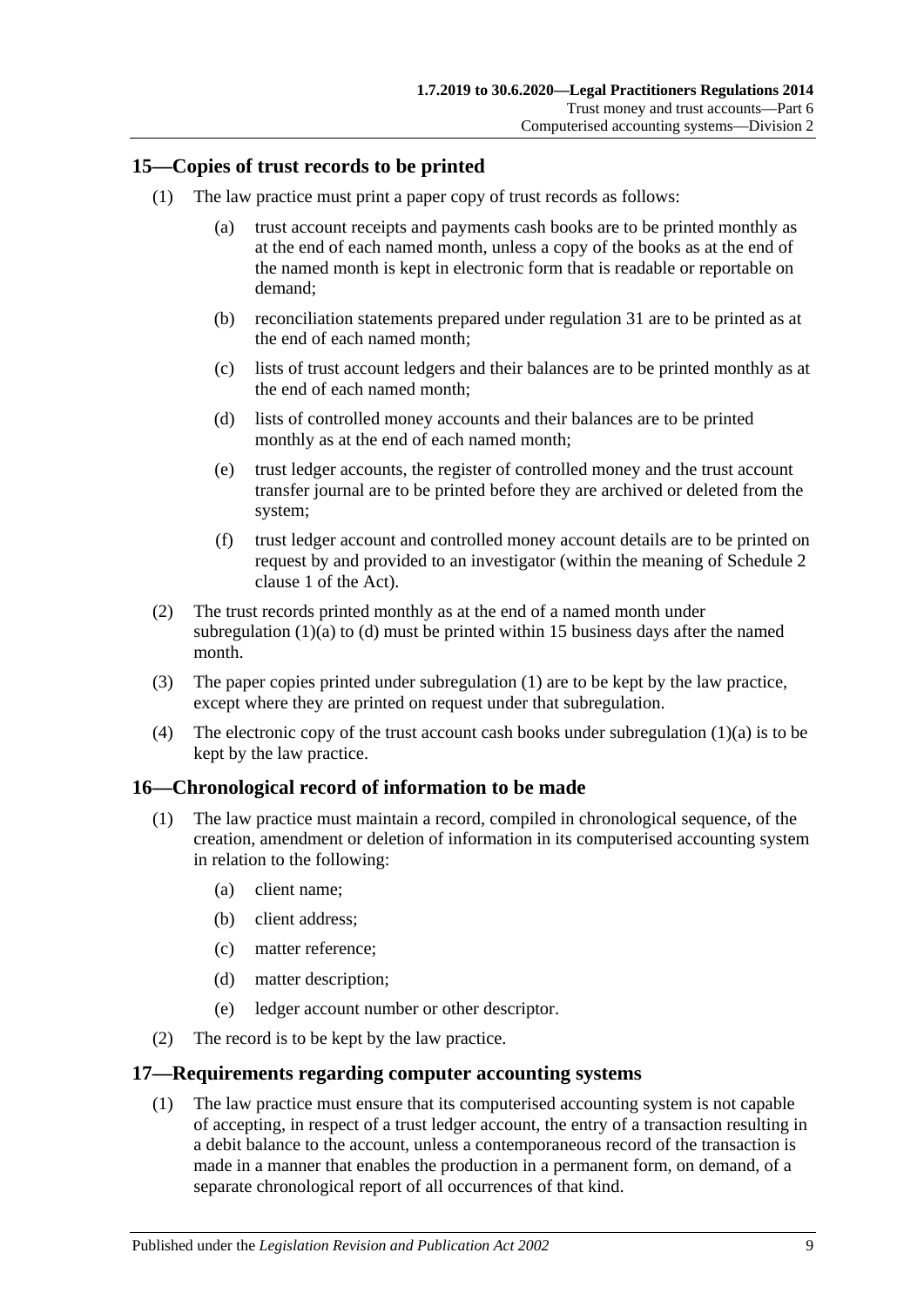#### <span id="page-8-5"></span><span id="page-8-0"></span>**15—Copies of trust records to be printed**

- <span id="page-8-3"></span>(1) The law practice must print a paper copy of trust records as follows:
	- (a) trust account receipts and payments cash books are to be printed monthly as at the end of each named month, unless a copy of the books as at the end of the named month is kept in electronic form that is readable or reportable on demand;
	- (b) reconciliation statements prepared under [regulation](#page-18-0) 31 are to be printed as at the end of each named month;
	- (c) lists of trust account ledgers and their balances are to be printed monthly as at the end of each named month;
	- (d) lists of controlled money accounts and their balances are to be printed monthly as at the end of each named month;
	- (e) trust ledger accounts, the register of controlled money and the trust account transfer journal are to be printed before they are archived or deleted from the system;
	- (f) trust ledger account and controlled money account details are to be printed on request by and provided to an investigator (within the meaning of Schedule 2 clause 1 of the Act).
- <span id="page-8-4"></span>(2) The trust records printed monthly as at the end of a named month under [subregulation](#page-8-3)  $(1)(a)$  to  $(d)$  must be printed within 15 business days after the named month.
- (3) The paper copies printed under [subregulation](#page-8-5) (1) are to be kept by the law practice, except where they are printed on request under that subregulation.
- (4) The electronic copy of the trust account cash books under [subregulation](#page-8-3)  $(1)(a)$  is to be kept by the law practice.

#### <span id="page-8-1"></span>**16—Chronological record of information to be made**

- (1) The law practice must maintain a record, compiled in chronological sequence, of the creation, amendment or deletion of information in its computerised accounting system in relation to the following:
	- (a) client name;
	- (b) client address;
	- (c) matter reference;
	- (d) matter description;
	- (e) ledger account number or other descriptor.
- (2) The record is to be kept by the law practice.

#### <span id="page-8-2"></span>**17—Requirements regarding computer accounting systems**

(1) The law practice must ensure that its computerised accounting system is not capable of accepting, in respect of a trust ledger account, the entry of a transaction resulting in a debit balance to the account, unless a contemporaneous record of the transaction is made in a manner that enables the production in a permanent form, on demand, of a separate chronological report of all occurrences of that kind.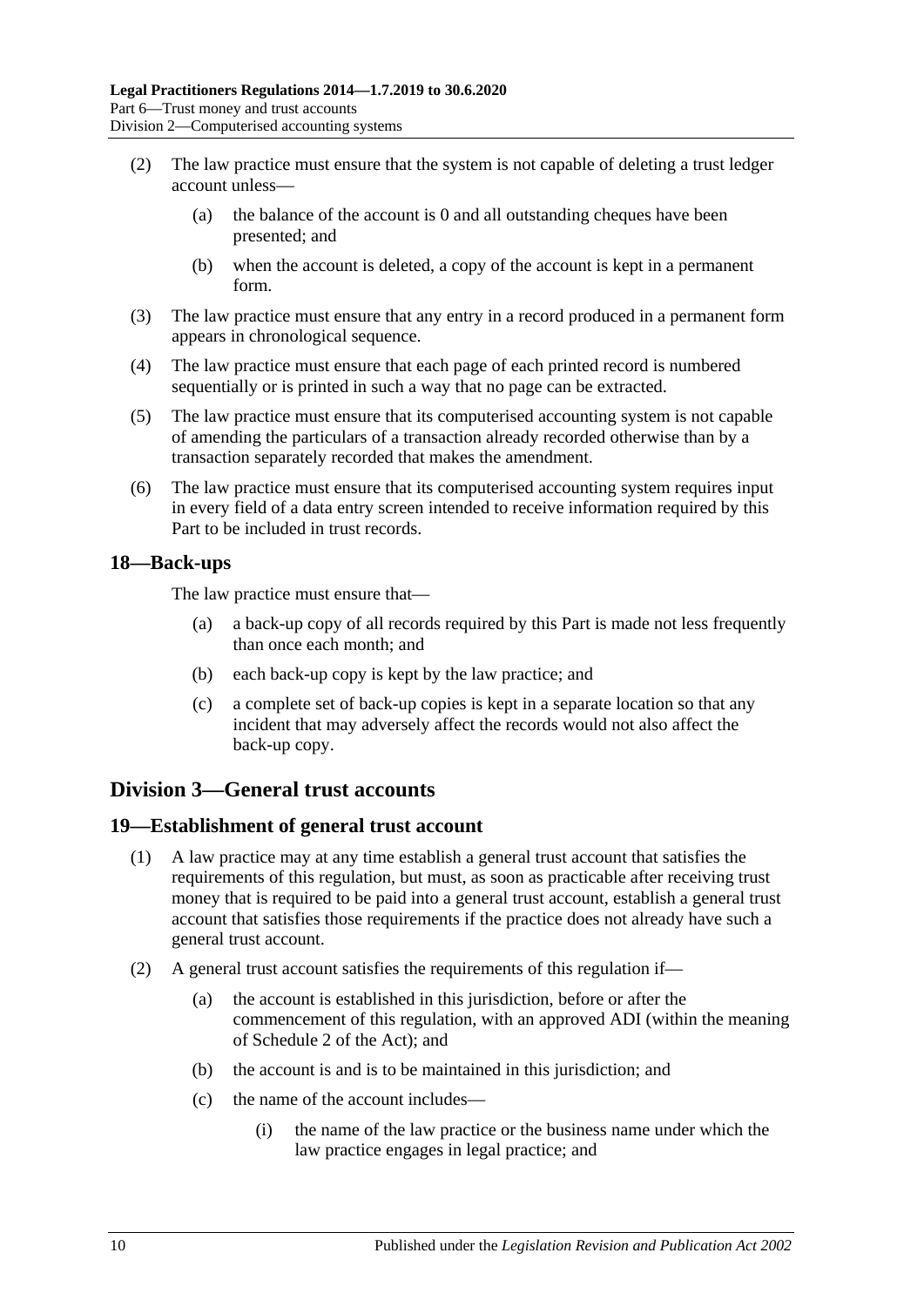- (2) The law practice must ensure that the system is not capable of deleting a trust ledger account unless—
	- (a) the balance of the account is 0 and all outstanding cheques have been presented; and
	- (b) when the account is deleted, a copy of the account is kept in a permanent form.
- (3) The law practice must ensure that any entry in a record produced in a permanent form appears in chronological sequence.
- (4) The law practice must ensure that each page of each printed record is numbered sequentially or is printed in such a way that no page can be extracted.
- (5) The law practice must ensure that its computerised accounting system is not capable of amending the particulars of a transaction already recorded otherwise than by a transaction separately recorded that makes the amendment.
- (6) The law practice must ensure that its computerised accounting system requires input in every field of a data entry screen intended to receive information required by this Part to be included in trust records.

#### <span id="page-9-0"></span>**18—Back-ups**

The law practice must ensure that—

- (a) a back-up copy of all records required by this Part is made not less frequently than once each month; and
- (b) each back-up copy is kept by the law practice; and
- (c) a complete set of back-up copies is kept in a separate location so that any incident that may adversely affect the records would not also affect the back-up copy.

## <span id="page-9-1"></span>**Division 3—General trust accounts**

#### <span id="page-9-2"></span>**19—Establishment of general trust account**

- (1) A law practice may at any time establish a general trust account that satisfies the requirements of this regulation, but must, as soon as practicable after receiving trust money that is required to be paid into a general trust account, establish a general trust account that satisfies those requirements if the practice does not already have such a general trust account.
- <span id="page-9-3"></span>(2) A general trust account satisfies the requirements of this regulation if—
	- (a) the account is established in this jurisdiction, before or after the commencement of this regulation, with an approved ADI (within the meaning of Schedule 2 of the Act); and
	- (b) the account is and is to be maintained in this jurisdiction; and
	- (c) the name of the account includes—
		- (i) the name of the law practice or the business name under which the law practice engages in legal practice; and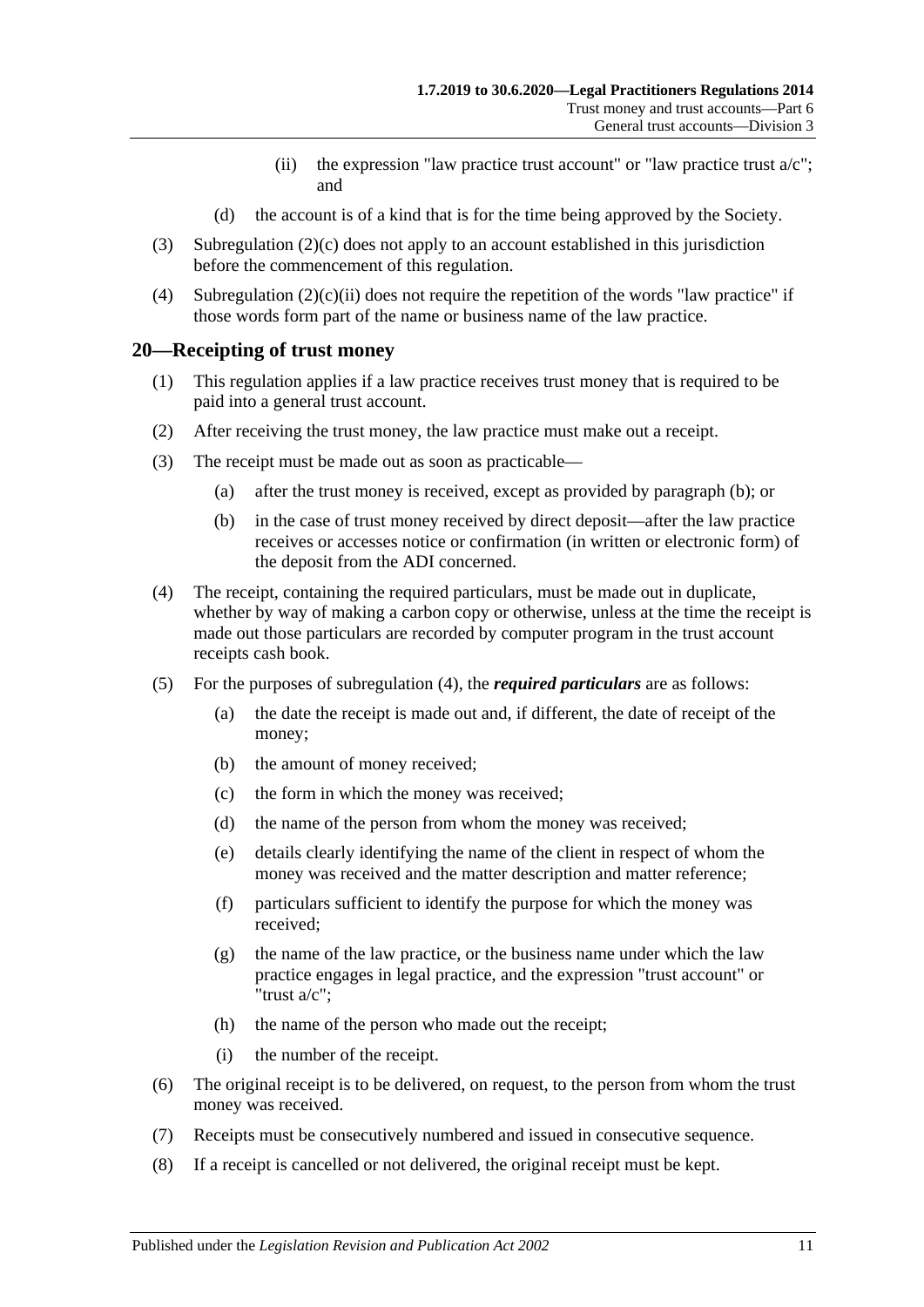- (ii) the expression "law practice trust account" or "law practice trust  $a/c$ "; and
- (d) the account is of a kind that is for the time being approved by the Society.
- <span id="page-10-1"></span>(3) [Subregulation](#page-9-3) (2)(c) does not apply to an account established in this jurisdiction before the commencement of this regulation.
- (4) [Subregulation](#page-10-1)  $(2)(c)(ii)$  does not require the repetition of the words "law practice" if those words form part of the name or business name of the law practice.

#### <span id="page-10-0"></span>**20—Receipting of trust money**

- (1) This regulation applies if a law practice receives trust money that is required to be paid into a general trust account.
- (2) After receiving the trust money, the law practice must make out a receipt.
- <span id="page-10-2"></span>(3) The receipt must be made out as soon as practicable—
	- (a) after the trust money is received, except as provided by [paragraph](#page-10-2) (b); or
	- (b) in the case of trust money received by direct deposit—after the law practice receives or accesses notice or confirmation (in written or electronic form) of the deposit from the ADI concerned.
- <span id="page-10-3"></span>(4) The receipt, containing the required particulars, must be made out in duplicate, whether by way of making a carbon copy or otherwise, unless at the time the receipt is made out those particulars are recorded by computer program in the trust account receipts cash book.
- (5) For the purposes of [subregulation](#page-10-3) (4), the *required particulars* are as follows:
	- (a) the date the receipt is made out and, if different, the date of receipt of the money;
	- (b) the amount of money received;
	- (c) the form in which the money was received;
	- (d) the name of the person from whom the money was received;
	- (e) details clearly identifying the name of the client in respect of whom the money was received and the matter description and matter reference;
	- (f) particulars sufficient to identify the purpose for which the money was received;
	- (g) the name of the law practice, or the business name under which the law practice engages in legal practice, and the expression "trust account" or "trust a/c";
	- (h) the name of the person who made out the receipt;
	- (i) the number of the receipt.
- (6) The original receipt is to be delivered, on request, to the person from whom the trust money was received.
- (7) Receipts must be consecutively numbered and issued in consecutive sequence.
- (8) If a receipt is cancelled or not delivered, the original receipt must be kept.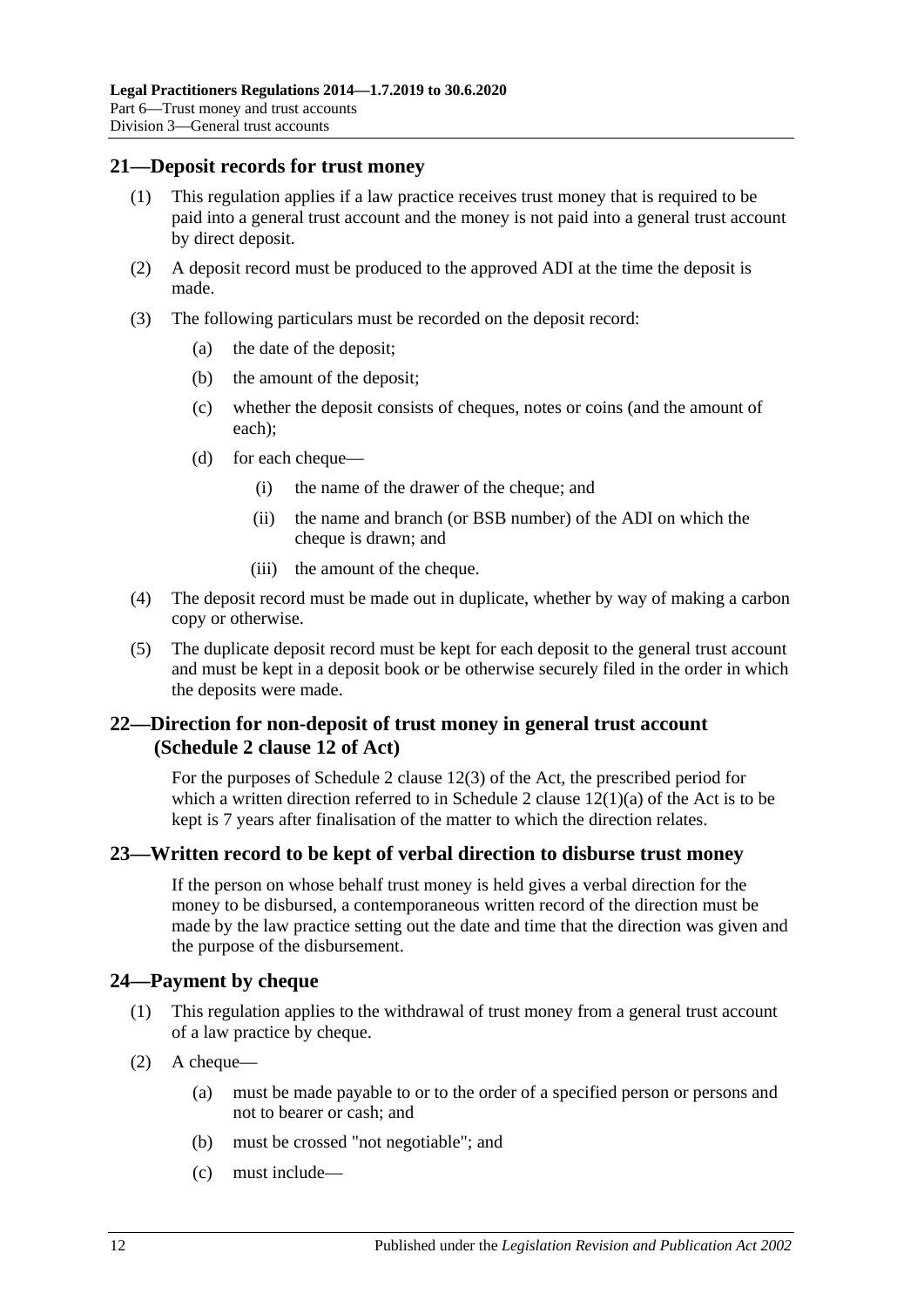#### <span id="page-11-0"></span>**21—Deposit records for trust money**

- (1) This regulation applies if a law practice receives trust money that is required to be paid into a general trust account and the money is not paid into a general trust account by direct deposit.
- (2) A deposit record must be produced to the approved ADI at the time the deposit is made.
- (3) The following particulars must be recorded on the deposit record:
	- (a) the date of the deposit;
	- (b) the amount of the deposit;
	- (c) whether the deposit consists of cheques, notes or coins (and the amount of each);
	- (d) for each cheque—
		- (i) the name of the drawer of the cheque; and
		- (ii) the name and branch (or BSB number) of the ADI on which the cheque is drawn; and
		- (iii) the amount of the cheque.
- (4) The deposit record must be made out in duplicate, whether by way of making a carbon copy or otherwise.
- (5) The duplicate deposit record must be kept for each deposit to the general trust account and must be kept in a deposit book or be otherwise securely filed in the order in which the deposits were made.

## <span id="page-11-1"></span>**22—Direction for non-deposit of trust money in general trust account (Schedule 2 clause 12 of Act)**

For the purposes of Schedule 2 clause 12(3) of the Act, the prescribed period for which a written direction referred to in Schedule 2 clause  $12(1)(a)$  of the Act is to be kept is 7 years after finalisation of the matter to which the direction relates.

## <span id="page-11-2"></span>**23—Written record to be kept of verbal direction to disburse trust money**

If the person on whose behalf trust money is held gives a verbal direction for the money to be disbursed, a contemporaneous written record of the direction must be made by the law practice setting out the date and time that the direction was given and the purpose of the disbursement.

#### <span id="page-11-3"></span>**24—Payment by cheque**

- (1) This regulation applies to the withdrawal of trust money from a general trust account of a law practice by cheque.
- <span id="page-11-4"></span>(2) A cheque—
	- (a) must be made payable to or to the order of a specified person or persons and not to bearer or cash; and
	- (b) must be crossed "not negotiable"; and
	- (c) must include—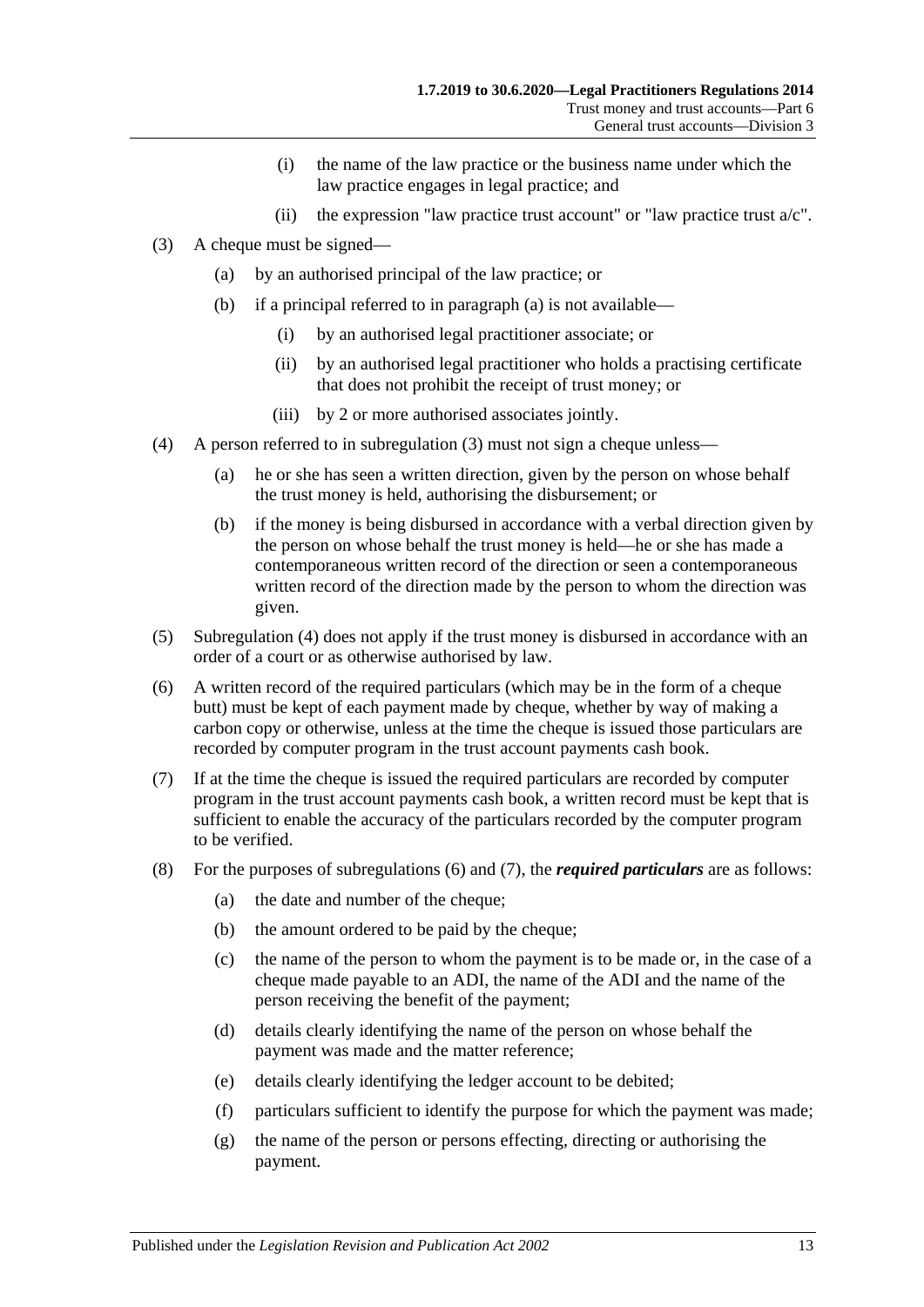- (i) the name of the law practice or the business name under which the law practice engages in legal practice; and
- (ii) the expression "law practice trust account" or "law practice trust  $a/c$ ".
- <span id="page-12-5"></span><span id="page-12-1"></span><span id="page-12-0"></span>(3) A cheque must be signed—
	- (a) by an authorised principal of the law practice; or
	- (b) if a principal referred to in [paragraph](#page-12-0) (a) is not available—
		- (i) by an authorised legal practitioner associate; or
		- (ii) by an authorised legal practitioner who holds a practising certificate that does not prohibit the receipt of trust money; or
		- (iii) by 2 or more authorised associates jointly.
- <span id="page-12-2"></span>(4) A person referred to in [subregulation](#page-12-1) (3) must not sign a cheque unless—
	- (a) he or she has seen a written direction, given by the person on whose behalf the trust money is held, authorising the disbursement; or
	- (b) if the money is being disbursed in accordance with a verbal direction given by the person on whose behalf the trust money is held—he or she has made a contemporaneous written record of the direction or seen a contemporaneous written record of the direction made by the person to whom the direction was given.
- (5) [Subregulation](#page-12-2) (4) does not apply if the trust money is disbursed in accordance with an order of a court or as otherwise authorised by law.
- <span id="page-12-3"></span>(6) A written record of the required particulars (which may be in the form of a cheque butt) must be kept of each payment made by cheque, whether by way of making a carbon copy or otherwise, unless at the time the cheque is issued those particulars are recorded by computer program in the trust account payments cash book.
- <span id="page-12-4"></span>(7) If at the time the cheque is issued the required particulars are recorded by computer program in the trust account payments cash book, a written record must be kept that is sufficient to enable the accuracy of the particulars recorded by the computer program to be verified.
- (8) For the purposes of [subregulations](#page-12-3) (6) and [\(7\),](#page-12-4) the *required particulars* are as follows:
	- (a) the date and number of the cheque;
	- (b) the amount ordered to be paid by the cheque;
	- (c) the name of the person to whom the payment is to be made or, in the case of a cheque made payable to an ADI, the name of the ADI and the name of the person receiving the benefit of the payment;
	- (d) details clearly identifying the name of the person on whose behalf the payment was made and the matter reference;
	- (e) details clearly identifying the ledger account to be debited;
	- (f) particulars sufficient to identify the purpose for which the payment was made;
	- (g) the name of the person or persons effecting, directing or authorising the payment.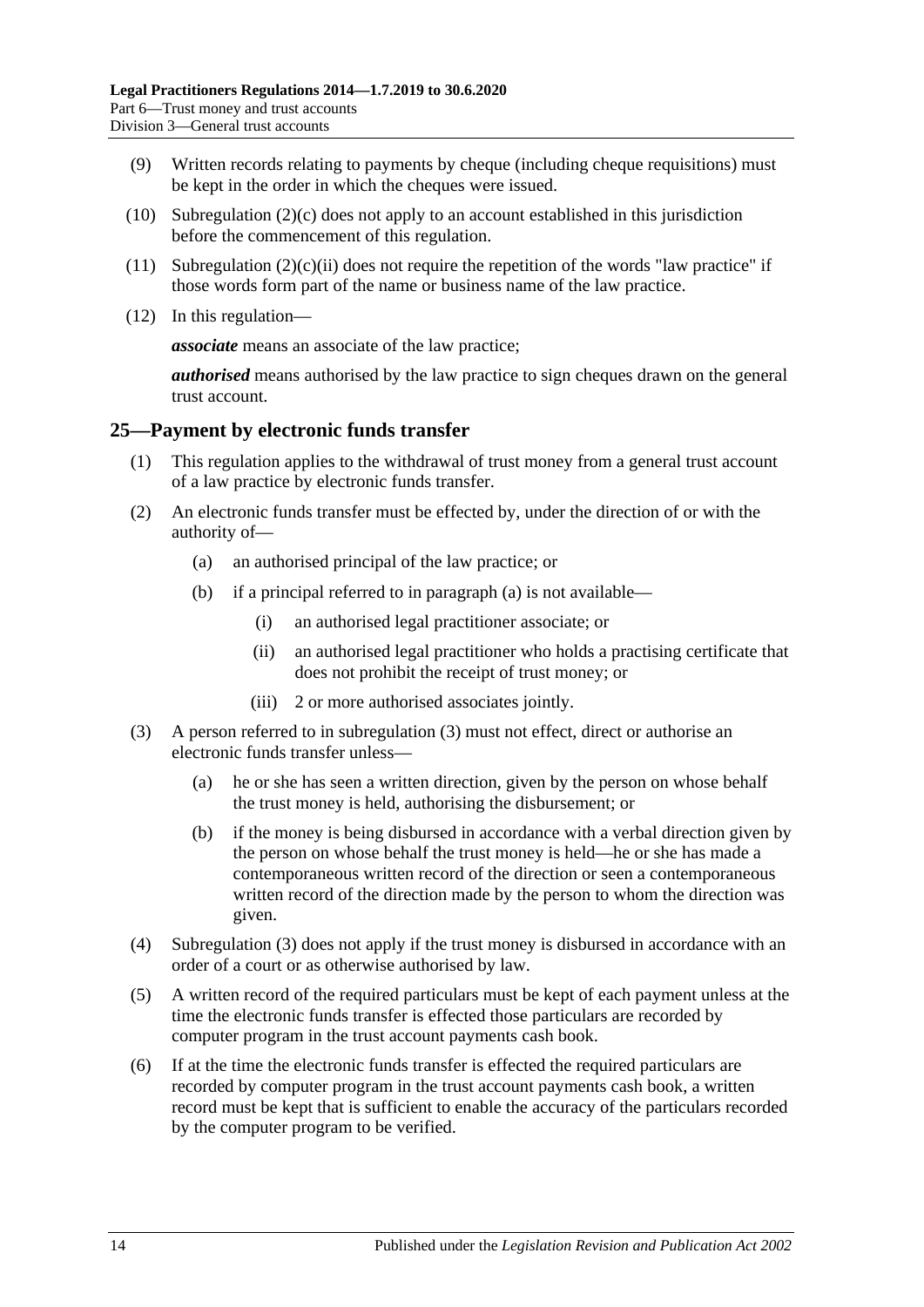- (9) Written records relating to payments by cheque (including cheque requisitions) must be kept in the order in which the cheques were issued.
- (10) [Subregulation](#page-11-4)  $(2)(c)$  does not apply to an account established in this jurisdiction before the commencement of this regulation.
- (11) [Subregulation](#page-12-5)  $(2)(c)(ii)$  does not require the repetition of the words "law practice" if those words form part of the name or business name of the law practice.
- (12) In this regulation—

*associate* means an associate of the law practice;

*authorised* means authorised by the law practice to sign cheques drawn on the general trust account.

#### <span id="page-13-0"></span>**25—Payment by electronic funds transfer**

- (1) This regulation applies to the withdrawal of trust money from a general trust account of a law practice by electronic funds transfer.
- <span id="page-13-1"></span>(2) An electronic funds transfer must be effected by, under the direction of or with the authority of—
	- (a) an authorised principal of the law practice; or
	- (b) if a principal referred to in [paragraph](#page-13-1) (a) is not available—
		- (i) an authorised legal practitioner associate; or
		- (ii) an authorised legal practitioner who holds a practising certificate that does not prohibit the receipt of trust money; or
		- (iii) 2 or more authorised associates jointly.
- <span id="page-13-2"></span>(3) A person referred to in [subregulation](#page-12-1) (3) must not effect, direct or authorise an electronic funds transfer unless—
	- (a) he or she has seen a written direction, given by the person on whose behalf the trust money is held, authorising the disbursement; or
	- (b) if the money is being disbursed in accordance with a verbal direction given by the person on whose behalf the trust money is held—he or she has made a contemporaneous written record of the direction or seen a contemporaneous written record of the direction made by the person to whom the direction was given.
- (4) [Subregulation](#page-13-2) (3) does not apply if the trust money is disbursed in accordance with an order of a court or as otherwise authorised by law.
- <span id="page-13-3"></span>(5) A written record of the required particulars must be kept of each payment unless at the time the electronic funds transfer is effected those particulars are recorded by computer program in the trust account payments cash book.
- <span id="page-13-4"></span>(6) If at the time the electronic funds transfer is effected the required particulars are recorded by computer program in the trust account payments cash book, a written record must be kept that is sufficient to enable the accuracy of the particulars recorded by the computer program to be verified.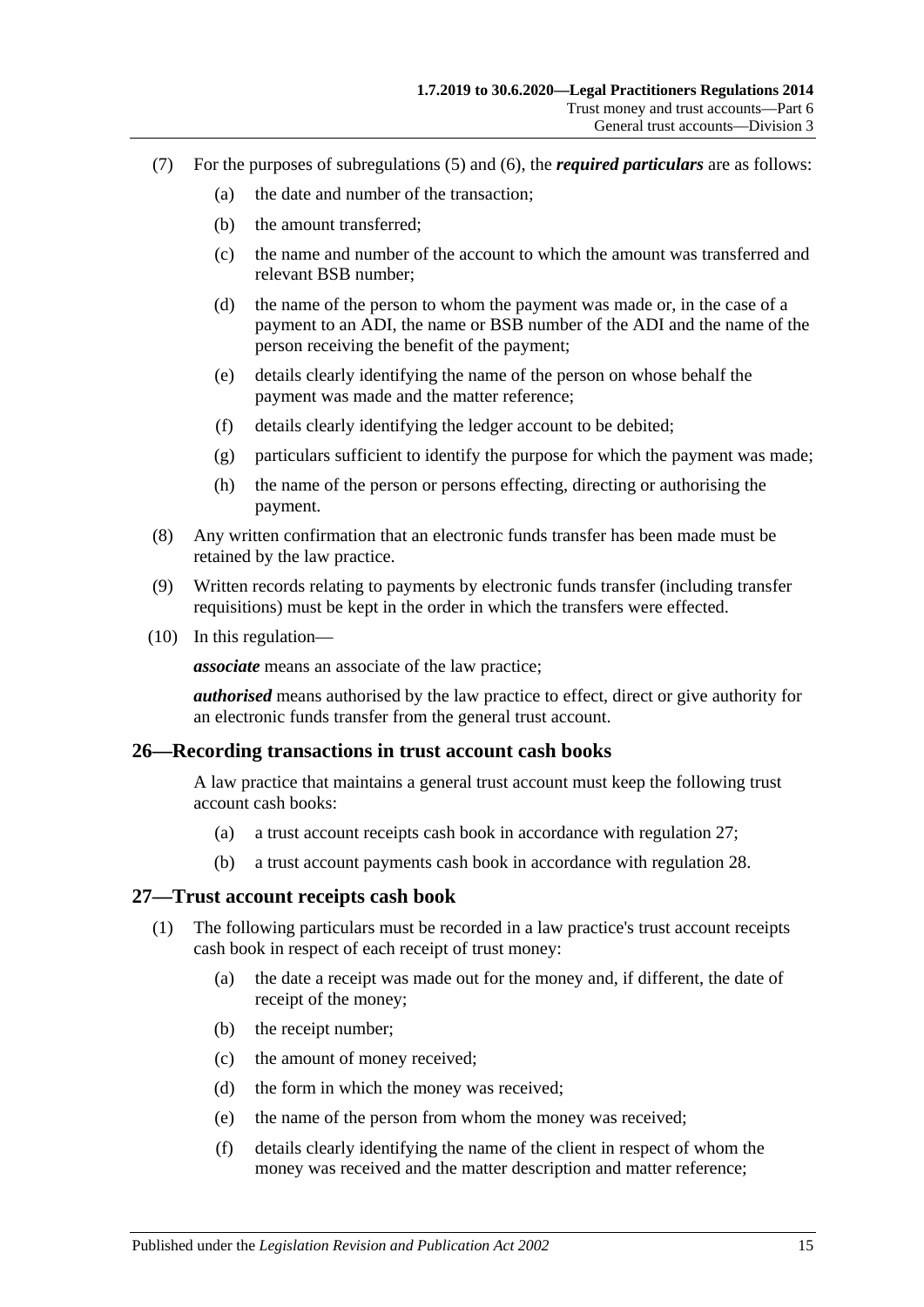- (7) For the purposes of [subregulations](#page-13-3) (5) and [\(6\),](#page-13-4) the *required particulars* are as follows:
	- (a) the date and number of the transaction;
	- (b) the amount transferred;
	- (c) the name and number of the account to which the amount was transferred and relevant BSB number;
	- (d) the name of the person to whom the payment was made or, in the case of a payment to an ADI, the name or BSB number of the ADI and the name of the person receiving the benefit of the payment;
	- (e) details clearly identifying the name of the person on whose behalf the payment was made and the matter reference;
	- (f) details clearly identifying the ledger account to be debited;
	- (g) particulars sufficient to identify the purpose for which the payment was made;
	- (h) the name of the person or persons effecting, directing or authorising the payment.
- (8) Any written confirmation that an electronic funds transfer has been made must be retained by the law practice.
- (9) Written records relating to payments by electronic funds transfer (including transfer requisitions) must be kept in the order in which the transfers were effected.
- (10) In this regulation—

*associate* means an associate of the law practice;

*authorised* means authorised by the law practice to effect, direct or give authority for an electronic funds transfer from the general trust account.

#### <span id="page-14-0"></span>**26—Recording transactions in trust account cash books**

A law practice that maintains a general trust account must keep the following trust account cash books:

- (a) a trust account receipts cash book in accordance with [regulation](#page-14-1) 27;
- (b) a trust account payments cash book in accordance with [regulation](#page-15-0) 28.

#### <span id="page-14-1"></span>**27—Trust account receipts cash book**

- (1) The following particulars must be recorded in a law practice's trust account receipts cash book in respect of each receipt of trust money:
	- (a) the date a receipt was made out for the money and, if different, the date of receipt of the money;
	- (b) the receipt number;
	- (c) the amount of money received;
	- (d) the form in which the money was received;
	- (e) the name of the person from whom the money was received;
	- (f) details clearly identifying the name of the client in respect of whom the money was received and the matter description and matter reference;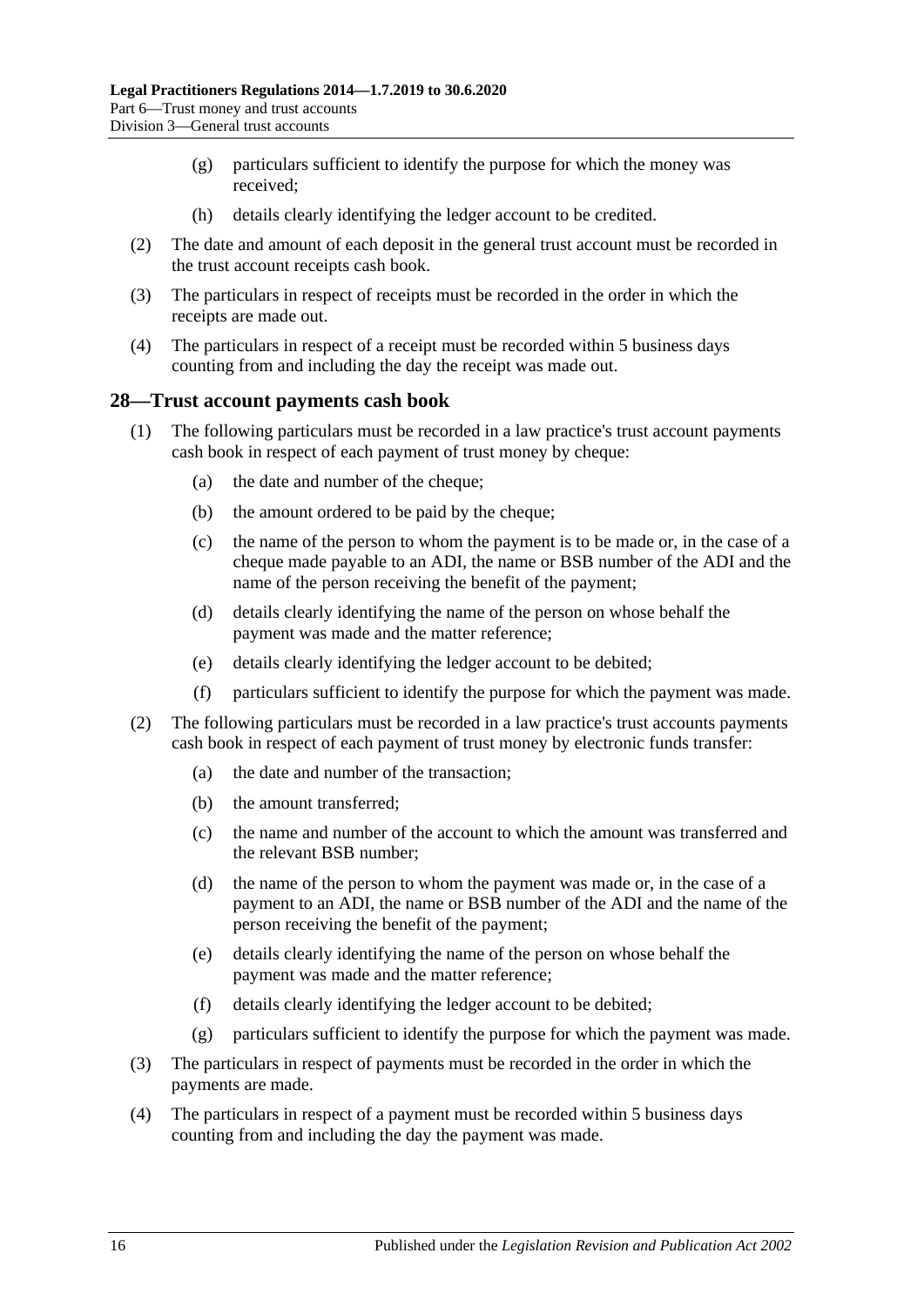- (g) particulars sufficient to identify the purpose for which the money was received;
- (h) details clearly identifying the ledger account to be credited.
- (2) The date and amount of each deposit in the general trust account must be recorded in the trust account receipts cash book.
- (3) The particulars in respect of receipts must be recorded in the order in which the receipts are made out.
- (4) The particulars in respect of a receipt must be recorded within 5 business days counting from and including the day the receipt was made out.

#### <span id="page-15-0"></span>**28—Trust account payments cash book**

- (1) The following particulars must be recorded in a law practice's trust account payments cash book in respect of each payment of trust money by cheque:
	- (a) the date and number of the cheque;
	- (b) the amount ordered to be paid by the cheque;
	- (c) the name of the person to whom the payment is to be made or, in the case of a cheque made payable to an ADI, the name or BSB number of the ADI and the name of the person receiving the benefit of the payment;
	- (d) details clearly identifying the name of the person on whose behalf the payment was made and the matter reference;
	- (e) details clearly identifying the ledger account to be debited;
	- (f) particulars sufficient to identify the purpose for which the payment was made.
- (2) The following particulars must be recorded in a law practice's trust accounts payments cash book in respect of each payment of trust money by electronic funds transfer:
	- (a) the date and number of the transaction;
	- (b) the amount transferred;
	- (c) the name and number of the account to which the amount was transferred and the relevant BSB number;
	- (d) the name of the person to whom the payment was made or, in the case of a payment to an ADI, the name or BSB number of the ADI and the name of the person receiving the benefit of the payment;
	- (e) details clearly identifying the name of the person on whose behalf the payment was made and the matter reference;
	- (f) details clearly identifying the ledger account to be debited;
	- (g) particulars sufficient to identify the purpose for which the payment was made.
- (3) The particulars in respect of payments must be recorded in the order in which the payments are made.
- (4) The particulars in respect of a payment must be recorded within 5 business days counting from and including the day the payment was made.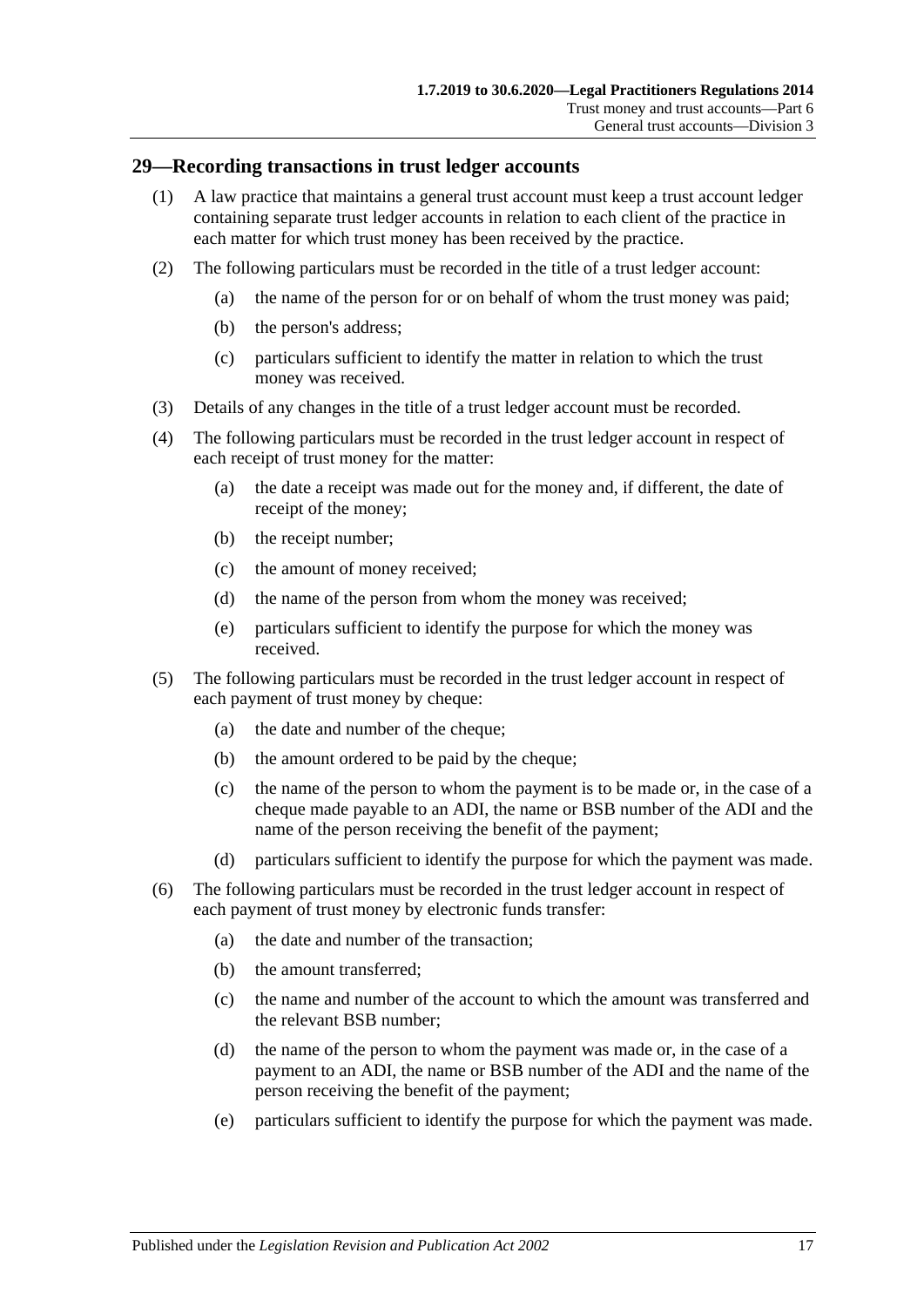#### <span id="page-16-0"></span>**29—Recording transactions in trust ledger accounts**

- (1) A law practice that maintains a general trust account must keep a trust account ledger containing separate trust ledger accounts in relation to each client of the practice in each matter for which trust money has been received by the practice.
- (2) The following particulars must be recorded in the title of a trust ledger account:
	- (a) the name of the person for or on behalf of whom the trust money was paid;
	- (b) the person's address;
	- (c) particulars sufficient to identify the matter in relation to which the trust money was received.
- (3) Details of any changes in the title of a trust ledger account must be recorded.
- (4) The following particulars must be recorded in the trust ledger account in respect of each receipt of trust money for the matter:
	- (a) the date a receipt was made out for the money and, if different, the date of receipt of the money;
	- (b) the receipt number;
	- (c) the amount of money received;
	- (d) the name of the person from whom the money was received;
	- (e) particulars sufficient to identify the purpose for which the money was received.
- (5) The following particulars must be recorded in the trust ledger account in respect of each payment of trust money by cheque:
	- (a) the date and number of the cheque;
	- (b) the amount ordered to be paid by the cheque;
	- (c) the name of the person to whom the payment is to be made or, in the case of a cheque made payable to an ADI, the name or BSB number of the ADI and the name of the person receiving the benefit of the payment;
	- (d) particulars sufficient to identify the purpose for which the payment was made.
- (6) The following particulars must be recorded in the trust ledger account in respect of each payment of trust money by electronic funds transfer:
	- (a) the date and number of the transaction;
	- (b) the amount transferred;
	- (c) the name and number of the account to which the amount was transferred and the relevant BSB number;
	- (d) the name of the person to whom the payment was made or, in the case of a payment to an ADI, the name or BSB number of the ADI and the name of the person receiving the benefit of the payment;
	- (e) particulars sufficient to identify the purpose for which the payment was made.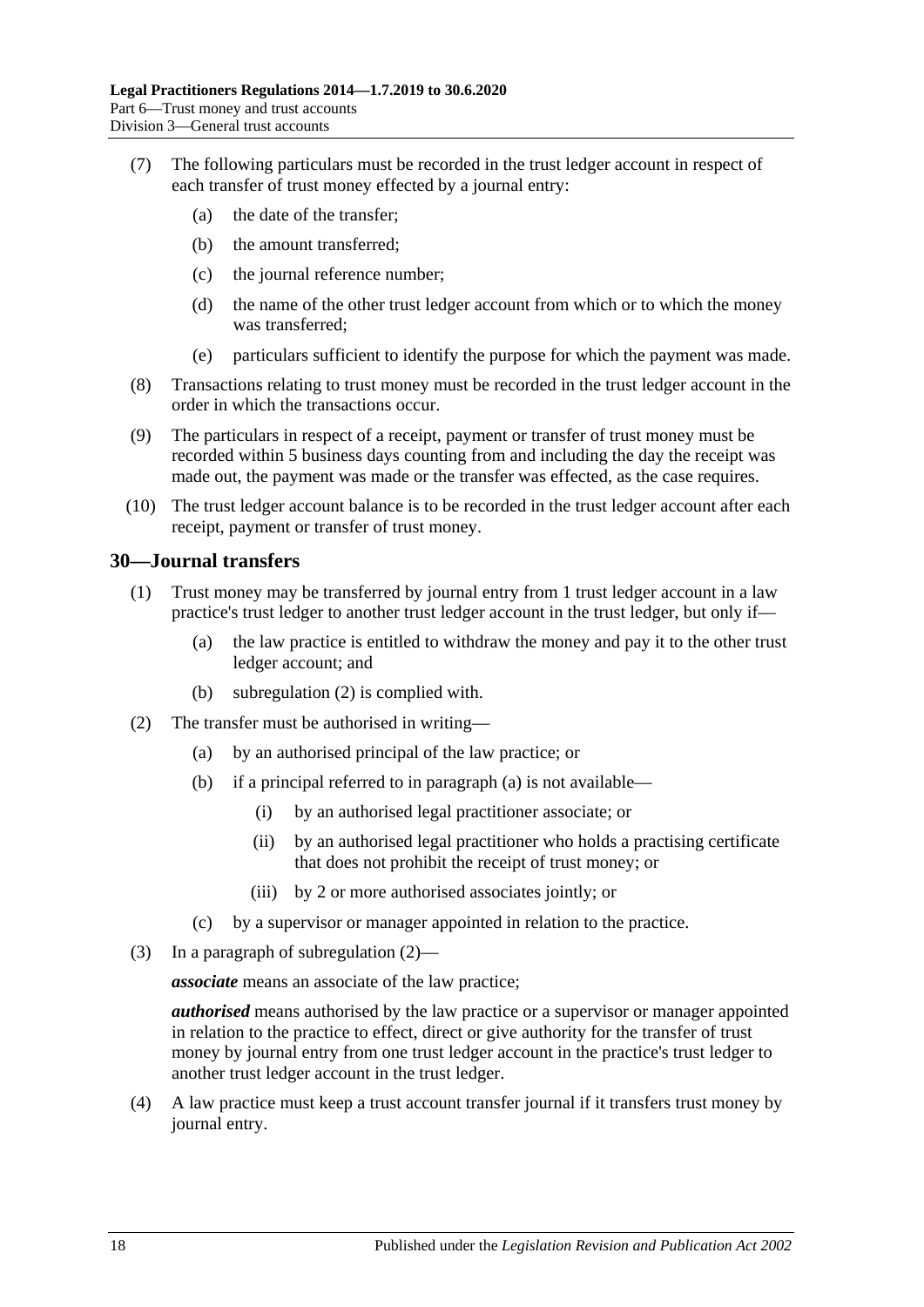- (7) The following particulars must be recorded in the trust ledger account in respect of each transfer of trust money effected by a journal entry:
	- (a) the date of the transfer;
	- (b) the amount transferred;
	- (c) the journal reference number;
	- (d) the name of the other trust ledger account from which or to which the money was transferred;
	- (e) particulars sufficient to identify the purpose for which the payment was made.
- (8) Transactions relating to trust money must be recorded in the trust ledger account in the order in which the transactions occur.
- (9) The particulars in respect of a receipt, payment or transfer of trust money must be recorded within 5 business days counting from and including the day the receipt was made out, the payment was made or the transfer was effected, as the case requires.
- (10) The trust ledger account balance is to be recorded in the trust ledger account after each receipt, payment or transfer of trust money.

#### <span id="page-17-0"></span>**30—Journal transfers**

- (1) Trust money may be transferred by journal entry from 1 trust ledger account in a law practice's trust ledger to another trust ledger account in the trust ledger, but only if—
	- (a) the law practice is entitled to withdraw the money and pay it to the other trust ledger account; and
	- (b) [subregulation](#page-17-1) (2) is complied with.
- <span id="page-17-2"></span><span id="page-17-1"></span>(2) The transfer must be authorised in writing—
	- (a) by an authorised principal of the law practice; or
	- (b) if a principal referred to in [paragraph](#page-17-2) (a) is not available—
		- (i) by an authorised legal practitioner associate; or
		- (ii) by an authorised legal practitioner who holds a practising certificate that does not prohibit the receipt of trust money; or
		- (iii) by 2 or more authorised associates jointly; or
	- (c) by a supervisor or manager appointed in relation to the practice.
- (3) In a paragraph of [subregulation](#page-17-1) (2)—

*associate* means an associate of the law practice;

*authorised* means authorised by the law practice or a supervisor or manager appointed in relation to the practice to effect, direct or give authority for the transfer of trust money by journal entry from one trust ledger account in the practice's trust ledger to another trust ledger account in the trust ledger.

(4) A law practice must keep a trust account transfer journal if it transfers trust money by journal entry.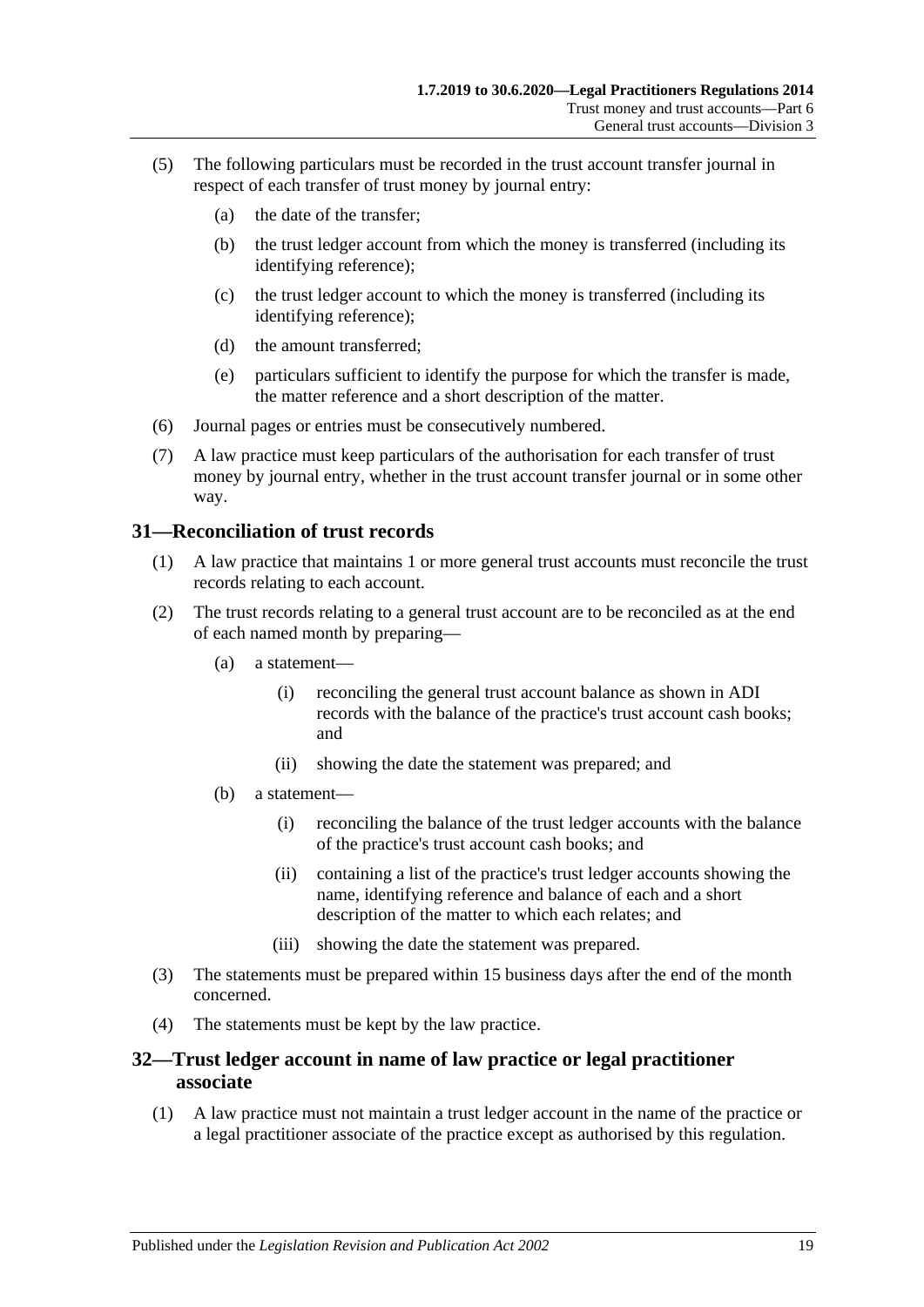- (5) The following particulars must be recorded in the trust account transfer journal in respect of each transfer of trust money by journal entry:
	- (a) the date of the transfer;
	- (b) the trust ledger account from which the money is transferred (including its identifying reference);
	- (c) the trust ledger account to which the money is transferred (including its identifying reference);
	- (d) the amount transferred;
	- (e) particulars sufficient to identify the purpose for which the transfer is made, the matter reference and a short description of the matter.
- (6) Journal pages or entries must be consecutively numbered.
- (7) A law practice must keep particulars of the authorisation for each transfer of trust money by journal entry, whether in the trust account transfer journal or in some other way.

#### <span id="page-18-0"></span>**31—Reconciliation of trust records**

- (1) A law practice that maintains 1 or more general trust accounts must reconcile the trust records relating to each account.
- (2) The trust records relating to a general trust account are to be reconciled as at the end of each named month by preparing—
	- (a) a statement—
		- (i) reconciling the general trust account balance as shown in ADI records with the balance of the practice's trust account cash books; and
		- (ii) showing the date the statement was prepared; and
	- (b) a statement—
		- (i) reconciling the balance of the trust ledger accounts with the balance of the practice's trust account cash books; and
		- (ii) containing a list of the practice's trust ledger accounts showing the name, identifying reference and balance of each and a short description of the matter to which each relates; and
		- (iii) showing the date the statement was prepared.
- (3) The statements must be prepared within 15 business days after the end of the month concerned.
- (4) The statements must be kept by the law practice.

#### <span id="page-18-1"></span>**32—Trust ledger account in name of law practice or legal practitioner associate**

(1) A law practice must not maintain a trust ledger account in the name of the practice or a legal practitioner associate of the practice except as authorised by this regulation.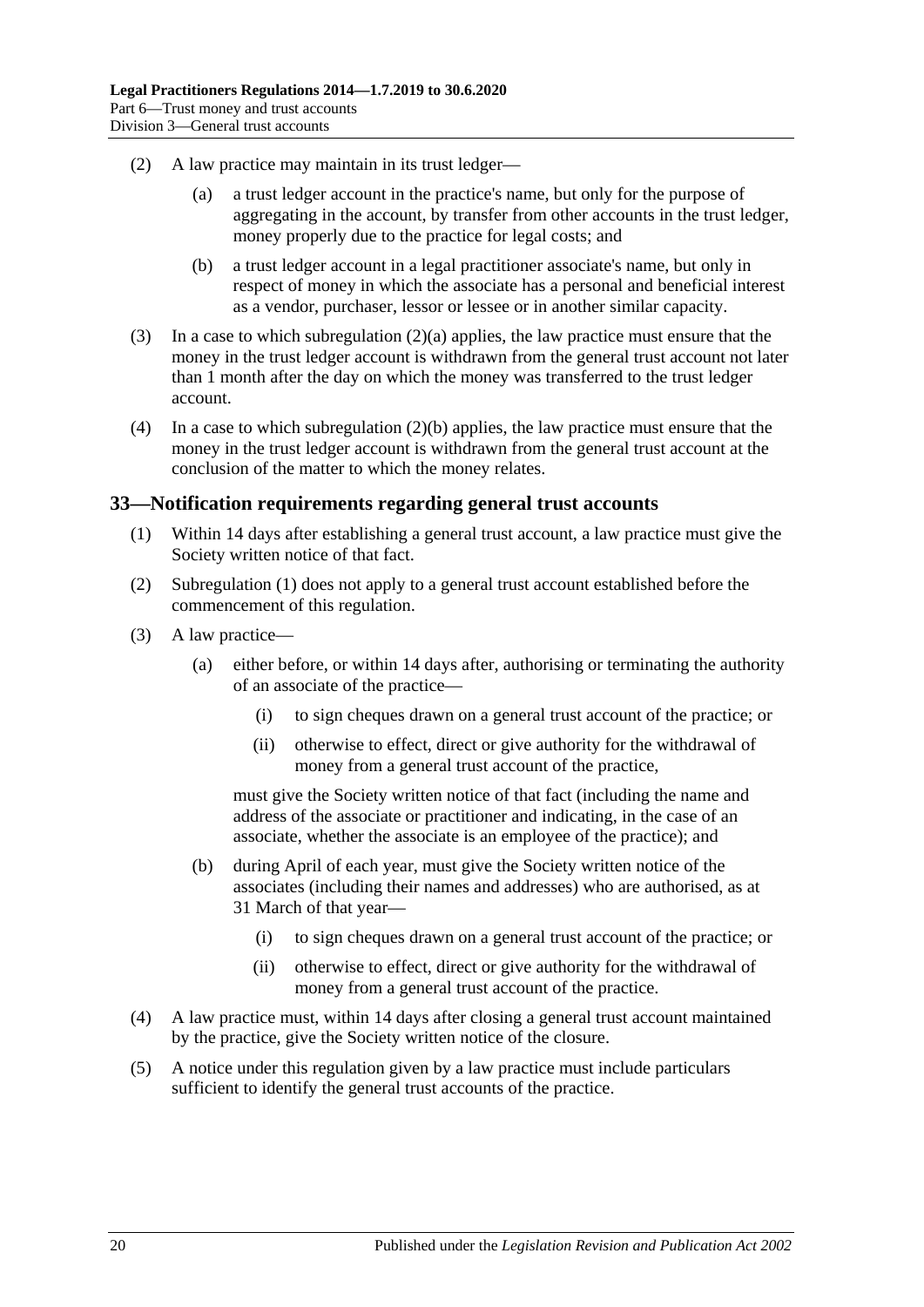- <span id="page-19-1"></span>(2) A law practice may maintain in its trust ledger—
	- (a) a trust ledger account in the practice's name, but only for the purpose of aggregating in the account, by transfer from other accounts in the trust ledger, money properly due to the practice for legal costs; and
	- (b) a trust ledger account in a legal practitioner associate's name, but only in respect of money in which the associate has a personal and beneficial interest as a vendor, purchaser, lessor or lessee or in another similar capacity.
- <span id="page-19-2"></span>(3) In a case to which [subregulation](#page-19-1) (2)(a) applies, the law practice must ensure that the money in the trust ledger account is withdrawn from the general trust account not later than 1 month after the day on which the money was transferred to the trust ledger account.
- (4) In a case to which [subregulation](#page-19-2) (2)(b) applies, the law practice must ensure that the money in the trust ledger account is withdrawn from the general trust account at the conclusion of the matter to which the money relates.

#### <span id="page-19-3"></span><span id="page-19-0"></span>**33—Notification requirements regarding general trust accounts**

- (1) Within 14 days after establishing a general trust account, a law practice must give the Society written notice of that fact.
- (2) [Subregulation](#page-19-3) (1) does not apply to a general trust account established before the commencement of this regulation.
- (3) A law practice—
	- (a) either before, or within 14 days after, authorising or terminating the authority of an associate of the practice—
		- (i) to sign cheques drawn on a general trust account of the practice; or
		- (ii) otherwise to effect, direct or give authority for the withdrawal of money from a general trust account of the practice,

must give the Society written notice of that fact (including the name and address of the associate or practitioner and indicating, in the case of an associate, whether the associate is an employee of the practice); and

- (b) during April of each year, must give the Society written notice of the associates (including their names and addresses) who are authorised, as at 31 March of that year—
	- (i) to sign cheques drawn on a general trust account of the practice; or
	- (ii) otherwise to effect, direct or give authority for the withdrawal of money from a general trust account of the practice.
- (4) A law practice must, within 14 days after closing a general trust account maintained by the practice, give the Society written notice of the closure.
- (5) A notice under this regulation given by a law practice must include particulars sufficient to identify the general trust accounts of the practice.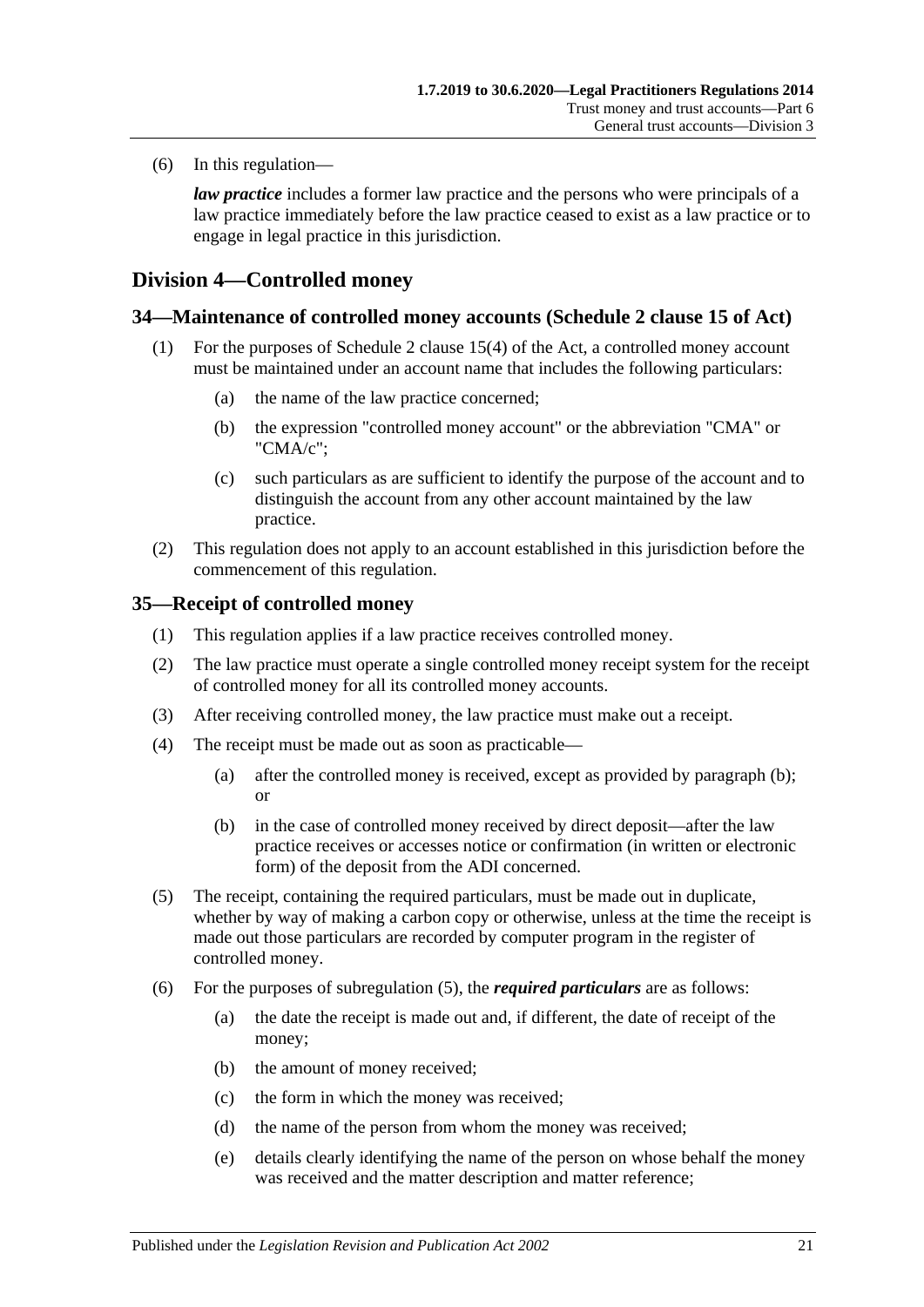(6) In this regulation—

*law practice* includes a former law practice and the persons who were principals of a law practice immediately before the law practice ceased to exist as a law practice or to engage in legal practice in this jurisdiction.

## <span id="page-20-0"></span>**Division 4—Controlled money**

#### <span id="page-20-1"></span>**34—Maintenance of controlled money accounts (Schedule 2 clause 15 of Act)**

- (1) For the purposes of Schedule 2 clause 15(4) of the Act, a controlled money account must be maintained under an account name that includes the following particulars:
	- (a) the name of the law practice concerned;
	- (b) the expression "controlled money account" or the abbreviation "CMA" or "CMA/c";
	- (c) such particulars as are sufficient to identify the purpose of the account and to distinguish the account from any other account maintained by the law practice.
- (2) This regulation does not apply to an account established in this jurisdiction before the commencement of this regulation.

#### <span id="page-20-2"></span>**35—Receipt of controlled money**

- (1) This regulation applies if a law practice receives controlled money.
- (2) The law practice must operate a single controlled money receipt system for the receipt of controlled money for all its controlled money accounts.
- (3) After receiving controlled money, the law practice must make out a receipt.
- <span id="page-20-3"></span>(4) The receipt must be made out as soon as practicable—
	- (a) after the controlled money is received, except as provided by [paragraph](#page-20-3) (b); or
	- (b) in the case of controlled money received by direct deposit—after the law practice receives or accesses notice or confirmation (in written or electronic form) of the deposit from the ADI concerned.
- <span id="page-20-4"></span>(5) The receipt, containing the required particulars, must be made out in duplicate, whether by way of making a carbon copy or otherwise, unless at the time the receipt is made out those particulars are recorded by computer program in the register of controlled money.
- (6) For the purposes of [subregulation](#page-20-4) (5), the *required particulars* are as follows:
	- (a) the date the receipt is made out and, if different, the date of receipt of the money;
	- (b) the amount of money received;
	- (c) the form in which the money was received;
	- (d) the name of the person from whom the money was received;
	- (e) details clearly identifying the name of the person on whose behalf the money was received and the matter description and matter reference;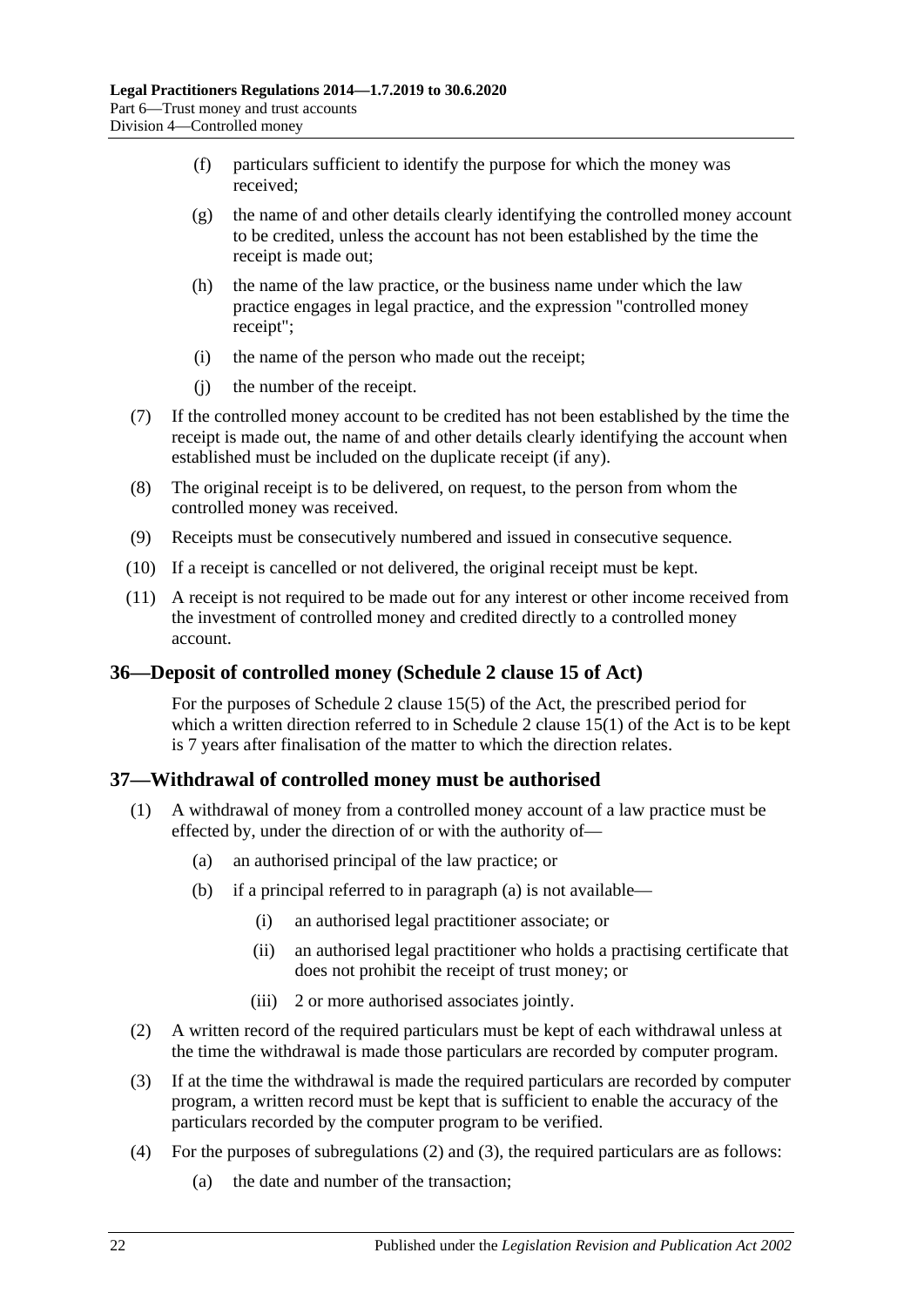- (f) particulars sufficient to identify the purpose for which the money was received;
- (g) the name of and other details clearly identifying the controlled money account to be credited, unless the account has not been established by the time the receipt is made out;
- (h) the name of the law practice, or the business name under which the law practice engages in legal practice, and the expression "controlled money receipt";
- (i) the name of the person who made out the receipt;
- (j) the number of the receipt.
- (7) If the controlled money account to be credited has not been established by the time the receipt is made out, the name of and other details clearly identifying the account when established must be included on the duplicate receipt (if any).
- (8) The original receipt is to be delivered, on request, to the person from whom the controlled money was received.
- (9) Receipts must be consecutively numbered and issued in consecutive sequence.
- (10) If a receipt is cancelled or not delivered, the original receipt must be kept.
- (11) A receipt is not required to be made out for any interest or other income received from the investment of controlled money and credited directly to a controlled money account.

#### <span id="page-21-0"></span>**36—Deposit of controlled money (Schedule 2 clause 15 of Act)**

For the purposes of Schedule 2 clause 15(5) of the Act, the prescribed period for which a written direction referred to in Schedule 2 clause  $15(1)$  of the Act is to be kept is 7 years after finalisation of the matter to which the direction relates.

## <span id="page-21-1"></span>**37—Withdrawal of controlled money must be authorised**

- <span id="page-21-2"></span>(1) A withdrawal of money from a controlled money account of a law practice must be effected by, under the direction of or with the authority of—
	- (a) an authorised principal of the law practice; or
	- (b) if a principal referred to in [paragraph](#page-21-2) (a) is not available—
		- (i) an authorised legal practitioner associate; or
		- (ii) an authorised legal practitioner who holds a practising certificate that does not prohibit the receipt of trust money; or
		- (iii) 2 or more authorised associates jointly.
- <span id="page-21-3"></span>(2) A written record of the required particulars must be kept of each withdrawal unless at the time the withdrawal is made those particulars are recorded by computer program.
- <span id="page-21-4"></span>(3) If at the time the withdrawal is made the required particulars are recorded by computer program, a written record must be kept that is sufficient to enable the accuracy of the particulars recorded by the computer program to be verified.
- <span id="page-21-5"></span>(4) For the purposes of [subregulations](#page-21-3) (2) and [\(3\),](#page-21-4) the required particulars are as follows:
	- (a) the date and number of the transaction;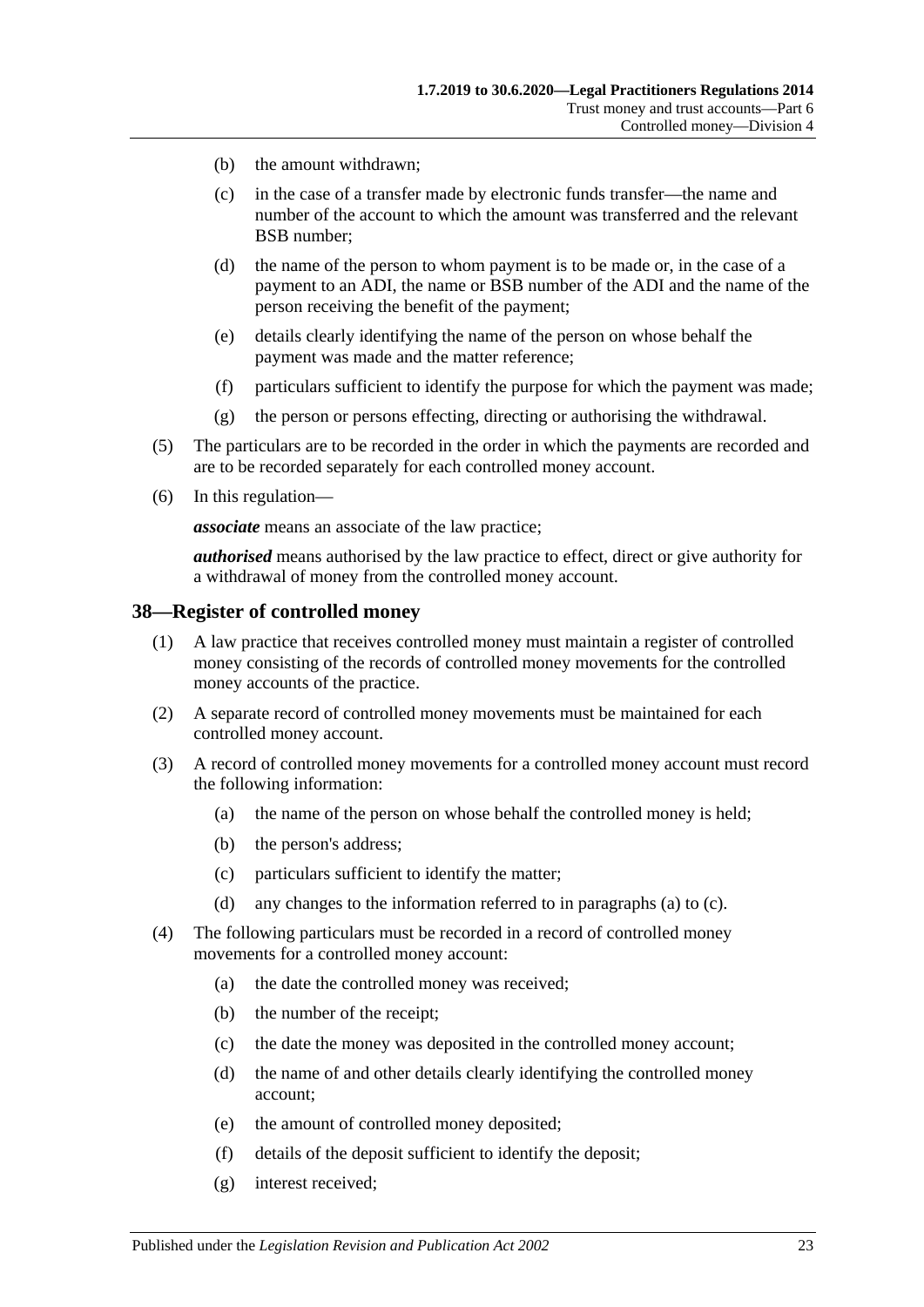- (b) the amount withdrawn;
- (c) in the case of a transfer made by electronic funds transfer—the name and number of the account to which the amount was transferred and the relevant BSB number;
- (d) the name of the person to whom payment is to be made or, in the case of a payment to an ADI, the name or BSB number of the ADI and the name of the person receiving the benefit of the payment;
- (e) details clearly identifying the name of the person on whose behalf the payment was made and the matter reference;
- (f) particulars sufficient to identify the purpose for which the payment was made;
- (g) the person or persons effecting, directing or authorising the withdrawal.
- (5) The particulars are to be recorded in the order in which the payments are recorded and are to be recorded separately for each controlled money account.
- (6) In this regulation—

*associate* means an associate of the law practice;

*authorised* means authorised by the law practice to effect, direct or give authority for a withdrawal of money from the controlled money account.

#### <span id="page-22-0"></span>**38—Register of controlled money**

- (1) A law practice that receives controlled money must maintain a register of controlled money consisting of the records of controlled money movements for the controlled money accounts of the practice.
- (2) A separate record of controlled money movements must be maintained for each controlled money account.
- <span id="page-22-1"></span>(3) A record of controlled money movements for a controlled money account must record the following information:
	- (a) the name of the person on whose behalf the controlled money is held;
	- (b) the person's address;
	- (c) particulars sufficient to identify the matter;
	- (d) any changes to the information referred to in [paragraphs](#page-22-1) (a) to [\(c\).](#page-22-2)
- <span id="page-22-2"></span>(4) The following particulars must be recorded in a record of controlled money movements for a controlled money account:
	- (a) the date the controlled money was received;
	- (b) the number of the receipt;
	- (c) the date the money was deposited in the controlled money account;
	- (d) the name of and other details clearly identifying the controlled money account;
	- (e) the amount of controlled money deposited;
	- (f) details of the deposit sufficient to identify the deposit;
	- (g) interest received;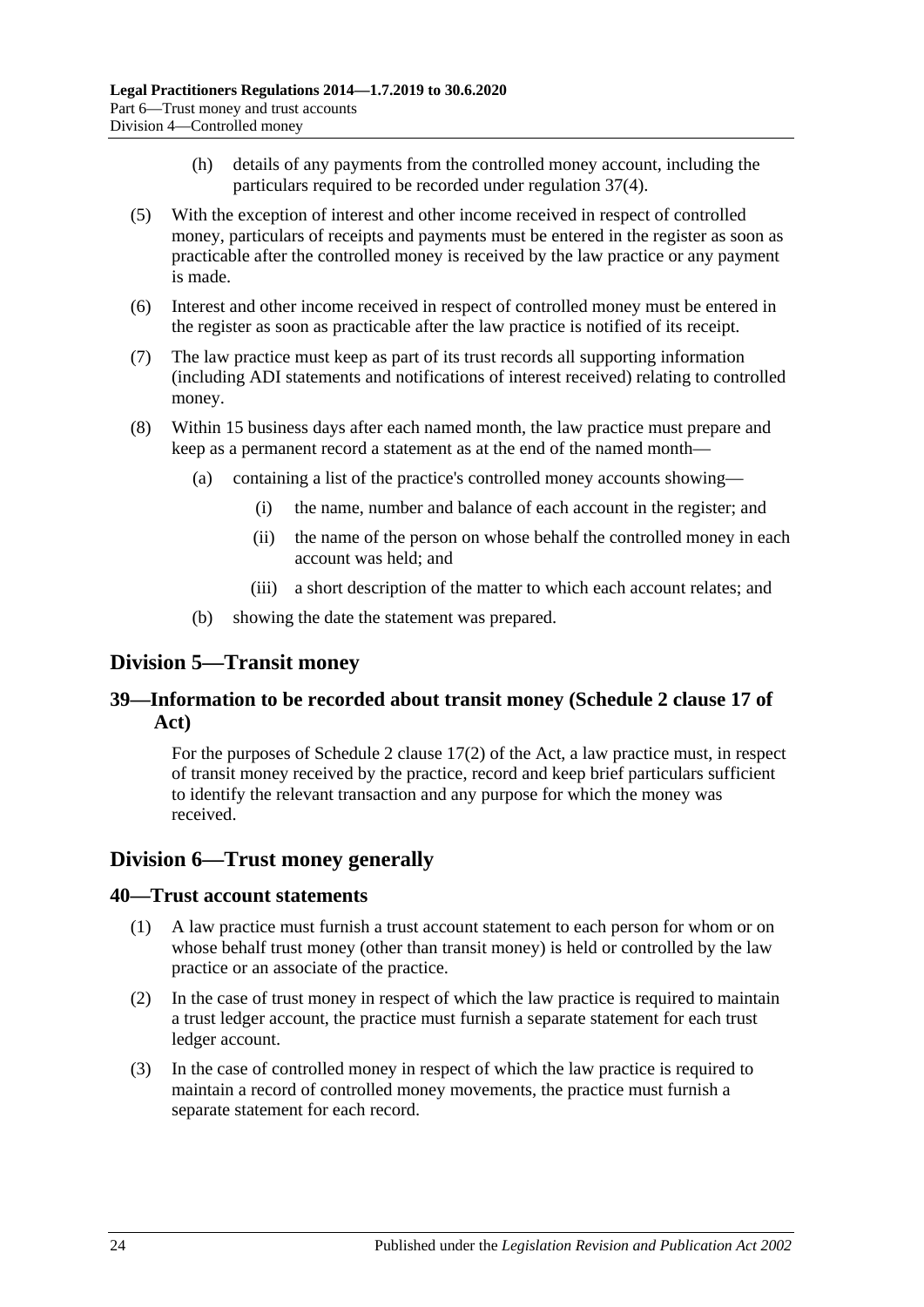- (h) details of any payments from the controlled money account, including the particulars required to be recorded under [regulation](#page-21-5) 37(4).
- (5) With the exception of interest and other income received in respect of controlled money, particulars of receipts and payments must be entered in the register as soon as practicable after the controlled money is received by the law practice or any payment is made.
- (6) Interest and other income received in respect of controlled money must be entered in the register as soon as practicable after the law practice is notified of its receipt.
- (7) The law practice must keep as part of its trust records all supporting information (including ADI statements and notifications of interest received) relating to controlled money.
- (8) Within 15 business days after each named month, the law practice must prepare and keep as a permanent record a statement as at the end of the named month—
	- (a) containing a list of the practice's controlled money accounts showing—
		- (i) the name, number and balance of each account in the register; and
		- (ii) the name of the person on whose behalf the controlled money in each account was held; and
		- (iii) a short description of the matter to which each account relates; and
	- (b) showing the date the statement was prepared.

## <span id="page-23-0"></span>**Division 5—Transit money**

## <span id="page-23-1"></span>**39—Information to be recorded about transit money (Schedule 2 clause 17 of Act)**

For the purposes of Schedule 2 clause 17(2) of the Act, a law practice must, in respect of transit money received by the practice, record and keep brief particulars sufficient to identify the relevant transaction and any purpose for which the money was received.

## <span id="page-23-2"></span>**Division 6—Trust money generally**

#### <span id="page-23-3"></span>**40—Trust account statements**

- (1) A law practice must furnish a trust account statement to each person for whom or on whose behalf trust money (other than transit money) is held or controlled by the law practice or an associate of the practice.
- (2) In the case of trust money in respect of which the law practice is required to maintain a trust ledger account, the practice must furnish a separate statement for each trust ledger account.
- (3) In the case of controlled money in respect of which the law practice is required to maintain a record of controlled money movements, the practice must furnish a separate statement for each record.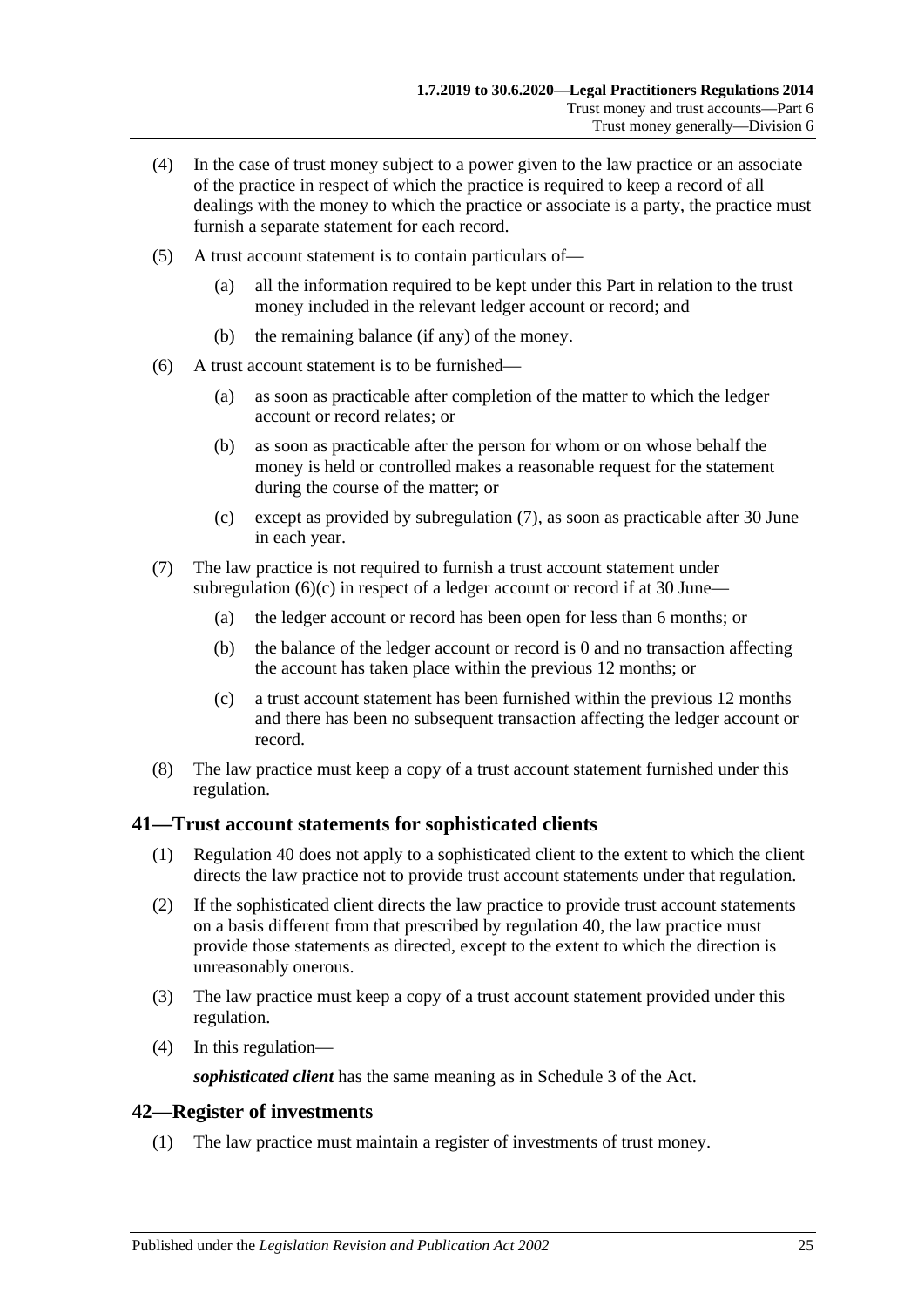- (4) In the case of trust money subject to a power given to the law practice or an associate of the practice in respect of which the practice is required to keep a record of all dealings with the money to which the practice or associate is a party, the practice must furnish a separate statement for each record.
- (5) A trust account statement is to contain particulars of—
	- (a) all the information required to be kept under this Part in relation to the trust money included in the relevant ledger account or record; and
	- (b) the remaining balance (if any) of the money.
- (6) A trust account statement is to be furnished—
	- (a) as soon as practicable after completion of the matter to which the ledger account or record relates; or
	- (b) as soon as practicable after the person for whom or on whose behalf the money is held or controlled makes a reasonable request for the statement during the course of the matter; or
	- (c) except as provided by [subregulation](#page-24-2) (7), as soon as practicable after 30 June in each year.
- <span id="page-24-3"></span><span id="page-24-2"></span>(7) The law practice is not required to furnish a trust account statement under [subregulation](#page-24-3)  $(6)(c)$  in respect of a ledger account or record if at 30 June—
	- (a) the ledger account or record has been open for less than 6 months; or
	- (b) the balance of the ledger account or record is 0 and no transaction affecting the account has taken place within the previous 12 months; or
	- (c) a trust account statement has been furnished within the previous 12 months and there has been no subsequent transaction affecting the ledger account or record.
- (8) The law practice must keep a copy of a trust account statement furnished under this regulation.

#### <span id="page-24-0"></span>**41—Trust account statements for sophisticated clients**

- (1) [Regulation](#page-23-3) 40 does not apply to a sophisticated client to the extent to which the client directs the law practice not to provide trust account statements under that regulation.
- (2) If the sophisticated client directs the law practice to provide trust account statements on a basis different from that prescribed by [regulation](#page-23-3) 40, the law practice must provide those statements as directed, except to the extent to which the direction is unreasonably onerous.
- (3) The law practice must keep a copy of a trust account statement provided under this regulation.
- (4) In this regulation—

*sophisticated client* has the same meaning as in Schedule 3 of the Act.

#### <span id="page-24-1"></span>**42—Register of investments**

(1) The law practice must maintain a register of investments of trust money.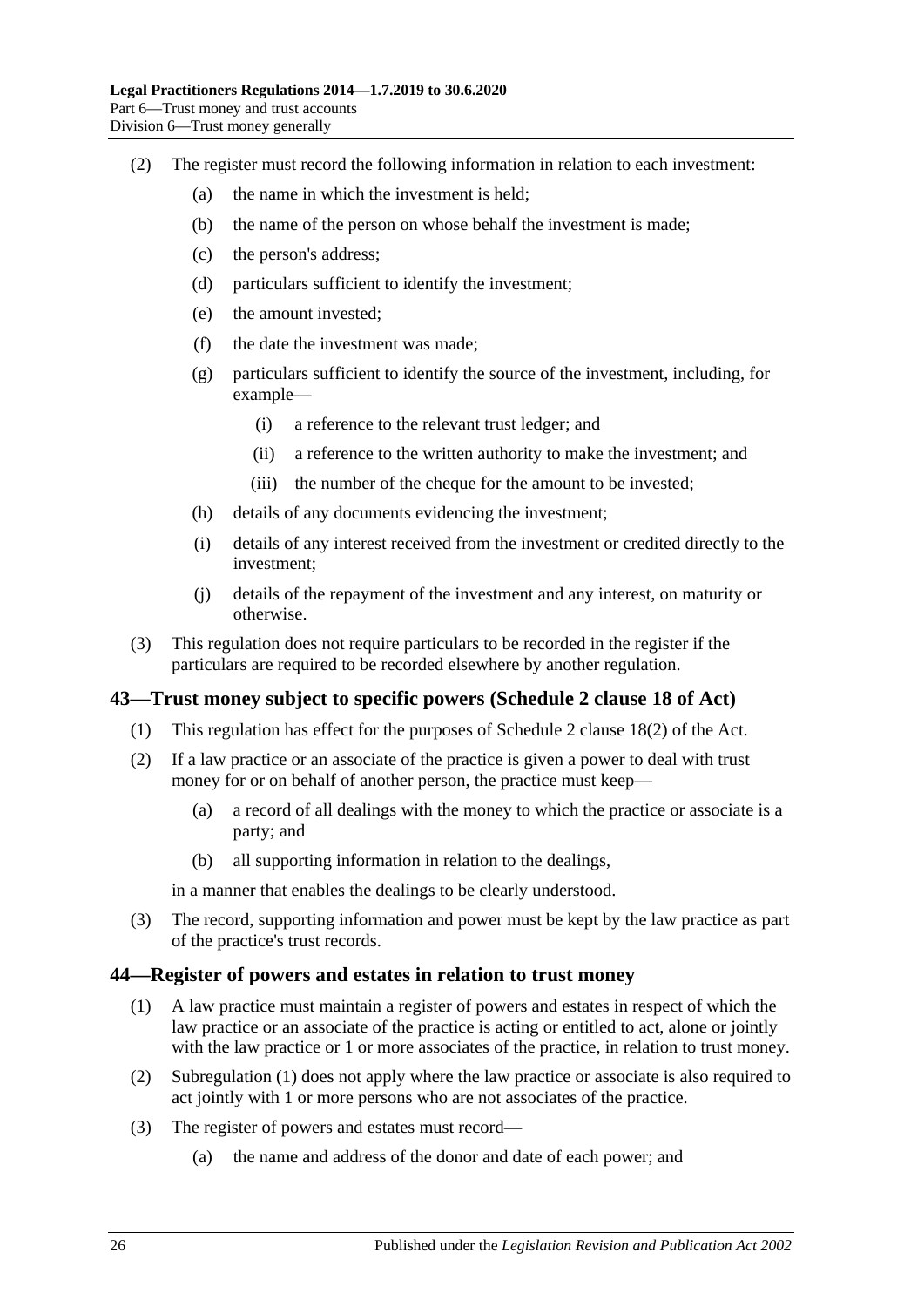- (2) The register must record the following information in relation to each investment:
	- (a) the name in which the investment is held;
	- (b) the name of the person on whose behalf the investment is made;
	- (c) the person's address;
	- (d) particulars sufficient to identify the investment;
	- (e) the amount invested;
	- (f) the date the investment was made;
	- (g) particulars sufficient to identify the source of the investment, including, for example—
		- (i) a reference to the relevant trust ledger; and
		- (ii) a reference to the written authority to make the investment; and
		- (iii) the number of the cheque for the amount to be invested;
	- (h) details of any documents evidencing the investment;
	- (i) details of any interest received from the investment or credited directly to the investment;
	- (j) details of the repayment of the investment and any interest, on maturity or otherwise.
- (3) This regulation does not require particulars to be recorded in the register if the particulars are required to be recorded elsewhere by another regulation.

#### <span id="page-25-0"></span>**43—Trust money subject to specific powers (Schedule 2 clause 18 of Act)**

- (1) This regulation has effect for the purposes of Schedule 2 clause 18(2) of the Act.
- (2) If a law practice or an associate of the practice is given a power to deal with trust money for or on behalf of another person, the practice must keep—
	- (a) a record of all dealings with the money to which the practice or associate is a party; and
	- (b) all supporting information in relation to the dealings,

in a manner that enables the dealings to be clearly understood.

(3) The record, supporting information and power must be kept by the law practice as part of the practice's trust records.

#### <span id="page-25-2"></span><span id="page-25-1"></span>**44—Register of powers and estates in relation to trust money**

- (1) A law practice must maintain a register of powers and estates in respect of which the law practice or an associate of the practice is acting or entitled to act, alone or jointly with the law practice or 1 or more associates of the practice, in relation to trust money.
- (2) [Subregulation](#page-25-2) (1) does not apply where the law practice or associate is also required to act jointly with 1 or more persons who are not associates of the practice.
- (3) The register of powers and estates must record—
	- (a) the name and address of the donor and date of each power; and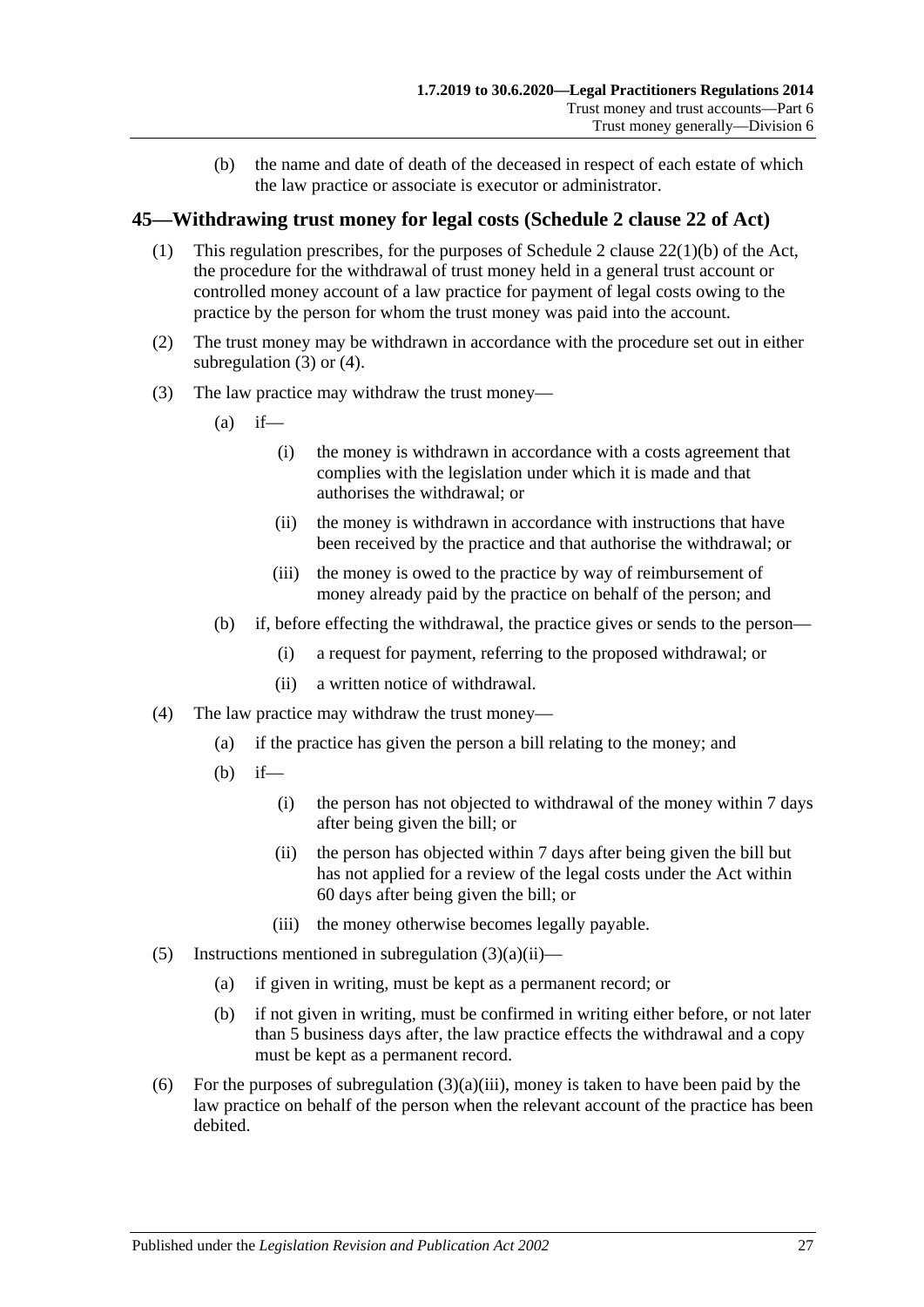(b) the name and date of death of the deceased in respect of each estate of which the law practice or associate is executor or administrator.

#### <span id="page-26-0"></span>**45—Withdrawing trust money for legal costs (Schedule 2 clause 22 of Act)**

- (1) This regulation prescribes, for the purposes of Schedule 2 clause 22(1)(b) of the Act, the procedure for the withdrawal of trust money held in a general trust account or controlled money account of a law practice for payment of legal costs owing to the practice by the person for whom the trust money was paid into the account.
- (2) The trust money may be withdrawn in accordance with the procedure set out in either [subregulation](#page-26-1) (3) or [\(4\).](#page-26-2)
- <span id="page-26-3"></span><span id="page-26-1"></span>(3) The law practice may withdraw the trust money—
	- $(a)$  if—
		- (i) the money is withdrawn in accordance with a costs agreement that complies with the legislation under which it is made and that authorises the withdrawal; or
		- (ii) the money is withdrawn in accordance with instructions that have been received by the practice and that authorise the withdrawal; or
		- (iii) the money is owed to the practice by way of reimbursement of money already paid by the practice on behalf of the person; and
	- (b) if, before effecting the withdrawal, the practice gives or sends to the person—
		- (i) a request for payment, referring to the proposed withdrawal; or
		- (ii) a written notice of withdrawal.
- <span id="page-26-4"></span><span id="page-26-2"></span>(4) The law practice may withdraw the trust money—
	- (a) if the practice has given the person a bill relating to the money; and
	- (b) if—
		- (i) the person has not objected to withdrawal of the money within 7 days after being given the bill; or
		- (ii) the person has objected within 7 days after being given the bill but has not applied for a review of the legal costs under the Act within 60 days after being given the bill; or
		- (iii) the money otherwise becomes legally payable.
- (5) Instructions mentioned in [subregulation](#page-26-3)  $(3)(a)(ii)$ 
	- (a) if given in writing, must be kept as a permanent record; or
	- (b) if not given in writing, must be confirmed in writing either before, or not later than 5 business days after, the law practice effects the withdrawal and a copy must be kept as a permanent record.
- (6) For the purposes of [subregulation](#page-26-4)  $(3)(a)(iii)$ , money is taken to have been paid by the law practice on behalf of the person when the relevant account of the practice has been debited.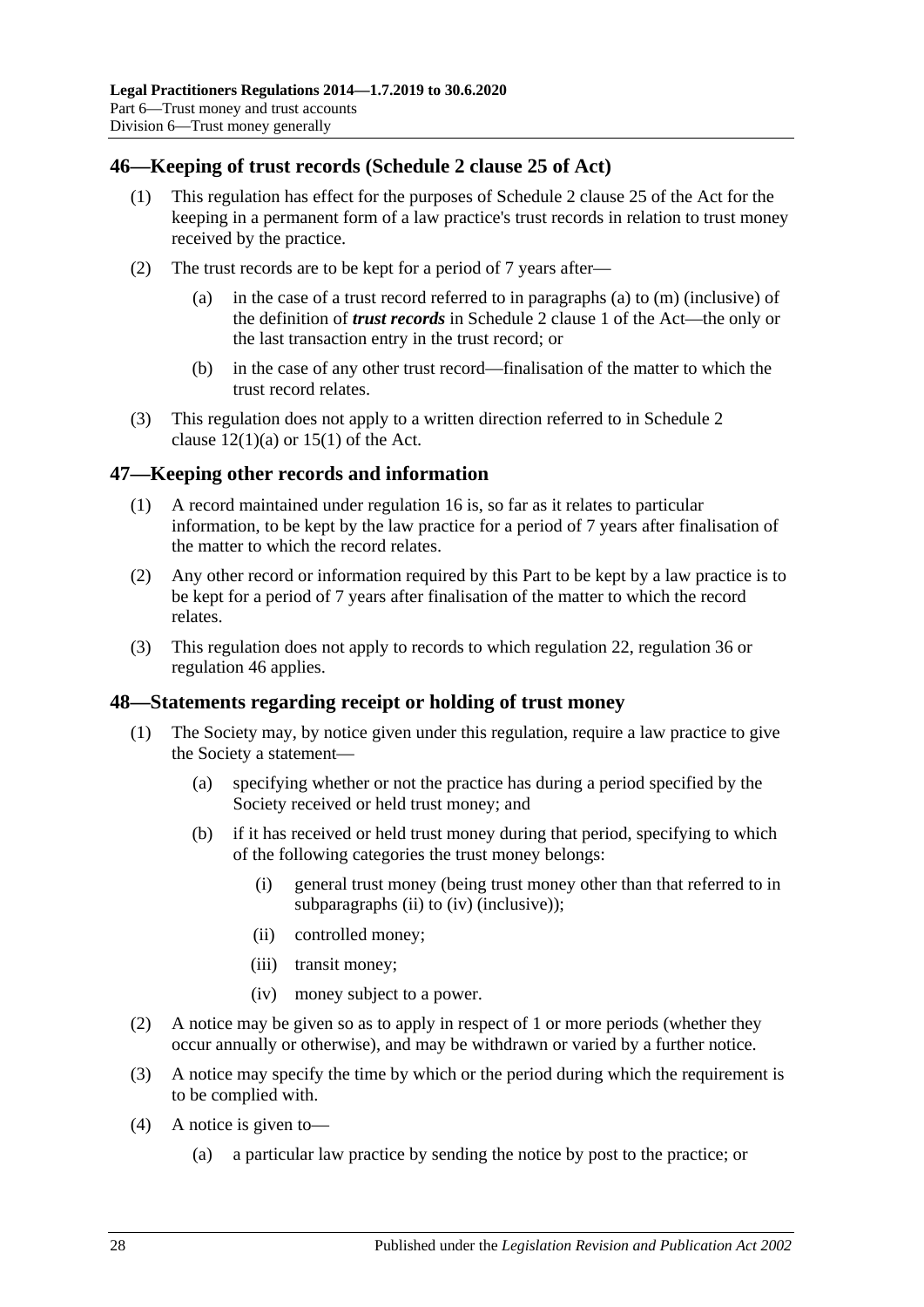### <span id="page-27-0"></span>**46—Keeping of trust records (Schedule 2 clause 25 of Act)**

- (1) This regulation has effect for the purposes of Schedule 2 clause 25 of the Act for the keeping in a permanent form of a law practice's trust records in relation to trust money received by the practice.
- (2) The trust records are to be kept for a period of 7 years after
	- in the case of a trust record referred to in paragraphs (a) to  $(m)$  (inclusive) of the definition of *trust records* in Schedule 2 clause 1 of the Act—the only or the last transaction entry in the trust record; or
	- (b) in the case of any other trust record—finalisation of the matter to which the trust record relates.
- (3) This regulation does not apply to a written direction referred to in Schedule 2 clause  $12(1)(a)$  or  $15(1)$  of the Act.

## <span id="page-27-1"></span>**47—Keeping other records and information**

- (1) A record maintained under [regulation](#page-8-1) 16 is, so far as it relates to particular information, to be kept by the law practice for a period of 7 years after finalisation of the matter to which the record relates.
- (2) Any other record or information required by this Part to be kept by a law practice is to be kept for a period of 7 years after finalisation of the matter to which the record relates.
- (3) This regulation does not apply to records to which [regulation](#page-11-1) 22, [regulation](#page-21-0) 36 or [regulation](#page-27-0) 46 applies.

#### <span id="page-27-2"></span>**48—Statements regarding receipt or holding of trust money**

- (1) The Society may, by notice given under this regulation, require a law practice to give the Society a statement—
	- (a) specifying whether or not the practice has during a period specified by the Society received or held trust money; and
	- (b) if it has received or held trust money during that period, specifying to which of the following categories the trust money belongs:
		- (i) general trust money (being trust money other than that referred to in [subparagraphs](#page-27-3) (ii) to [\(iv\)](#page-27-4) (inclusive));
		- (ii) controlled money;
		- (iii) transit money;
		- (iv) money subject to a power.
- <span id="page-27-4"></span><span id="page-27-3"></span>(2) A notice may be given so as to apply in respect of 1 or more periods (whether they occur annually or otherwise), and may be withdrawn or varied by a further notice.
- (3) A notice may specify the time by which or the period during which the requirement is to be complied with.
- (4) A notice is given to—
	- (a) a particular law practice by sending the notice by post to the practice; or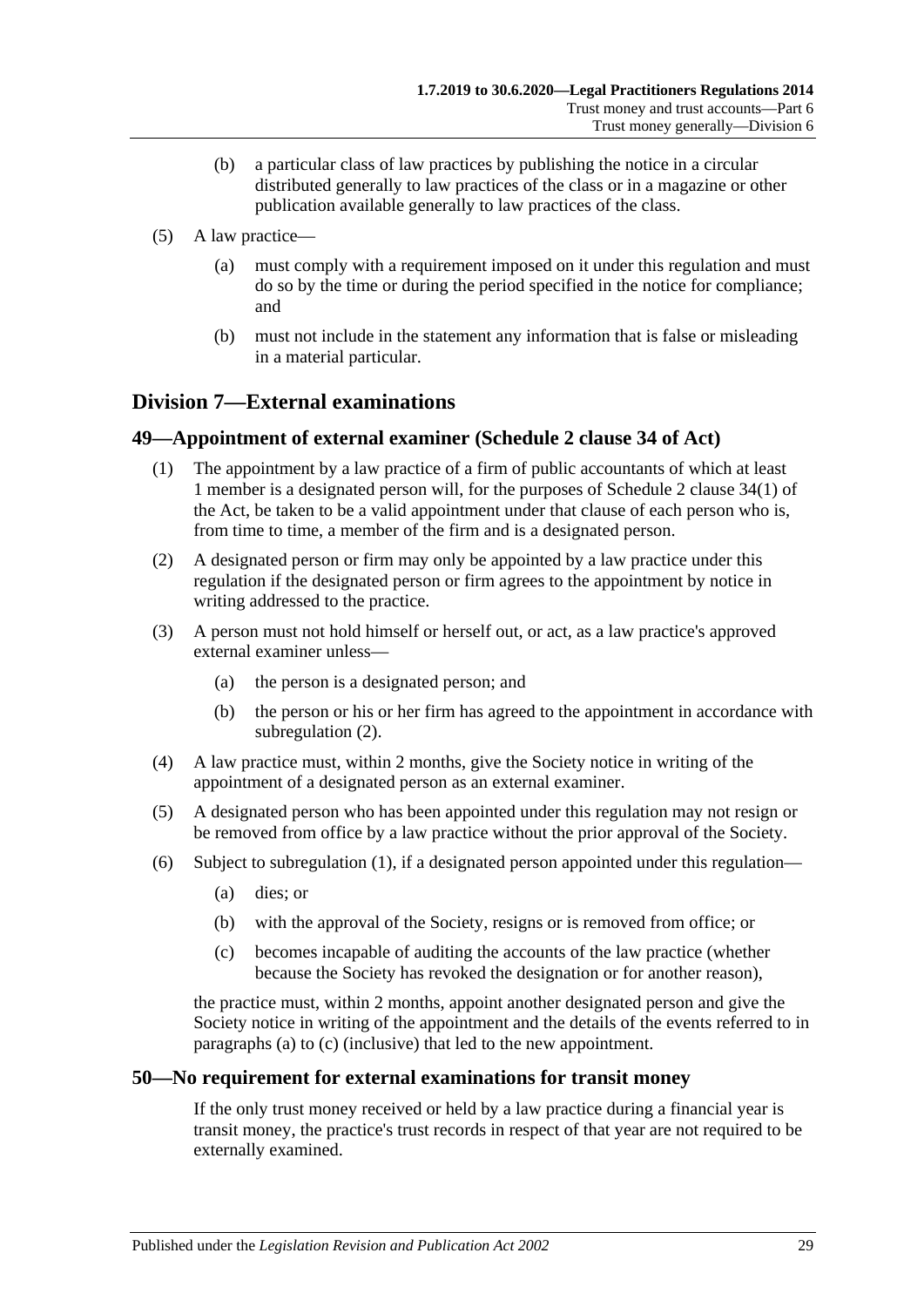- (b) a particular class of law practices by publishing the notice in a circular distributed generally to law practices of the class or in a magazine or other publication available generally to law practices of the class.
- (5) A law practice—
	- (a) must comply with a requirement imposed on it under this regulation and must do so by the time or during the period specified in the notice for compliance; and
	- (b) must not include in the statement any information that is false or misleading in a material particular.

## <span id="page-28-0"></span>**Division 7—External examinations**

#### <span id="page-28-4"></span><span id="page-28-1"></span>**49—Appointment of external examiner (Schedule 2 clause 34 of Act)**

- (1) The appointment by a law practice of a firm of public accountants of which at least 1 member is a designated person will, for the purposes of Schedule 2 clause 34(1) of the Act, be taken to be a valid appointment under that clause of each person who is, from time to time, a member of the firm and is a designated person.
- <span id="page-28-3"></span>(2) A designated person or firm may only be appointed by a law practice under this regulation if the designated person or firm agrees to the appointment by notice in writing addressed to the practice.
- (3) A person must not hold himself or herself out, or act, as a law practice's approved external examiner unless—
	- (a) the person is a designated person; and
	- (b) the person or his or her firm has agreed to the appointment in accordance with [subregulation](#page-28-3) (2).
- (4) A law practice must, within 2 months, give the Society notice in writing of the appointment of a designated person as an external examiner.
- (5) A designated person who has been appointed under this regulation may not resign or be removed from office by a law practice without the prior approval of the Society.
- <span id="page-28-6"></span><span id="page-28-5"></span>(6) Subject to [subregulation](#page-28-4) (1), if a designated person appointed under this regulation—
	- (a) dies; or
	- (b) with the approval of the Society, resigns or is removed from office; or
	- (c) becomes incapable of auditing the accounts of the law practice (whether because the Society has revoked the designation or for another reason),

the practice must, within 2 months, appoint another designated person and give the Society notice in writing of the appointment and the details of the events referred to in [paragraphs](#page-28-5) (a) to [\(c\)](#page-28-6) (inclusive) that led to the new appointment.

#### <span id="page-28-2"></span>**50—No requirement for external examinations for transit money**

If the only trust money received or held by a law practice during a financial year is transit money, the practice's trust records in respect of that year are not required to be externally examined.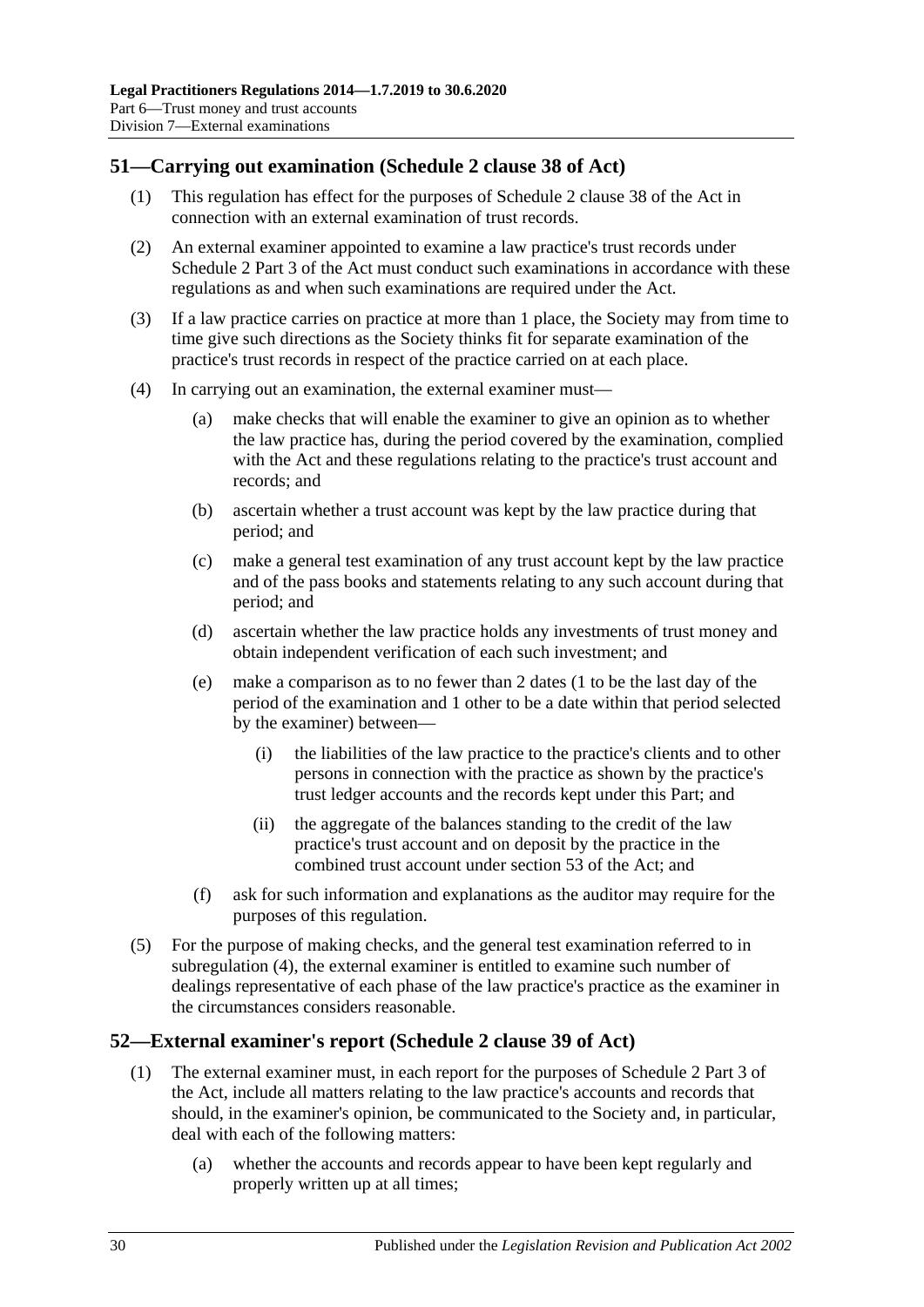## <span id="page-29-0"></span>**51—Carrying out examination (Schedule 2 clause 38 of Act)**

- (1) This regulation has effect for the purposes of Schedule 2 clause 38 of the Act in connection with an external examination of trust records.
- (2) An external examiner appointed to examine a law practice's trust records under Schedule 2 Part 3 of the Act must conduct such examinations in accordance with these regulations as and when such examinations are required under the Act.
- (3) If a law practice carries on practice at more than 1 place, the Society may from time to time give such directions as the Society thinks fit for separate examination of the practice's trust records in respect of the practice carried on at each place.
- <span id="page-29-3"></span><span id="page-29-2"></span>(4) In carrying out an examination, the external examiner must—
	- (a) make checks that will enable the examiner to give an opinion as to whether the law practice has, during the period covered by the examination, complied with the Act and these regulations relating to the practice's trust account and records; and
	- (b) ascertain whether a trust account was kept by the law practice during that period; and
	- (c) make a general test examination of any trust account kept by the law practice and of the pass books and statements relating to any such account during that period; and
	- (d) ascertain whether the law practice holds any investments of trust money and obtain independent verification of each such investment; and
	- (e) make a comparison as to no fewer than 2 dates (1 to be the last day of the period of the examination and 1 other to be a date within that period selected by the examiner) between—
		- (i) the liabilities of the law practice to the practice's clients and to other persons in connection with the practice as shown by the practice's trust ledger accounts and the records kept under this Part; and
		- (ii) the aggregate of the balances standing to the credit of the law practice's trust account and on deposit by the practice in the combined trust account under section 53 of the Act; and
	- (f) ask for such information and explanations as the auditor may require for the purposes of this regulation.
- (5) For the purpose of making checks, and the general test examination referred to in [subregulation](#page-29-2) (4), the external examiner is entitled to examine such number of dealings representative of each phase of the law practice's practice as the examiner in the circumstances considers reasonable.

#### <span id="page-29-1"></span>**52—External examiner's report (Schedule 2 clause 39 of Act)**

- (1) The external examiner must, in each report for the purposes of Schedule 2 Part 3 of the Act, include all matters relating to the law practice's accounts and records that should, in the examiner's opinion, be communicated to the Society and, in particular, deal with each of the following matters:
	- (a) whether the accounts and records appear to have been kept regularly and properly written up at all times;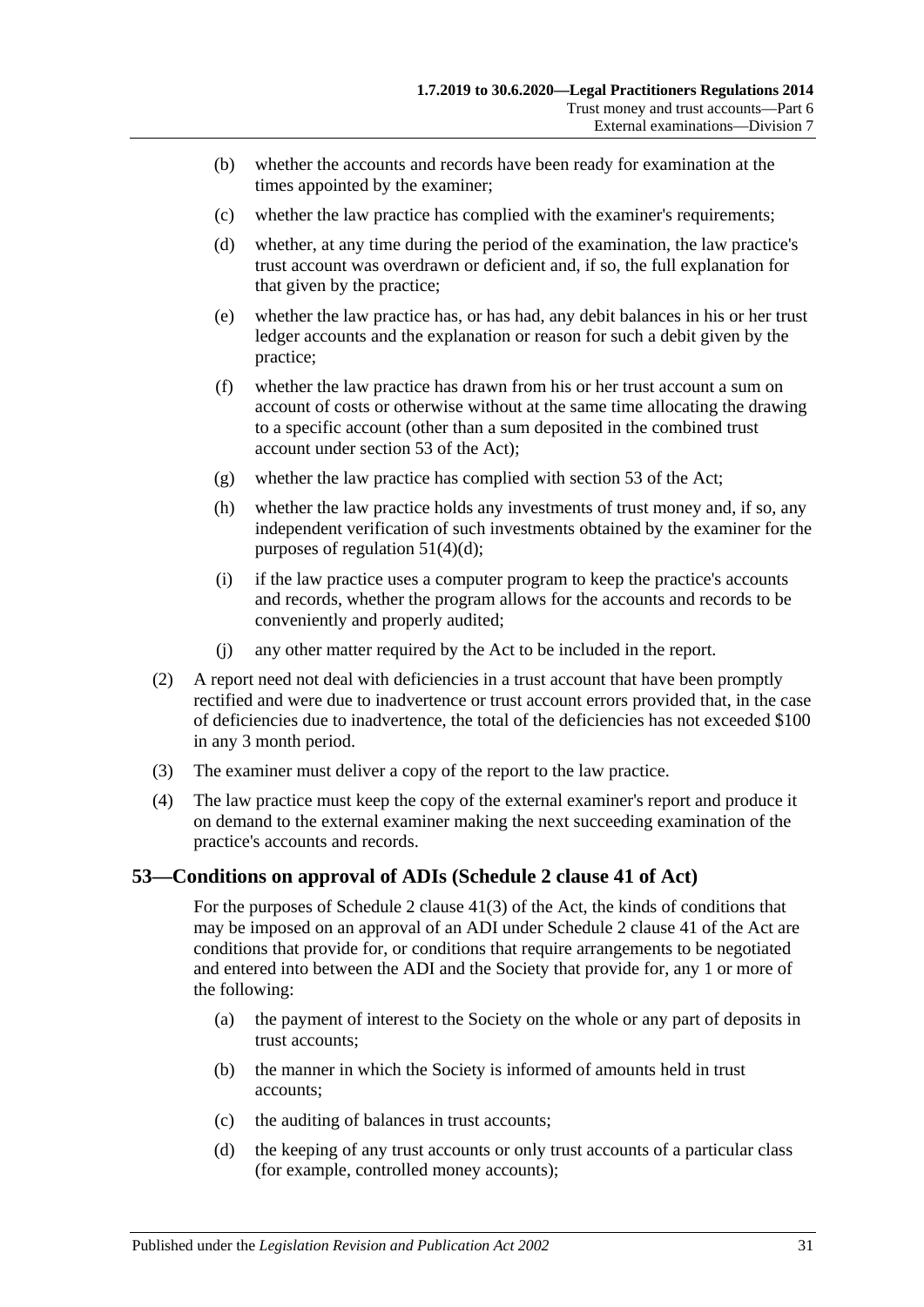- (b) whether the accounts and records have been ready for examination at the times appointed by the examiner;
- (c) whether the law practice has complied with the examiner's requirements;
- (d) whether, at any time during the period of the examination, the law practice's trust account was overdrawn or deficient and, if so, the full explanation for that given by the practice;
- (e) whether the law practice has, or has had, any debit balances in his or her trust ledger accounts and the explanation or reason for such a debit given by the practice;
- (f) whether the law practice has drawn from his or her trust account a sum on account of costs or otherwise without at the same time allocating the drawing to a specific account (other than a sum deposited in the combined trust account under section 53 of the Act);
- (g) whether the law practice has complied with section 53 of the Act;
- (h) whether the law practice holds any investments of trust money and, if so, any independent verification of such investments obtained by the examiner for the purposes of [regulation](#page-29-3) 51(4)(d);
- (i) if the law practice uses a computer program to keep the practice's accounts and records, whether the program allows for the accounts and records to be conveniently and properly audited;
- (j) any other matter required by the Act to be included in the report.
- (2) A report need not deal with deficiencies in a trust account that have been promptly rectified and were due to inadvertence or trust account errors provided that, in the case of deficiencies due to inadvertence, the total of the deficiencies has not exceeded \$100 in any 3 month period.
- (3) The examiner must deliver a copy of the report to the law practice.
- (4) The law practice must keep the copy of the external examiner's report and produce it on demand to the external examiner making the next succeeding examination of the practice's accounts and records.

#### <span id="page-30-0"></span>**53—Conditions on approval of ADIs (Schedule 2 clause 41 of Act)**

For the purposes of Schedule 2 clause 41(3) of the Act, the kinds of conditions that may be imposed on an approval of an ADI under Schedule 2 clause 41 of the Act are conditions that provide for, or conditions that require arrangements to be negotiated and entered into between the ADI and the Society that provide for, any 1 or more of the following:

- <span id="page-30-1"></span>(a) the payment of interest to the Society on the whole or any part of deposits in trust accounts;
- (b) the manner in which the Society is informed of amounts held in trust accounts;
- (c) the auditing of balances in trust accounts;
- <span id="page-30-2"></span>(d) the keeping of any trust accounts or only trust accounts of a particular class (for example, controlled money accounts);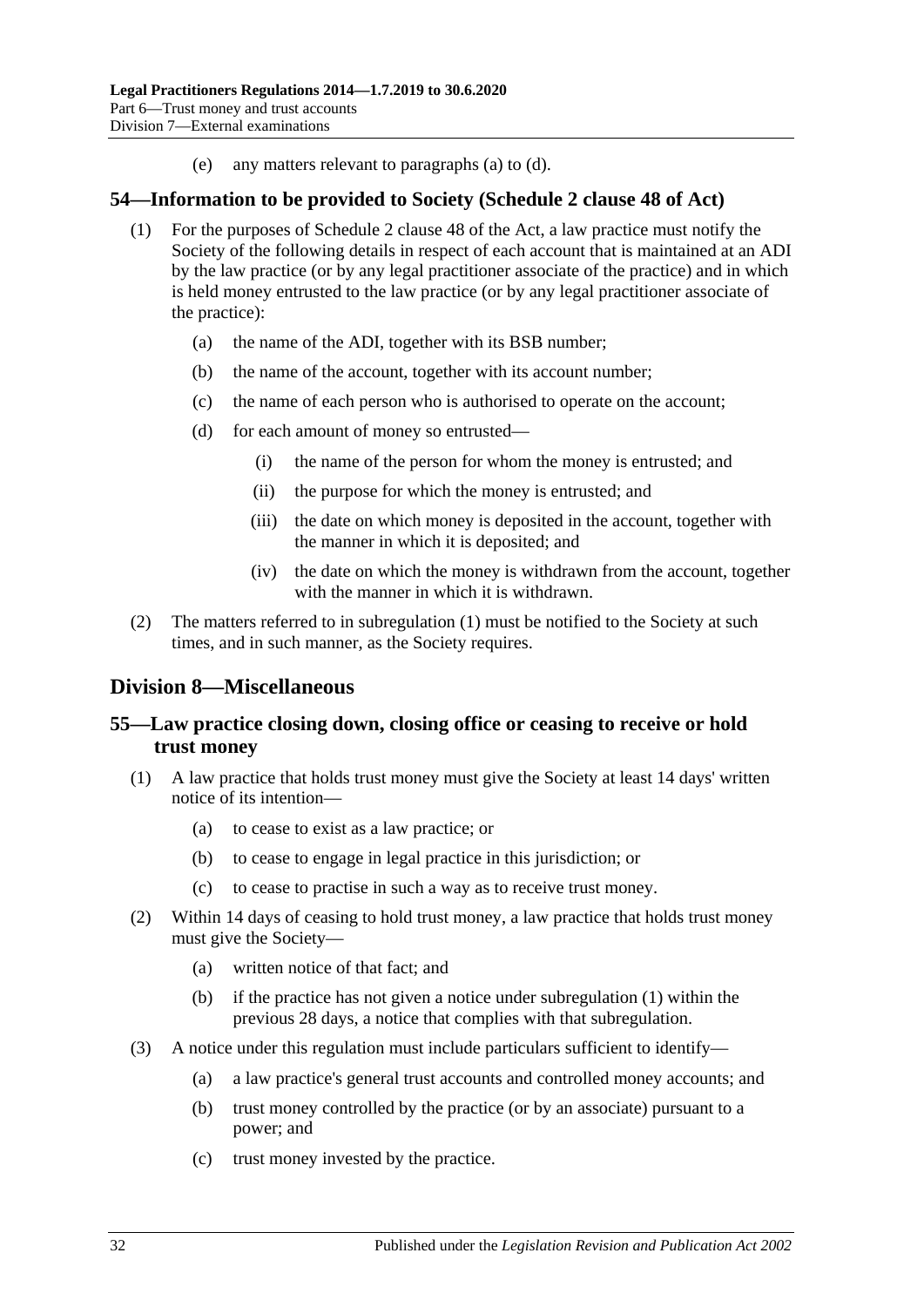(e) any matters relevant to [paragraphs](#page-30-1) (a) to [\(d\).](#page-30-2)

#### <span id="page-31-4"></span><span id="page-31-0"></span>**54—Information to be provided to Society (Schedule 2 clause 48 of Act)**

- (1) For the purposes of Schedule 2 clause 48 of the Act, a law practice must notify the Society of the following details in respect of each account that is maintained at an ADI by the law practice (or by any legal practitioner associate of the practice) and in which is held money entrusted to the law practice (or by any legal practitioner associate of the practice):
	- (a) the name of the ADI, together with its BSB number;
	- (b) the name of the account, together with its account number;
	- (c) the name of each person who is authorised to operate on the account;
	- (d) for each amount of money so entrusted—
		- (i) the name of the person for whom the money is entrusted; and
		- (ii) the purpose for which the money is entrusted; and
		- (iii) the date on which money is deposited in the account, together with the manner in which it is deposited; and
		- (iv) the date on which the money is withdrawn from the account, together with the manner in which it is withdrawn.
- (2) The matters referred to in [subregulation](#page-31-4) (1) must be notified to the Society at such times, and in such manner, as the Society requires.

## <span id="page-31-1"></span>**Division 8—Miscellaneous**

## <span id="page-31-2"></span>**55—Law practice closing down, closing office or ceasing to receive or hold trust money**

- <span id="page-31-3"></span>(1) A law practice that holds trust money must give the Society at least 14 days' written notice of its intention—
	- (a) to cease to exist as a law practice; or
	- (b) to cease to engage in legal practice in this jurisdiction; or
	- (c) to cease to practise in such a way as to receive trust money.
- (2) Within 14 days of ceasing to hold trust money, a law practice that holds trust money must give the Society—
	- (a) written notice of that fact; and
	- (b) if the practice has not given a notice under [subregulation](#page-31-3) (1) within the previous 28 days, a notice that complies with that subregulation.
- (3) A notice under this regulation must include particulars sufficient to identify—
	- (a) a law practice's general trust accounts and controlled money accounts; and
	- (b) trust money controlled by the practice (or by an associate) pursuant to a power; and
	- (c) trust money invested by the practice.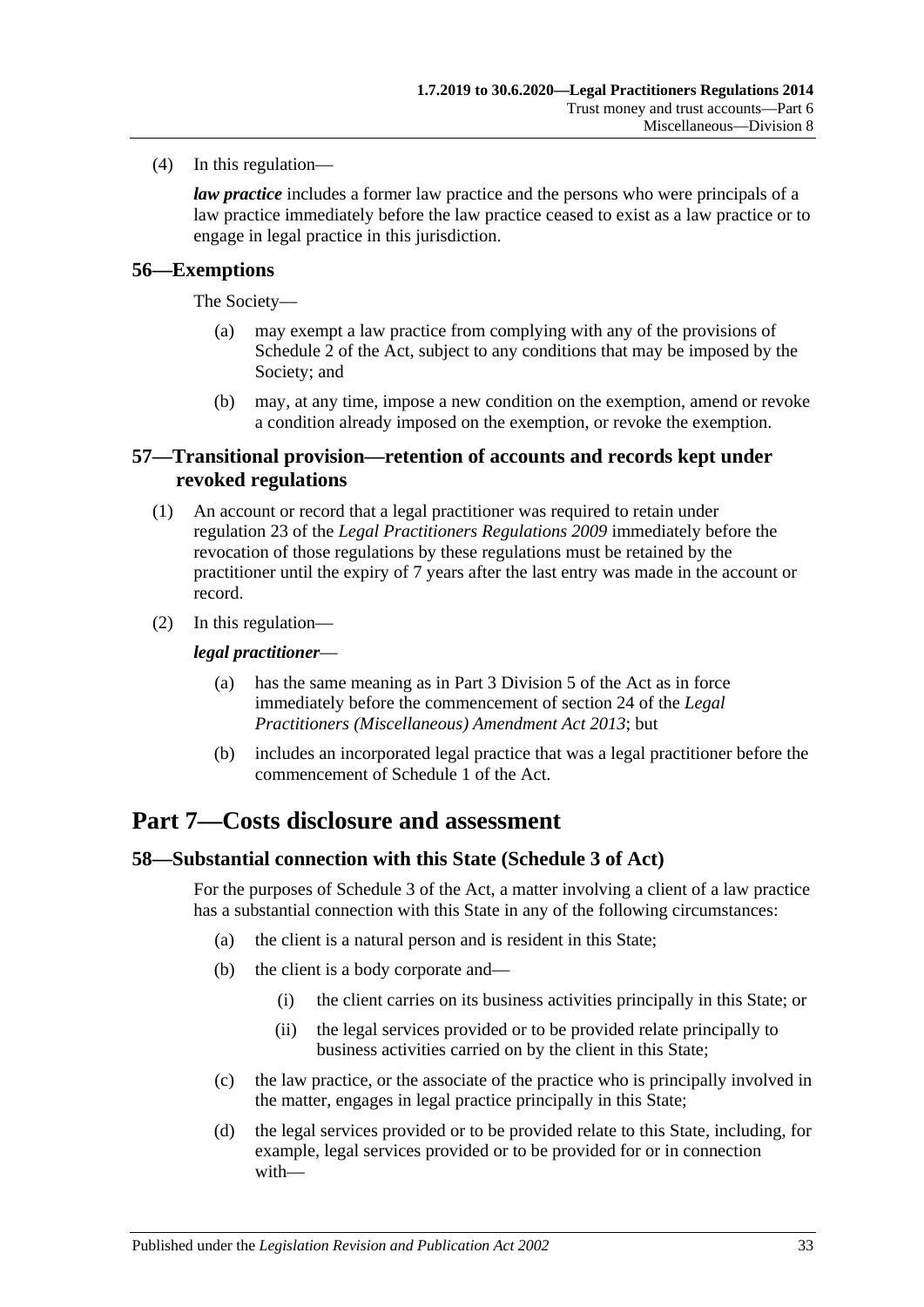(4) In this regulation—

*law practice* includes a former law practice and the persons who were principals of a law practice immediately before the law practice ceased to exist as a law practice or to engage in legal practice in this jurisdiction.

#### <span id="page-32-0"></span>**56—Exemptions**

The Society—

- (a) may exempt a law practice from complying with any of the provisions of Schedule 2 of the Act, subject to any conditions that may be imposed by the Society; and
- (b) may, at any time, impose a new condition on the exemption, amend or revoke a condition already imposed on the exemption, or revoke the exemption.

#### <span id="page-32-1"></span>**57—Transitional provision—retention of accounts and records kept under revoked regulations**

- (1) An account or record that a legal practitioner was required to retain under regulation 23 of the *[Legal Practitioners Regulations](http://www.legislation.sa.gov.au/index.aspx?action=legref&type=subordleg&legtitle=Legal%20Practitioners%20Regulations%202009) 2009* immediately before the revocation of those regulations by these regulations must be retained by the practitioner until the expiry of 7 years after the last entry was made in the account or record.
- (2) In this regulation—

#### *legal practitioner*—

- (a) has the same meaning as in Part 3 Division 5 of the Act as in force immediately before the commencement of section 24 of the *[Legal](http://www.legislation.sa.gov.au/index.aspx?action=legref&type=act&legtitle=Legal%20Practitioners%20(Miscellaneous)%20Amendment%20Act%202013)  [Practitioners \(Miscellaneous\) Amendment Act](http://www.legislation.sa.gov.au/index.aspx?action=legref&type=act&legtitle=Legal%20Practitioners%20(Miscellaneous)%20Amendment%20Act%202013) 2013*; but
- (b) includes an incorporated legal practice that was a legal practitioner before the commencement of Schedule 1 of the Act.

## <span id="page-32-2"></span>**Part 7—Costs disclosure and assessment**

#### <span id="page-32-3"></span>**58—Substantial connection with this State (Schedule 3 of Act)**

For the purposes of Schedule 3 of the Act, a matter involving a client of a law practice has a substantial connection with this State in any of the following circumstances:

- (a) the client is a natural person and is resident in this State;
- (b) the client is a body corporate and—
	- (i) the client carries on its business activities principally in this State; or
	- (ii) the legal services provided or to be provided relate principally to business activities carried on by the client in this State;
- (c) the law practice, or the associate of the practice who is principally involved in the matter, engages in legal practice principally in this State;
- (d) the legal services provided or to be provided relate to this State, including, for example, legal services provided or to be provided for or in connection with—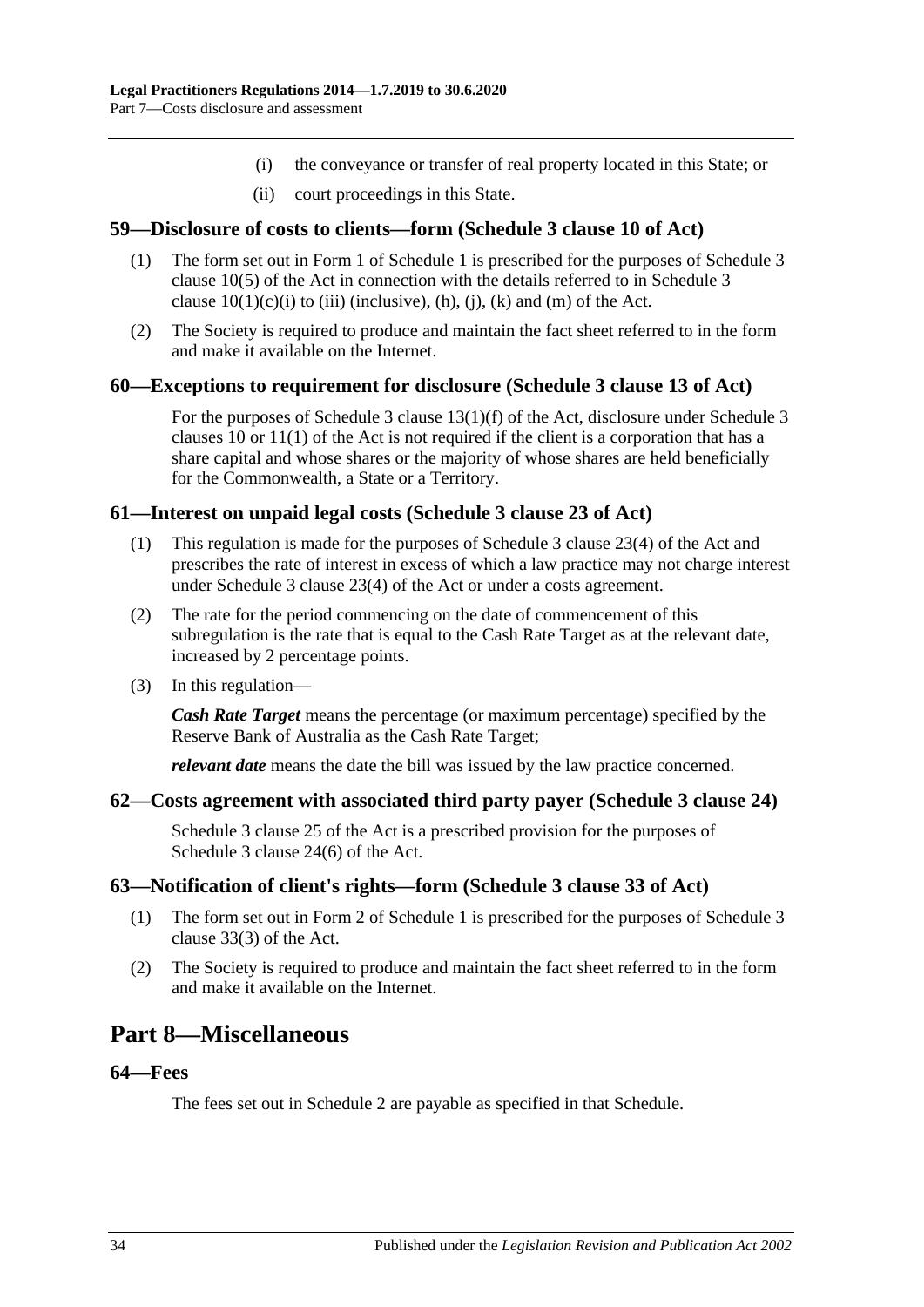- (i) the conveyance or transfer of real property located in this State; or
- (ii) court proceedings in this State.

#### <span id="page-33-0"></span>**59—Disclosure of costs to clients—form (Schedule 3 clause 10 of Act)**

- (1) The form set out in Form 1 of [Schedule](#page-35-4) 1 is prescribed for the purposes of Schedule 3 clause 10(5) of the Act in connection with the details referred to in Schedule 3 clause  $10(1)(c)(i)$  to (iii) (inclusive), (h), (j), (k) and (m) of the Act.
- (2) The Society is required to produce and maintain the fact sheet referred to in the form and make it available on the Internet.

#### <span id="page-33-1"></span>**60—Exceptions to requirement for disclosure (Schedule 3 clause 13 of Act)**

For the purposes of Schedule 3 clause 13(1)(f) of the Act, disclosure under Schedule 3 clauses 10 or 11(1) of the Act is not required if the client is a corporation that has a share capital and whose shares or the majority of whose shares are held beneficially for the Commonwealth, a State or a Territory.

#### <span id="page-33-2"></span>**61—Interest on unpaid legal costs (Schedule 3 clause 23 of Act)**

- (1) This regulation is made for the purposes of Schedule 3 clause 23(4) of the Act and prescribes the rate of interest in excess of which a law practice may not charge interest under Schedule 3 clause 23(4) of the Act or under a costs agreement.
- (2) The rate for the period commencing on the date of commencement of this subregulation is the rate that is equal to the Cash Rate Target as at the relevant date, increased by 2 percentage points.
- (3) In this regulation—

*Cash Rate Target* means the percentage (or maximum percentage) specified by the Reserve Bank of Australia as the Cash Rate Target;

*relevant date* means the date the bill was issued by the law practice concerned.

#### <span id="page-33-3"></span>**62—Costs agreement with associated third party payer (Schedule 3 clause 24)**

Schedule 3 clause 25 of the Act is a prescribed provision for the purposes of Schedule 3 clause 24(6) of the Act.

#### <span id="page-33-4"></span>**63—Notification of client's rights—form (Schedule 3 clause 33 of Act)**

- (1) The form set out in Form 2 of [Schedule](#page-35-4) 1 is prescribed for the purposes of Schedule 3 clause 33(3) of the Act.
- (2) The Society is required to produce and maintain the fact sheet referred to in the form and make it available on the Internet.

## <span id="page-33-5"></span>**Part 8—Miscellaneous**

#### <span id="page-33-6"></span>**64—Fees**

The fees set out in [Schedule](#page-36-0) 2 are payable as specified in that Schedule.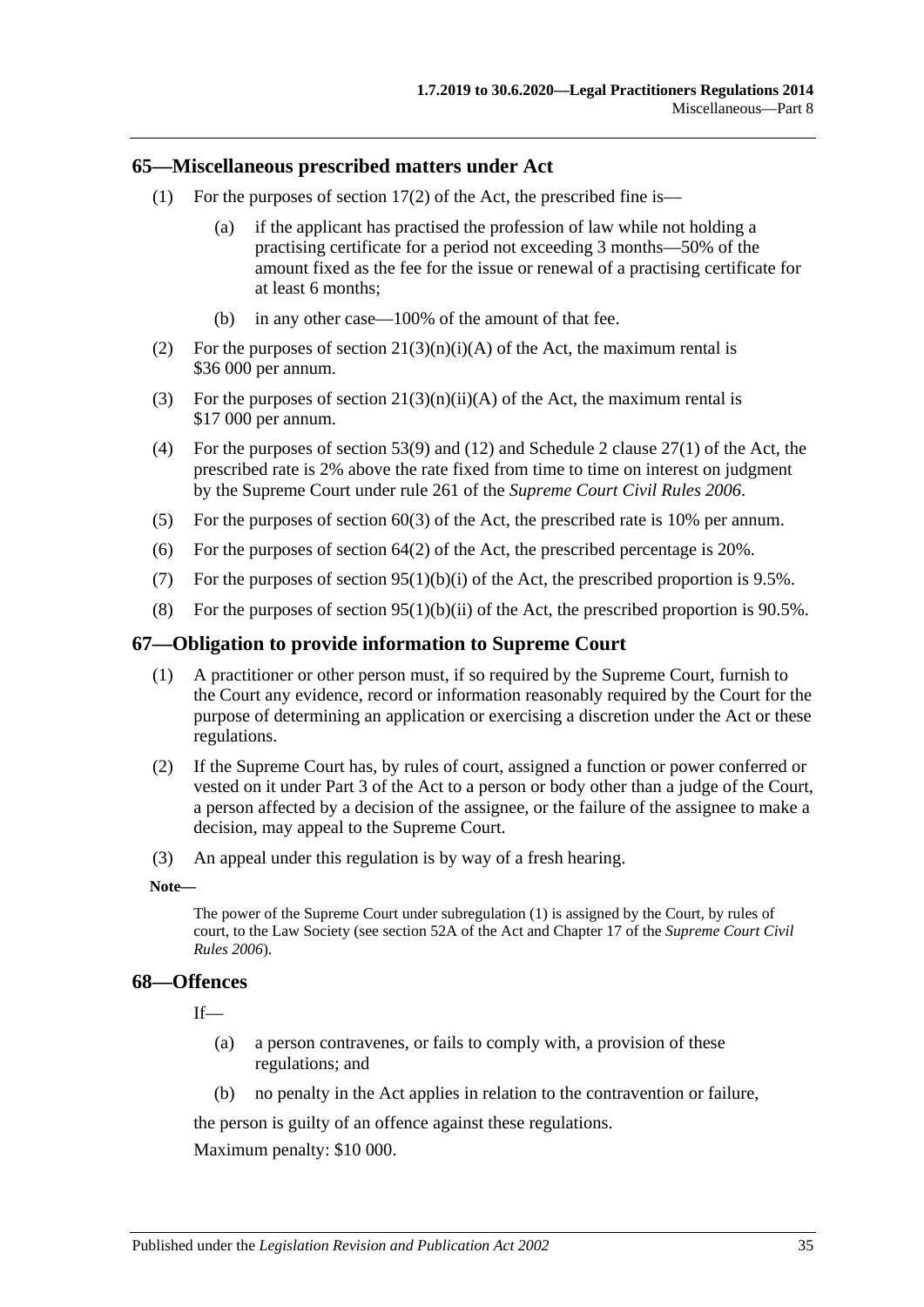#### <span id="page-34-0"></span>**65—Miscellaneous prescribed matters under Act**

- (1) For the purposes of section  $17(2)$  of the Act, the prescribed fine is—
	- (a) if the applicant has practised the profession of law while not holding a practising certificate for a period not exceeding 3 months—50% of the amount fixed as the fee for the issue or renewal of a practising certificate for at least 6 months;
	- (b) in any other case—100% of the amount of that fee.
- (2) For the purposes of section  $21(3)(n)(i)(A)$  of the Act, the maximum rental is \$36 000 per annum.
- (3) For the purposes of section  $21(3)(n)(ii)(A)$  of the Act, the maximum rental is \$17 000 per annum.
- (4) For the purposes of section 53(9) and (12) and Schedule 2 clause 27(1) of the Act, the prescribed rate is 2% above the rate fixed from time to time on interest on judgment by the Supreme Court under rule 261 of the *Supreme Court Civil Rules 2006*.
- (5) For the purposes of section 60(3) of the Act, the prescribed rate is 10% per annum.
- (6) For the purposes of section  $64(2)$  of the Act, the prescribed percentage is 20%.
- (7) For the purposes of section  $95(1)(b)(i)$  of the Act, the prescribed proportion is 9.5%.
- (8) For the purposes of section 95(1)(b)(ii) of the Act, the prescribed proportion is 90.5%.

#### <span id="page-34-3"></span><span id="page-34-1"></span>**67—Obligation to provide information to Supreme Court**

- (1) A practitioner or other person must, if so required by the Supreme Court, furnish to the Court any evidence, record or information reasonably required by the Court for the purpose of determining an application or exercising a discretion under the Act or these regulations.
- (2) If the Supreme Court has, by rules of court, assigned a function or power conferred or vested on it under Part 3 of the Act to a person or body other than a judge of the Court, a person affected by a decision of the assignee, or the failure of the assignee to make a decision, may appeal to the Supreme Court.
- (3) An appeal under this regulation is by way of a fresh hearing.

#### **Note—**

The power of the Supreme Court unde[r subregulation](#page-34-3) (1) is assigned by the Court, by rules of court, to the Law Society (see section 52A of the Act and Chapter 17 of the *Supreme Court Civil Rules 2006*).

#### <span id="page-34-2"></span>**68—Offences**

If—

- (a) a person contravenes, or fails to comply with, a provision of these regulations; and
- (b) no penalty in the Act applies in relation to the contravention or failure,

the person is guilty of an offence against these regulations.

Maximum penalty: \$10 000.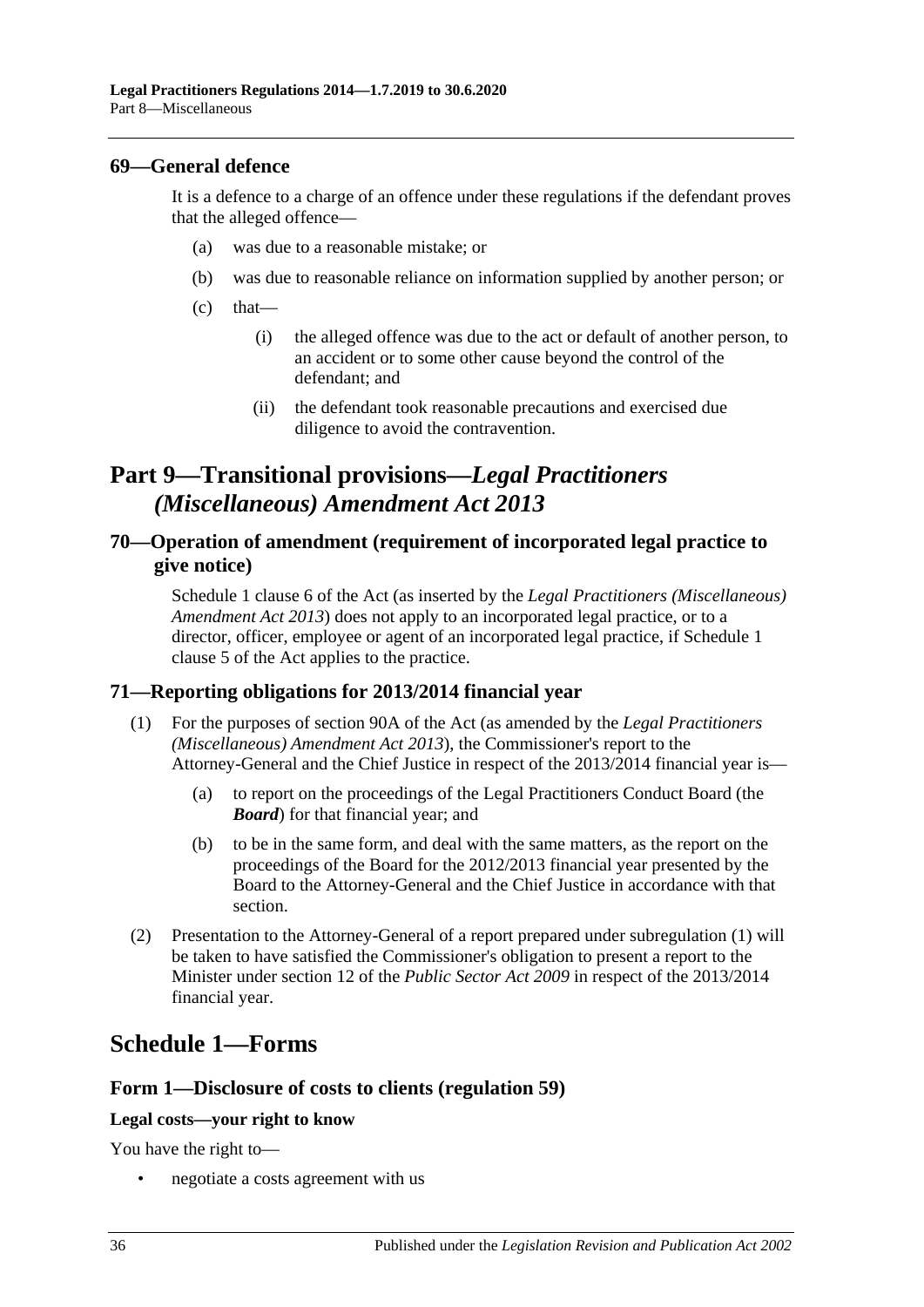#### <span id="page-35-0"></span>**69—General defence**

It is a defence to a charge of an offence under these regulations if the defendant proves that the alleged offence—

- (a) was due to a reasonable mistake; or
- (b) was due to reasonable reliance on information supplied by another person; or
- $(c)$  that—
	- (i) the alleged offence was due to the act or default of another person, to an accident or to some other cause beyond the control of the defendant; and
	- (ii) the defendant took reasonable precautions and exercised due diligence to avoid the contravention.

# <span id="page-35-1"></span>**Part 9—Transitional provisions—***Legal Practitioners (Miscellaneous) Amendment Act 2013*

### <span id="page-35-2"></span>**70—Operation of amendment (requirement of incorporated legal practice to give notice)**

Schedule 1 clause 6 of the Act (as inserted by the *[Legal Practitioners \(Miscellaneous\)](http://www.legislation.sa.gov.au/index.aspx?action=legref&type=act&legtitle=Legal%20Practitioners%20(Miscellaneous)%20Amendment%20Act%202013)  [Amendment Act](http://www.legislation.sa.gov.au/index.aspx?action=legref&type=act&legtitle=Legal%20Practitioners%20(Miscellaneous)%20Amendment%20Act%202013) 2013*) does not apply to an incorporated legal practice, or to a director, officer, employee or agent of an incorporated legal practice, if Schedule 1 clause 5 of the Act applies to the practice.

#### <span id="page-35-5"></span><span id="page-35-3"></span>**71—Reporting obligations for 2013/2014 financial year**

- (1) For the purposes of section 90A of the Act (as amended by the *[Legal Practitioners](http://www.legislation.sa.gov.au/index.aspx?action=legref&type=act&legtitle=Legal%20Practitioners%20(Miscellaneous)%20Amendment%20Act%202013)  [\(Miscellaneous\) Amendment Act](http://www.legislation.sa.gov.au/index.aspx?action=legref&type=act&legtitle=Legal%20Practitioners%20(Miscellaneous)%20Amendment%20Act%202013) 2013*), the Commissioner's report to the Attorney-General and the Chief Justice in respect of the 2013/2014 financial year is—
	- (a) to report on the proceedings of the Legal Practitioners Conduct Board (the *Board*) for that financial year; and
	- (b) to be in the same form, and deal with the same matters, as the report on the proceedings of the Board for the 2012/2013 financial year presented by the Board to the Attorney-General and the Chief Justice in accordance with that section.
- (2) Presentation to the Attorney-General of a report prepared under [subregulation](#page-35-5) (1) will be taken to have satisfied the Commissioner's obligation to present a report to the Minister under section 12 of the *[Public Sector Act](http://www.legislation.sa.gov.au/index.aspx?action=legref&type=act&legtitle=Public%20Sector%20Act%202009) 2009* in respect of the 2013/2014 financial year.

# <span id="page-35-4"></span>**Schedule 1—Forms**

#### **Form 1—Disclosure of costs to clients [\(regulation](#page-33-0) 59)**

#### **Legal costs—your right to know**

You have the right to—

• negotiate a costs agreement with us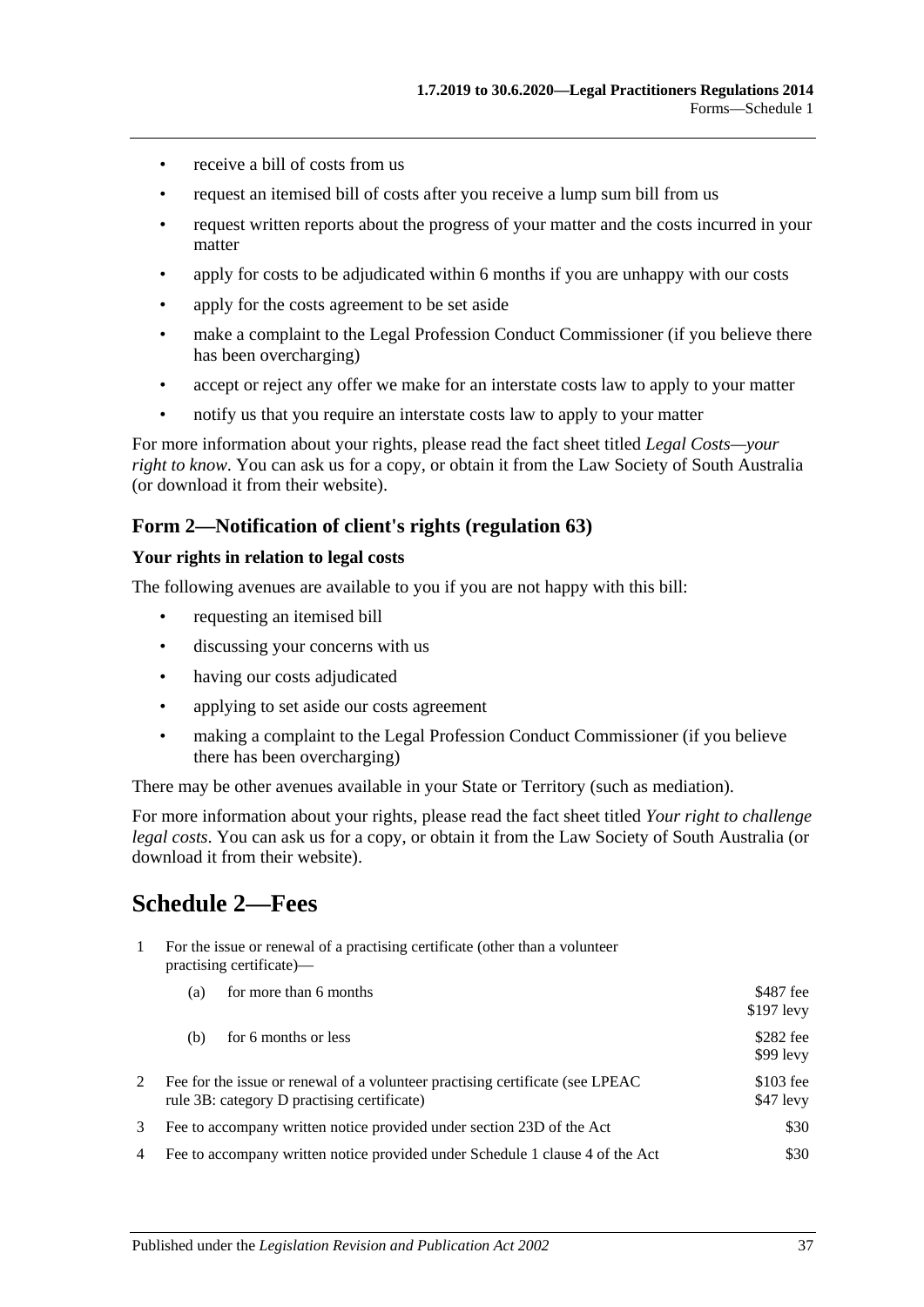- receive a bill of costs from us
- request an itemised bill of costs after you receive a lump sum bill from us
- request written reports about the progress of your matter and the costs incurred in your matter
- apply for costs to be adjudicated within 6 months if you are unhappy with our costs
- apply for the costs agreement to be set aside
- make a complaint to the Legal Profession Conduct Commissioner (if you believe there has been overcharging)
- accept or reject any offer we make for an interstate costs law to apply to your matter
- notify us that you require an interstate costs law to apply to your matter

For more information about your rights, please read the fact sheet titled *Legal Costs—your right to know*. You can ask us for a copy, or obtain it from the Law Society of South Australia (or download it from their website).

#### **Form 2—Notification of client's rights [\(regulation](#page-33-4) 63)**

#### **Your rights in relation to legal costs**

The following avenues are available to you if you are not happy with this bill:

- requesting an itemised bill
- discussing your concerns with us
- having our costs adjudicated
- applying to set aside our costs agreement
- making a complaint to the Legal Profession Conduct Commissioner (if you believe there has been overcharging)

There may be other avenues available in your State or Territory (such as mediation).

For more information about your rights, please read the fact sheet titled *Your right to challenge legal costs*. You can ask us for a copy, or obtain it from the Law Society of South Australia (or download it from their website).

# <span id="page-36-0"></span>**Schedule 2—Fees**

1 For the issue or renewal of a practising certificate (other than a volunteer practising certificate)—

|   | for more than 6 months<br>(a)                                                                                                 | \$487 fee<br>$$197$ levy |
|---|-------------------------------------------------------------------------------------------------------------------------------|--------------------------|
|   | for 6 months or less<br>(b)                                                                                                   | \$282 fee<br>$$99$ levy  |
|   | Fee for the issue or renewal of a volunteer practising certificate (see LPEAC)<br>rule 3B: category D practising certificate) | $$103$ fee<br>\$47 levy  |
|   | Fee to accompany written notice provided under section 23D of the Act                                                         | \$30                     |
| 4 | Fee to accompany written notice provided under Schedule 1 clause 4 of the Act                                                 | \$30                     |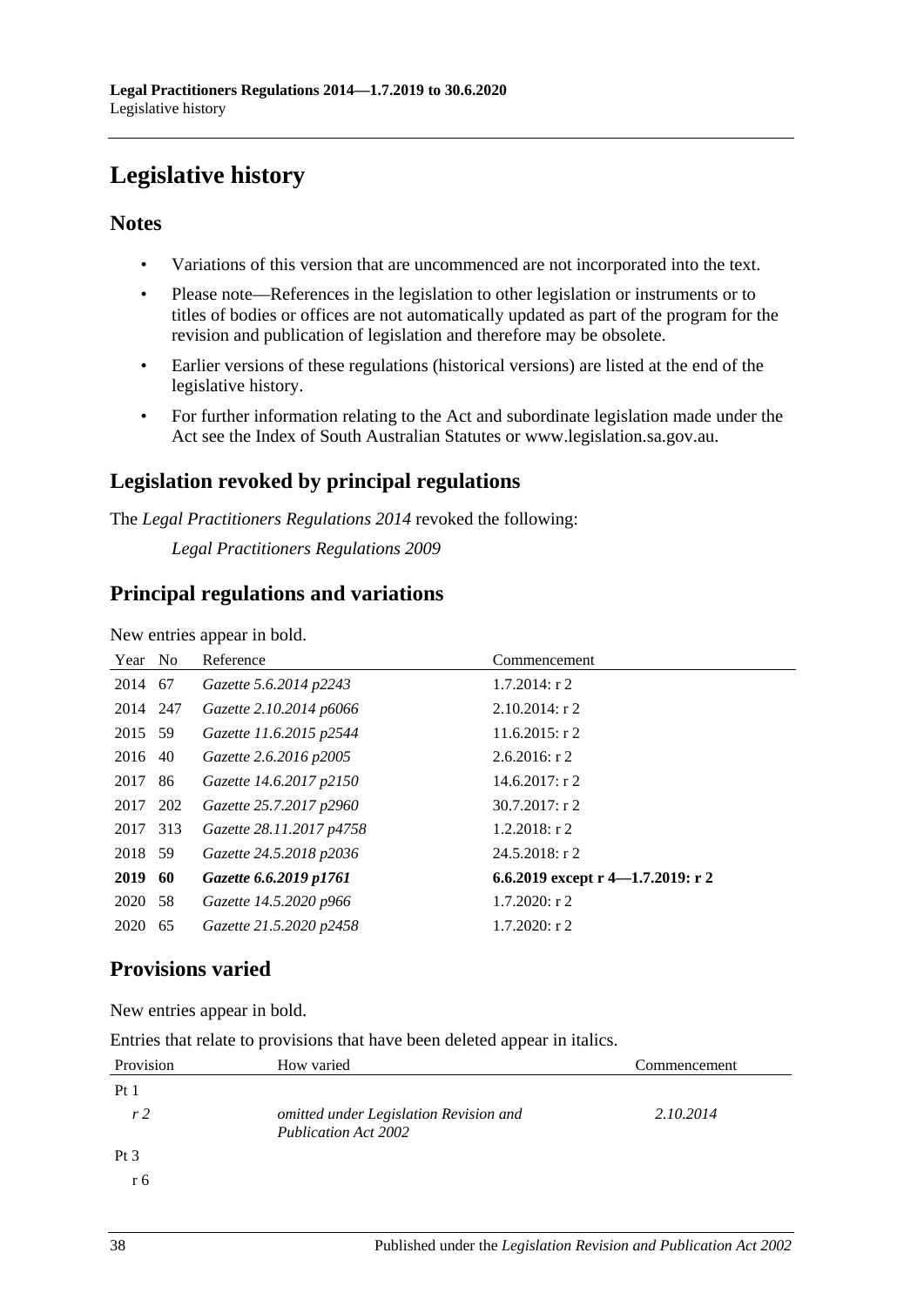# <span id="page-37-0"></span>**Legislative history**

## **Notes**

- Variations of this version that are uncommenced are not incorporated into the text.
- Please note—References in the legislation to other legislation or instruments or to titles of bodies or offices are not automatically updated as part of the program for the revision and publication of legislation and therefore may be obsolete.
- Earlier versions of these regulations (historical versions) are listed at the end of the legislative history.
- For further information relating to the Act and subordinate legislation made under the Act see the Index of South Australian Statutes or www.legislation.sa.gov.au.

## **Legislation revoked by principal regulations**

The *Legal Practitioners Regulations 2014* revoked the following:

*Legal Practitioners Regulations 2009*

## **Principal regulations and variations**

New entries appear in bold.

| Year No  |    | Reference                | Commencement                      |
|----------|----|--------------------------|-----------------------------------|
| 2014 67  |    | Gazette 5.6.2014 p2243   | $1.7.2014$ : r 2                  |
| 2014 247 |    | Gazette 2.10.2014 p6066  | $2.10.2014$ : r 2                 |
| 2015 59  |    | Gazette 11.6.2015 p2544  | $11.6.2015$ : r 2                 |
| 2016     | 40 | Gazette 2.6.2016 p2005   | $2.6.2016$ : r 2                  |
| 2017     | 86 | Gazette 14.6.2017 p2150  | $14.6.2017:$ r 2                  |
| 2017 202 |    | Gazette 25.7.2017 p2960  | $30.7.2017$ : r 2                 |
| 2017 313 |    | Gazette 28.11.2017 p4758 | $1.2.2018$ : r 2                  |
| 2018 59  |    | Gazette 24.5.2018 p2036  | $24.5.2018$ : r 2                 |
| 2019     | 60 | Gazette 6.6.2019 p1761   | 6.6.2019 except r 4-1.7.2019: r 2 |
| 2020 58  |    | Gazette 14.5.2020 p966   | $1.7.2020$ : r 2                  |
| 2020     | 65 | Gazette 21.5.2020 p2458  | $1.7.2020$ : r 2                  |

## **Provisions varied**

New entries appear in bold.

|  | Entries that relate to provisions that have been deleted appear in italics. |  |  |  |  |  |
|--|-----------------------------------------------------------------------------|--|--|--|--|--|
|--|-----------------------------------------------------------------------------|--|--|--|--|--|

| Provision      | How varied                                                            | Commencement |
|----------------|-----------------------------------------------------------------------|--------------|
| Pt1            |                                                                       |              |
| r <sub>2</sub> | omitted under Legislation Revision and<br><b>Publication Act 2002</b> | 2.10.2014    |
| $Pt\,3$        |                                                                       |              |
| r 6            |                                                                       |              |